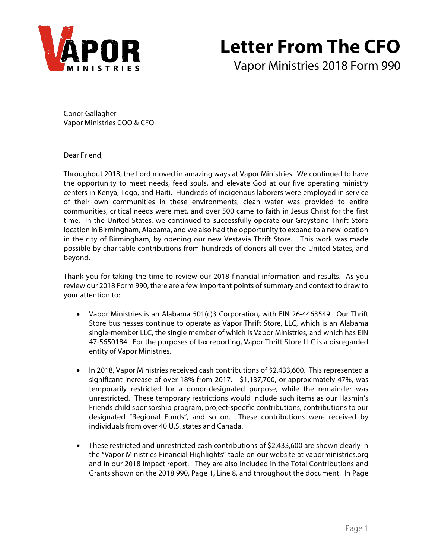

# **Letter From The CFO**

Vapor Ministries 2018 Form 990

Conor Gallagher Vapor Ministries COO & CFO

Dear Friend,

Throughout 2018, the Lord moved in amazing ways at Vapor Ministries. We continued to have the opportunity to meet needs, feed souls, and elevate God at our five operating ministry centers in Kenya, Togo, and Haiti. Hundreds of indigenous laborers were employed in service of their own communities in these environments, clean water was provided to entire communities, critical needs were met, and over 500 came to faith in Jesus Christ for the first time. In the United States, we continued to successfully operate our Greystone Thrift Store location in Birmingham, Alabama, and we also had the opportunity to expand to a new location in the city of Birmingham, by opening our new Vestavia Thrift Store. This work was made possible by charitable contributions from hundreds of donors all over the United States, and beyond.

Thank you for taking the time to review our 2018 financial information and results. As you review our 2018 Form 990, there are a few important points of summary and context to draw to your attention to:

- Vapor Ministries is an Alabama 501(c)3 Corporation, with EIN 26-4463549. Our Thrift Store businesses continue to operate as Vapor Thrift Store, LLC, which is an Alabama single-member LLC, the single member of which is Vapor Ministries, and which has EIN 47-5650184. For the purposes of tax reporting, Vapor Thrift Store LLC is a disregarded entity of Vapor Ministries.
- In 2018, Vapor Ministries received cash contributions of \$2,433,600. This represented a significant increase of over 18% from 2017. \$1,137,700, or approximately 47%, was temporarily restricted for a donor-designated purpose, while the remainder was unrestricted. These temporary restrictions would include such items as our Hasmin's Friends child sponsorship program, project-specific contributions, contributions to our designated "Regional Funds", and so on. These contributions were received by individuals from over 40 U.S. states and Canada.
- These restricted and unrestricted cash contributions of \$2,433,600 are shown clearly in the "Vapor Ministries Financial Highlights" table on our website at vaporministries.org and in our 2018 impact report. They are also included in the Total Contributions and Grants shown on the 2018 990, Page 1, Line 8, and throughout the document. In Page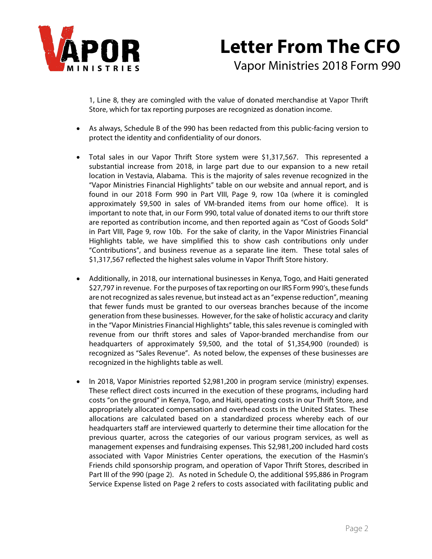

1, Line 8, they are comingled with the value of donated merchandise at Vapor Thrift Store, which for tax reporting purposes are recognized as donation income.

- As always, Schedule B of the 990 has been redacted from this public-facing version to protect the identity and confidentiality of our donors.
- Total sales in our Vapor Thrift Store system were \$1,317,567. This represented a substantial increase from 2018, in large part due to our expansion to a new retail location in Vestavia, Alabama. This is the majority of sales revenue recognized in the "Vapor Ministries Financial Highlights" table on our website and annual report, and is found in our 2018 Form 990 in Part VIII, Page 9, row 10a (where it is comingled approximately \$9,500 in sales of VM-branded items from our home office). It is important to note that, in our Form 990, total value of donated items to our thrift store are reported as contribution income, and then reported again as "Cost of Goods Sold" in Part VIII, Page 9, row 10b. For the sake of clarity, in the Vapor Ministries Financial Highlights table, we have simplified this to show cash contributions only under "Contributions", and business revenue as a separate line item. These total sales of \$1,317,567 reflected the highest sales volume in Vapor Thrift Store history.
- Additionally, in 2018, our international businesses in Kenya, Togo, and Haiti generated \$27,797 in revenue. For the purposes of tax reporting on our IRS Form 990's, these funds are not recognized as sales revenue, but instead act as an "expense reduction", meaning that fewer funds must be granted to our overseas branches because of the income generation from these businesses. However, for the sake of holistic accuracy and clarity in the "Vapor Ministries Financial Highlights" table, this sales revenue is comingled with revenue from our thrift stores and sales of Vapor-branded merchandise from our headquarters of approximately \$9,500, and the total of \$1,354,900 (rounded) is recognized as "Sales Revenue". As noted below, the expenses of these businesses are recognized in the highlights table as well.
- In 2018, Vapor Ministries reported \$2,981,200 in program service (ministry) expenses. These reflect direct costs incurred in the execution of these programs, including hard costs "on the ground" in Kenya, Togo, and Haiti, operating costs in our Thrift Store, and appropriately allocated compensation and overhead costs in the United States. These allocations are calculated based on a standardized process whereby each of our headquarters staff are interviewed quarterly to determine their time allocation for the previous quarter, across the categories of our various program services, as well as management expenses and fundraising expenses. This \$2,981,200 included hard costs associated with Vapor Ministries Center operations, the execution of the Hasmin's Friends child sponsorship program, and operation of Vapor Thrift Stores, described in Part III of the 990 (page 2). As noted in Schedule O, the additional \$95,886 in Program Service Expense listed on Page 2 refers to costs associated with facilitating public and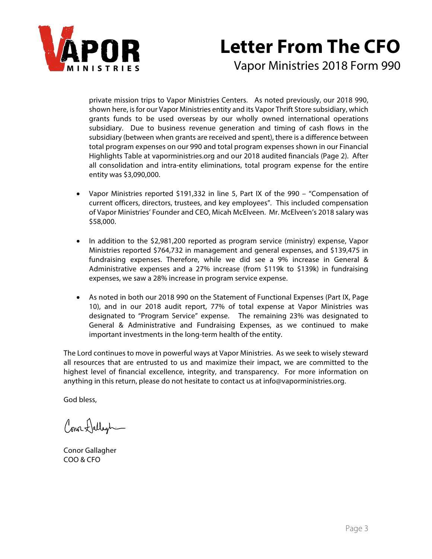

# **Letter From The CFO**

Vapor Ministries 2018 Form 990

private mission trips to Vapor Ministries Centers. As noted previously, our 2018 990, shown here, is for our Vapor Ministries entity and its Vapor Thrift Store subsidiary, which grants funds to be used overseas by our wholly owned international operations subsidiary. Due to business revenue generation and timing of cash flows in the subsidiary (between when grants are received and spent), there is a difference between total program expenses on our 990 and total program expenses shown in our Financial Highlights Table at vaporministries.org and our 2018 audited financials (Page 2). After all consolidation and intra-entity eliminations, total program expense for the entire entity was \$3,090,000.

- Vapor Ministries reported \$191,332 in line 5, Part IX of the 990 "Compensation of current officers, directors, trustees, and key employees". This included compensation of Vapor Ministries' Founder and CEO, Micah McElveen. Mr. McElveen's 2018 salary was \$58,000.
- In addition to the \$2,981,200 reported as program service (ministry) expense, Vapor Ministries reported \$764,732 in management and general expenses, and \$139,475 in fundraising expenses. Therefore, while we did see a 9% increase in General & Administrative expenses and a 27% increase (from \$119k to \$139k) in fundraising expenses, we saw a 28% increase in program service expense.
- As noted in both our 2018 990 on the Statement of Functional Expenses (Part IX, Page 10), and in our 2018 audit report, 77% of total expense at Vapor Ministries was designated to "Program Service" expense. The remaining 23% was designated to General & Administrative and Fundraising Expenses, as we continued to make important investments in the long-term health of the entity.

The Lord continues to move in powerful ways at Vapor Ministries. As we seek to wisely steward all resources that are entrusted to us and maximize their impact, we are committed to the highest level of financial excellence, integrity, and transparency. For more information on anything in this return, please do not hesitate to contact us at info@vaporministries.org.

God bless,

Conor Hallegh-

Conor Gallagher COO & CFO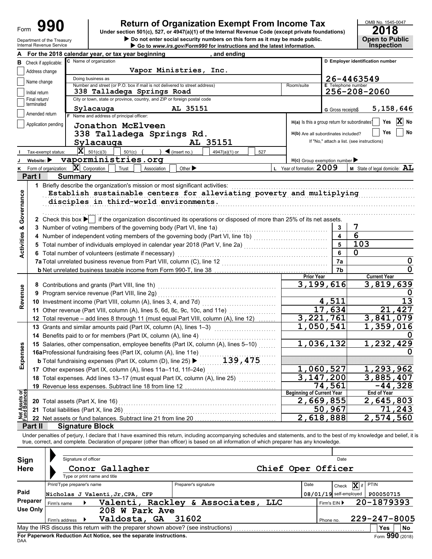| Form | 990                        |
|------|----------------------------|
|      | Denartment of the Treasury |

# **990 a 2018 2018 2018 2018 2018 2018 2018 2018 Dependicion 501(c), 527, or 4947(a)(1)** of the Internal Revenue Code (except private foundations)

**Do not enter social security numbers on this form as it may be made public. Open to Public** 

| For the 2018 calendar year, or tax year beginning<br>, and ending<br>C Name of organization<br><b>B</b> Check if applicable:<br>Vapor Ministries, Inc.<br>Address change<br>Doing business as<br>Name change<br>Number and street (or P.O. box if mail is not delivered to street address)<br><b>E</b> Telephone number<br>Room/suite<br>338 Talladega Springs Road<br>Initial return<br>City or town, state or province, country, and ZIP or foreign postal code<br>Final return/ | D Employer identification number<br>26-4463549 |  |  |  |  |  |  |  |  |  |  |  |
|------------------------------------------------------------------------------------------------------------------------------------------------------------------------------------------------------------------------------------------------------------------------------------------------------------------------------------------------------------------------------------------------------------------------------------------------------------------------------------|------------------------------------------------|--|--|--|--|--|--|--|--|--|--|--|
|                                                                                                                                                                                                                                                                                                                                                                                                                                                                                    |                                                |  |  |  |  |  |  |  |  |  |  |  |
|                                                                                                                                                                                                                                                                                                                                                                                                                                                                                    |                                                |  |  |  |  |  |  |  |  |  |  |  |
|                                                                                                                                                                                                                                                                                                                                                                                                                                                                                    |                                                |  |  |  |  |  |  |  |  |  |  |  |
|                                                                                                                                                                                                                                                                                                                                                                                                                                                                                    |                                                |  |  |  |  |  |  |  |  |  |  |  |
|                                                                                                                                                                                                                                                                                                                                                                                                                                                                                    |                                                |  |  |  |  |  |  |  |  |  |  |  |
|                                                                                                                                                                                                                                                                                                                                                                                                                                                                                    | 256-208-2060                                   |  |  |  |  |  |  |  |  |  |  |  |
| terminated                                                                                                                                                                                                                                                                                                                                                                                                                                                                         |                                                |  |  |  |  |  |  |  |  |  |  |  |
| AL 35151<br>Sylacauga<br>5,158,646<br>G Gross receipts\$                                                                                                                                                                                                                                                                                                                                                                                                                           |                                                |  |  |  |  |  |  |  |  |  |  |  |
| Amended return<br>F Name and address of principal officer:                                                                                                                                                                                                                                                                                                                                                                                                                         |                                                |  |  |  |  |  |  |  |  |  |  |  |
| H(a) Is this a group return for subordinates?<br>Application pending<br>Jonathon McElveen                                                                                                                                                                                                                                                                                                                                                                                          | X No<br>Yes                                    |  |  |  |  |  |  |  |  |  |  |  |
|                                                                                                                                                                                                                                                                                                                                                                                                                                                                                    | No<br>Yes                                      |  |  |  |  |  |  |  |  |  |  |  |
| 338 Talladega Springs Rd.<br>H(b) Are all subordinates included?                                                                                                                                                                                                                                                                                                                                                                                                                   |                                                |  |  |  |  |  |  |  |  |  |  |  |
| If "No," attach a list. (see instructions)<br>AL 35151<br>Sylacauga                                                                                                                                                                                                                                                                                                                                                                                                                |                                                |  |  |  |  |  |  |  |  |  |  |  |
| $ \mathbf{X} $ 501(c)(3)<br>$\bigcup$ (insert no.)<br>$501(c)$ (<br>4947(a)(1) or<br>Tax-exempt status:<br>527                                                                                                                                                                                                                                                                                                                                                                     |                                                |  |  |  |  |  |  |  |  |  |  |  |
| vaporministries.org<br>Website: $\blacktriangleright$<br>$H(c)$ Group exemption number                                                                                                                                                                                                                                                                                                                                                                                             |                                                |  |  |  |  |  |  |  |  |  |  |  |
| L Year of formation: 2009<br>$ \mathbf{X} $ Corporation<br>Other $\blacktriangleright$<br>Form of organization:<br>Trust<br>Association                                                                                                                                                                                                                                                                                                                                            | M State of legal domicile: AL                  |  |  |  |  |  |  |  |  |  |  |  |
| Part I<br><b>Summary</b>                                                                                                                                                                                                                                                                                                                                                                                                                                                           |                                                |  |  |  |  |  |  |  |  |  |  |  |
| 1 Briefly describe the organization's mission or most significant activities:                                                                                                                                                                                                                                                                                                                                                                                                      |                                                |  |  |  |  |  |  |  |  |  |  |  |
| Establish sustainable centers for alleviating poverty and multiplying                                                                                                                                                                                                                                                                                                                                                                                                              |                                                |  |  |  |  |  |  |  |  |  |  |  |
| disciples in third-world environments.                                                                                                                                                                                                                                                                                                                                                                                                                                             |                                                |  |  |  |  |  |  |  |  |  |  |  |
|                                                                                                                                                                                                                                                                                                                                                                                                                                                                                    |                                                |  |  |  |  |  |  |  |  |  |  |  |
| Governance                                                                                                                                                                                                                                                                                                                                                                                                                                                                         |                                                |  |  |  |  |  |  |  |  |  |  |  |
| 2 Check this box if the organization discontinued its operations or disposed of more than 25% of its net assets.                                                                                                                                                                                                                                                                                                                                                                   |                                                |  |  |  |  |  |  |  |  |  |  |  |
| 3 Number of voting members of the governing body (Part VI, line 1a)<br>3                                                                                                                                                                                                                                                                                                                                                                                                           | 7                                              |  |  |  |  |  |  |  |  |  |  |  |
| $\overline{\mathbf{4}}$<br>4 Number of independent voting members of the governing body (Part VI, line 1b) [11] [11] Number of independent voting members of the governing body (Part VI, line 1b)                                                                                                                                                                                                                                                                                 | $\overline{6}$                                 |  |  |  |  |  |  |  |  |  |  |  |
| 5<br>5 Total number of individuals employed in calendar year 2018 (Part V, line 2a) [100] (100] [100] [100] [100] [100] [100] [100] [100] [100] [100] [100] [100] [100] [100] [100] [100] [100] [100] [100] [100] [100] [100] [100]                                                                                                                                                                                                                                                | 103                                            |  |  |  |  |  |  |  |  |  |  |  |
| <b>Activities &amp;</b><br>6<br>6 Total number of volunteers (estimate if necessary)                                                                                                                                                                                                                                                                                                                                                                                               | $\mathbf 0$                                    |  |  |  |  |  |  |  |  |  |  |  |
| 7a                                                                                                                                                                                                                                                                                                                                                                                                                                                                                 | $\mathbf 0$                                    |  |  |  |  |  |  |  |  |  |  |  |
| 7b                                                                                                                                                                                                                                                                                                                                                                                                                                                                                 | $\mathbf 0$                                    |  |  |  |  |  |  |  |  |  |  |  |
| <b>Prior Year</b>                                                                                                                                                                                                                                                                                                                                                                                                                                                                  | <b>Current Year</b>                            |  |  |  |  |  |  |  |  |  |  |  |
| 3,199,616                                                                                                                                                                                                                                                                                                                                                                                                                                                                          | 3,819,639                                      |  |  |  |  |  |  |  |  |  |  |  |
| Revenue<br>9 Program service revenue (Part VIII, line 2g)                                                                                                                                                                                                                                                                                                                                                                                                                          |                                                |  |  |  |  |  |  |  |  |  |  |  |
| 4,511<br>10 Investment income (Part VIII, column (A), lines 3, 4, and 7d)                                                                                                                                                                                                                                                                                                                                                                                                          | 13                                             |  |  |  |  |  |  |  |  |  |  |  |
| 17,634                                                                                                                                                                                                                                                                                                                                                                                                                                                                             | 21,427                                         |  |  |  |  |  |  |  |  |  |  |  |
| 3,221,761<br>12 Total revenue - add lines 8 through 11 (must equal Part VIII, column (A), line 12)                                                                                                                                                                                                                                                                                                                                                                                 | 3,841,079                                      |  |  |  |  |  |  |  |  |  |  |  |
| $\overline{1}$ , 050, 541                                                                                                                                                                                                                                                                                                                                                                                                                                                          | 1,359,016                                      |  |  |  |  |  |  |  |  |  |  |  |
| 13 Grants and similar amounts paid (Part IX, column (A), lines 1-3)                                                                                                                                                                                                                                                                                                                                                                                                                |                                                |  |  |  |  |  |  |  |  |  |  |  |
| 14 Benefits paid to or for members (Part IX, column (A), line 4)                                                                                                                                                                                                                                                                                                                                                                                                                   |                                                |  |  |  |  |  |  |  |  |  |  |  |
| 1,036,132<br>15 Salaries, other compensation, employee benefits (Part IX, column (A), lines 5-10)<br>enses                                                                                                                                                                                                                                                                                                                                                                         | 1,232,429                                      |  |  |  |  |  |  |  |  |  |  |  |
|                                                                                                                                                                                                                                                                                                                                                                                                                                                                                    |                                                |  |  |  |  |  |  |  |  |  |  |  |
| 15 Salaries, other compensation, one property<br>16aProfessional fundraising fees (Part IX, column (A), line 11e)<br>139, 475<br>Exp                                                                                                                                                                                                                                                                                                                                               |                                                |  |  |  |  |  |  |  |  |  |  |  |
| 1,060,527<br>17 Other expenses (Part IX, column (A), lines 11a-11d, 11f-24e)                                                                                                                                                                                                                                                                                                                                                                                                       | 1,293,962                                      |  |  |  |  |  |  |  |  |  |  |  |
| 3,147,200<br>18 Total expenses. Add lines 13-17 (must equal Part IX, column (A), line 25)                                                                                                                                                                                                                                                                                                                                                                                          | 3,885,407                                      |  |  |  |  |  |  |  |  |  |  |  |
| $\overline{7}$ 4,561<br>19 Revenue less expenses. Subtract line 18 from line 12                                                                                                                                                                                                                                                                                                                                                                                                    | $-44,328$                                      |  |  |  |  |  |  |  |  |  |  |  |
| Net Assets or<br>Fund Balances<br><b>Beginning of Current Year</b>                                                                                                                                                                                                                                                                                                                                                                                                                 | End of Year                                    |  |  |  |  |  |  |  |  |  |  |  |
| 2,669,855<br>20 Total assets (Part X, line 16)                                                                                                                                                                                                                                                                                                                                                                                                                                     | 2,645,803                                      |  |  |  |  |  |  |  |  |  |  |  |
| 50,967<br>21 Total liabilities (Part X, line 26)                                                                                                                                                                                                                                                                                                                                                                                                                                   | 71,243                                         |  |  |  |  |  |  |  |  |  |  |  |
| $\sqrt{2}$ , 618, 888<br>22 Net assets or fund balances. Subtract line 21 from line 20                                                                                                                                                                                                                                                                                                                                                                                             | 2,574,560                                      |  |  |  |  |  |  |  |  |  |  |  |
| <b>Signature Block</b><br>Part II                                                                                                                                                                                                                                                                                                                                                                                                                                                  |                                                |  |  |  |  |  |  |  |  |  |  |  |
| Under penalties of perjury, I declare that I have examined this return, including accompanying schedules and statements, and to the best of my knowledge and belief, it is                                                                                                                                                                                                                                                                                                         |                                                |  |  |  |  |  |  |  |  |  |  |  |
| true, correct, and complete. Declaration of preparer (other than officer) is based on all information of which preparer has any knowledge.                                                                                                                                                                                                                                                                                                                                         |                                                |  |  |  |  |  |  |  |  |  |  |  |
|                                                                                                                                                                                                                                                                                                                                                                                                                                                                                    |                                                |  |  |  |  |  |  |  |  |  |  |  |
| Signature of officer<br>Date                                                                                                                                                                                                                                                                                                                                                                                                                                                       |                                                |  |  |  |  |  |  |  |  |  |  |  |
| Sign                                                                                                                                                                                                                                                                                                                                                                                                                                                                               |                                                |  |  |  |  |  |  |  |  |  |  |  |
| Chief Oper Officer<br><b>Here</b><br>Conor Gallagher                                                                                                                                                                                                                                                                                                                                                                                                                               |                                                |  |  |  |  |  |  |  |  |  |  |  |
| Type or print name and title                                                                                                                                                                                                                                                                                                                                                                                                                                                       |                                                |  |  |  |  |  |  |  |  |  |  |  |
| Print/Type preparer's name<br>Preparer's signature<br>Date<br>Check                                                                                                                                                                                                                                                                                                                                                                                                                | PTIN<br>$\boxed{\mathbf{X}}$ if                |  |  |  |  |  |  |  |  |  |  |  |
| Paid<br>Nicholas J Valenti, Jr, CPA, CFP<br>$08/01/19$ self-employed                                                                                                                                                                                                                                                                                                                                                                                                               | P00050715                                      |  |  |  |  |  |  |  |  |  |  |  |
| Preparer<br>Valenti, Rackley & Associates, LLC<br>Firm's EIN ▶<br>Firm's name                                                                                                                                                                                                                                                                                                                                                                                                      | 20-1879393                                     |  |  |  |  |  |  |  |  |  |  |  |
| <b>Use Only</b><br>208 W Park Ave                                                                                                                                                                                                                                                                                                                                                                                                                                                  |                                                |  |  |  |  |  |  |  |  |  |  |  |
| Valdosta, GA<br>31602<br>Phone no.<br>Firm's address                                                                                                                                                                                                                                                                                                                                                                                                                               | 229-247-8005                                   |  |  |  |  |  |  |  |  |  |  |  |
|                                                                                                                                                                                                                                                                                                                                                                                                                                                                                    | Yes<br>No                                      |  |  |  |  |  |  |  |  |  |  |  |

| Sign<br><b>Here</b> | Signature of officer       | Conor Gallagher<br>Type or print name and title                                   |                      |                       | Chief Oper Officer |       | Date                          |             |              |                             |
|---------------------|----------------------------|-----------------------------------------------------------------------------------|----------------------|-----------------------|--------------------|-------|-------------------------------|-------------|--------------|-----------------------------|
| Paid                | Print/Type preparer's name |                                                                                   | Preparer's signature |                       | Date               | Check | $\overline{\mathbf{x}}$<br>if | <b>PTIN</b> |              |                             |
| Preparer            |                            | Nicholas J Valenti, Jr, CPA, CFP                                                  |                      |                       |                    |       | $08/01/19$ self-employed      |             | P00050715    |                             |
|                     | Firm's name                | Valenti,                                                                          |                      | Rackley & Associates, | LLC                |       | Firm's $EIN$                  |             | 20-1879393   |                             |
| <b>Use Only</b>     |                            | 208 W Park Ave                                                                    |                      |                       |                    |       |                               |             |              |                             |
|                     | Firm's address             | Valdosta, GA                                                                      | 31602                |                       |                    |       | Phone no.                     |             | 229-247-8005 |                             |
|                     |                            | May the IRS discuss this return with the preparer shown above? (see instructions) |                      |                       |                    |       |                               |             | <b>Yes</b>   | No                          |
|                     |                            | For Paperwork Reduction Act Notice, see the separate instructions.                |                      |                       |                    |       |                               |             |              | $F_{\text{Orm}}$ 990 (2018) |

DAA **For Paperwork Reduction Act Notice, see the separate instructions.**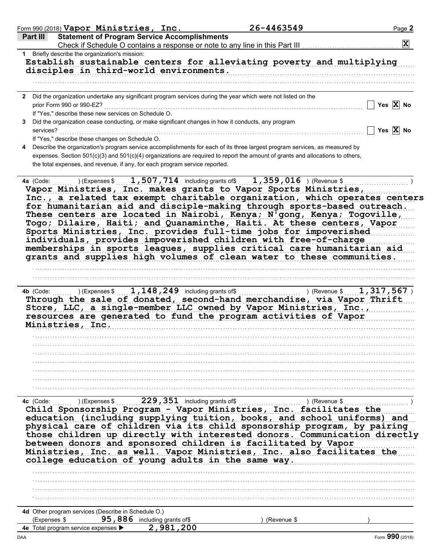| Form 990 (2018) Vapor Ministries, Inc.                                            |                                                                             | 26-4463549                                                                                                                                                                                                                                                                | Page 2                                                                                                                                                                                                                                                                                                                                                                                                                                                      |
|-----------------------------------------------------------------------------------|-----------------------------------------------------------------------------|---------------------------------------------------------------------------------------------------------------------------------------------------------------------------------------------------------------------------------------------------------------------------|-------------------------------------------------------------------------------------------------------------------------------------------------------------------------------------------------------------------------------------------------------------------------------------------------------------------------------------------------------------------------------------------------------------------------------------------------------------|
| Part III                                                                          | <b>Statement of Program Service Accomplishments</b>                         |                                                                                                                                                                                                                                                                           | $ \mathbf{X} $                                                                                                                                                                                                                                                                                                                                                                                                                                              |
| 1 Briefly describe the organization's mission:                                    |                                                                             |                                                                                                                                                                                                                                                                           |                                                                                                                                                                                                                                                                                                                                                                                                                                                             |
|                                                                                   | disciples in third-world environments.                                      |                                                                                                                                                                                                                                                                           | Establish sustainable centers for alleviating poverty and multiplying                                                                                                                                                                                                                                                                                                                                                                                       |
|                                                                                   |                                                                             |                                                                                                                                                                                                                                                                           |                                                                                                                                                                                                                                                                                                                                                                                                                                                             |
| prior Form 990 or 990-EZ?<br>If "Yes," describe these new services on Schedule O. |                                                                             | 2 Did the organization undertake any significant program services during the year which were not listed on the                                                                                                                                                            | Yes $X$ No                                                                                                                                                                                                                                                                                                                                                                                                                                                  |
| services?                                                                         |                                                                             | Did the organization cease conducting, or make significant changes in how it conducts, any program                                                                                                                                                                        | Yes $\overline{X}$ No                                                                                                                                                                                                                                                                                                                                                                                                                                       |
| If "Yes," describe these changes on Schedule O.                                   |                                                                             |                                                                                                                                                                                                                                                                           |                                                                                                                                                                                                                                                                                                                                                                                                                                                             |
|                                                                                   | the total expenses, and revenue, if any, for each program service reported. | Describe the organization's program service accomplishments for each of its three largest program services, as measured by<br>expenses. Section 501(c)(3) and 501(c)(4) organizations are required to report the amount of grants and allocations to others,              |                                                                                                                                                                                                                                                                                                                                                                                                                                                             |
| 4a (Code:                                                                         |                                                                             | $(1, 507, 714)$ including grants of $(1, 359, 016)$ (Revenue \$<br>Vapor Ministries, Inc. makes grants to Vapor Sports Ministries,<br>Sports Ministries, Inc. provides full-time jobs for impoverished<br>individuals, provides impoverished children with free-of-charge | Inc., a related tax exempt charitable organization, which operates centers<br>for humanitarian aid and disciple-making through sports-based outreach.<br>These centers are located in Nairobi, Kenya; N'gong, Kenya; Togoville,<br>Togo; Dilaire, Haiti; and Quanaminthe, Haiti. At these centers, Vapor<br>memberships in sports leagues, supplies critical care humanitarian aid<br>grants and supplies high volumes of clean water to these communities. |
|                                                                                   |                                                                             |                                                                                                                                                                                                                                                                           |                                                                                                                                                                                                                                                                                                                                                                                                                                                             |
| Ministries, Inc.                                                                  |                                                                             | resources are generated to fund the program activities of Vapor                                                                                                                                                                                                           | Through the sale of donated, second-hand merchandise, via Vapor Thrift<br>Store, LLC, a single-member LLC owned by Vapor Ministries, Inc.,                                                                                                                                                                                                                                                                                                                  |
|                                                                                   |                                                                             |                                                                                                                                                                                                                                                                           |                                                                                                                                                                                                                                                                                                                                                                                                                                                             |
|                                                                                   |                                                                             |                                                                                                                                                                                                                                                                           |                                                                                                                                                                                                                                                                                                                                                                                                                                                             |
|                                                                                   |                                                                             |                                                                                                                                                                                                                                                                           |                                                                                                                                                                                                                                                                                                                                                                                                                                                             |
|                                                                                   |                                                                             |                                                                                                                                                                                                                                                                           |                                                                                                                                                                                                                                                                                                                                                                                                                                                             |
|                                                                                   |                                                                             |                                                                                                                                                                                                                                                                           |                                                                                                                                                                                                                                                                                                                                                                                                                                                             |
|                                                                                   |                                                                             |                                                                                                                                                                                                                                                                           |                                                                                                                                                                                                                                                                                                                                                                                                                                                             |
| 4c (Code:                                                                         |                                                                             |                                                                                                                                                                                                                                                                           |                                                                                                                                                                                                                                                                                                                                                                                                                                                             |
|                                                                                   |                                                                             | Child Sponsorship Program - Vapor Ministries, Inc. facilitates the<br>between donors and sponsored children is facilitated by Vapor                                                                                                                                       | education (including supplying tuition, books, and school uniforms) and<br>physical care of children via its child sponsorship program, by pairing<br>those children up directly with interested donors. Communication directly<br>Ministries, Inc. as well. Vapor Ministries, Inc. also facilitates the                                                                                                                                                    |
|                                                                                   | college education of young adults in the same way.                          |                                                                                                                                                                                                                                                                           |                                                                                                                                                                                                                                                                                                                                                                                                                                                             |
|                                                                                   |                                                                             |                                                                                                                                                                                                                                                                           |                                                                                                                                                                                                                                                                                                                                                                                                                                                             |
|                                                                                   |                                                                             |                                                                                                                                                                                                                                                                           |                                                                                                                                                                                                                                                                                                                                                                                                                                                             |
|                                                                                   |                                                                             |                                                                                                                                                                                                                                                                           |                                                                                                                                                                                                                                                                                                                                                                                                                                                             |
|                                                                                   |                                                                             |                                                                                                                                                                                                                                                                           |                                                                                                                                                                                                                                                                                                                                                                                                                                                             |
|                                                                                   |                                                                             |                                                                                                                                                                                                                                                                           |                                                                                                                                                                                                                                                                                                                                                                                                                                                             |
| 4d Other program services (Describe in Schedule O.)<br>(Expenses \$               | 95, 886 including grants of \$                                              | (Revenue \$                                                                                                                                                                                                                                                               |                                                                                                                                                                                                                                                                                                                                                                                                                                                             |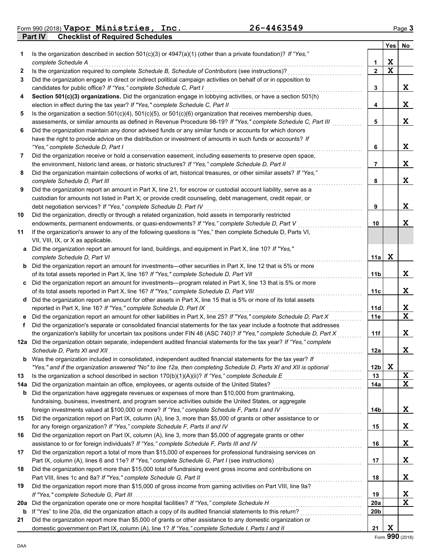**Part IV Checklist of Required Schedules** Form 990 (2018) Page **3 Vapor Ministries, Inc. 26-4463549**

|     |                                                                                                                                                                                                                   |                 | <b>Yes</b> | No          |
|-----|-------------------------------------------------------------------------------------------------------------------------------------------------------------------------------------------------------------------|-----------------|------------|-------------|
| 1.  | Is the organization described in section $501(c)(3)$ or $4947(a)(1)$ (other than a private foundation)? If "Yes,"                                                                                                 |                 |            |             |
|     | complete Schedule A                                                                                                                                                                                               | 1               | X          |             |
| 2   | Is the organization required to complete Schedule B, Schedule of Contributors (see instructions)?                                                                                                                 | $\overline{2}$  | X          |             |
| 3   | Did the organization engage in direct or indirect political campaign activities on behalf of or in opposition to                                                                                                  |                 |            |             |
|     | candidates for public office? If "Yes," complete Schedule C, Part I                                                                                                                                               | 3               |            | X           |
| 4   | Section 501(c)(3) organizations. Did the organization engage in lobbying activities, or have a section 501(h)                                                                                                     |                 |            |             |
|     | election in effect during the tax year? If "Yes," complete Schedule C, Part II                                                                                                                                    | 4               |            | X           |
| 5   | Is the organization a section $501(c)(4)$ , $501(c)(5)$ , or $501(c)(6)$ organization that receives membership dues,                                                                                              |                 |            |             |
|     | assessments, or similar amounts as defined in Revenue Procedure 98-19? If "Yes," complete Schedule C, Part III                                                                                                    | 5               |            | X           |
| 6   | Did the organization maintain any donor advised funds or any similar funds or accounts for which donors                                                                                                           |                 |            |             |
|     | have the right to provide advice on the distribution or investment of amounts in such funds or accounts? If                                                                                                       |                 |            |             |
|     | "Yes," complete Schedule D, Part I                                                                                                                                                                                | 6               |            | X           |
| 7   | Did the organization receive or hold a conservation easement, including easements to preserve open space,<br>the environment, historic land areas, or historic structures? If "Yes," complete Schedule D, Part II | 7               |            | X           |
| 8   | Did the organization maintain collections of works of art, historical treasures, or other similar assets? If "Yes,"                                                                                               |                 |            |             |
|     | complete Schedule D. Part III                                                                                                                                                                                     | 8               |            | X           |
| 9   | Did the organization report an amount in Part X, line 21, for escrow or custodial account liability, serve as a                                                                                                   |                 |            |             |
|     | custodian for amounts not listed in Part X; or provide credit counseling, debt management, credit repair, or                                                                                                      |                 |            |             |
|     | debt negotiation services? If "Yes," complete Schedule D, Part IV                                                                                                                                                 | 9               |            | X           |
| 10  | Did the organization, directly or through a related organization, hold assets in temporarily restricted                                                                                                           |                 |            |             |
|     | endowments, permanent endowments, or quasi-endowments? If "Yes," complete Schedule D, Part V                                                                                                                      | 10              |            | X           |
| 11  | If the organization's answer to any of the following questions is "Yes," then complete Schedule D, Parts VI,                                                                                                      |                 |            |             |
|     | VII, VIII, IX, or X as applicable.                                                                                                                                                                                |                 |            |             |
|     | a Did the organization report an amount for land, buildings, and equipment in Part X, line 10? If "Yes,"                                                                                                          |                 |            |             |
|     | complete Schedule D, Part VI                                                                                                                                                                                      | 11a             | X          |             |
|     | <b>b</b> Did the organization report an amount for investments—other securities in Part X, line 12 that is 5% or more                                                                                             |                 |            |             |
|     | of its total assets reported in Part X, line 16? If "Yes," complete Schedule D, Part VII                                                                                                                          | 11b             |            | X           |
|     | c Did the organization report an amount for investments—program related in Part X, line 13 that is 5% or more                                                                                                     |                 |            |             |
|     | of its total assets reported in Part X, line 16? If "Yes," complete Schedule D, Part VIII [[[[[[[[[[[[[[[[[[[                                                                                                     | 11с             |            | X           |
|     | d Did the organization report an amount for other assets in Part X, line 15 that is 5% or more of its total assets                                                                                                |                 |            |             |
|     | reported in Part X, line 16? If "Yes," complete Schedule D, Part IX                                                                                                                                               | 11d             |            | X           |
|     | Did the organization report an amount for other liabilities in Part X, line 25? If "Yes," complete Schedule D, Part X                                                                                             | 11e             |            | $\mathbf x$ |
| f   | Did the organization's separate or consolidated financial statements for the tax year include a footnote that addresses                                                                                           |                 |            |             |
|     | the organization's liability for uncertain tax positions under FIN 48 (ASC 740)? If "Yes," complete Schedule D, Part X                                                                                            | 11f             |            | X           |
|     | 12a Did the organization obtain separate, independent audited financial statements for the tax year? If "Yes," complete                                                                                           |                 |            | X           |
|     | Was the organization included in consolidated, independent audited financial statements for the tax year? If                                                                                                      | 12a             |            |             |
| b   | "Yes," and if the organization answered "No" to line 12a, then completing Schedule D, Parts XI and XII is optional                                                                                                | 12 <sub>b</sub> | X          |             |
| 13  |                                                                                                                                                                                                                   | 13              |            | X           |
| 14a | Did the organization maintain an office, employees, or agents outside of the United States?                                                                                                                       | 14a             |            | X           |
| b   | Did the organization have aggregate revenues or expenses of more than \$10,000 from grantmaking,                                                                                                                  |                 |            |             |
|     | fundraising, business, investment, and program service activities outside the United States, or aggregate                                                                                                         |                 |            |             |
|     | foreign investments valued at \$100,000 or more? If "Yes," complete Schedule F, Parts I and IV [[[[[[[[[[[[[[[                                                                                                    | 14b             |            | X           |
| 15  | Did the organization report on Part IX, column (A), line 3, more than \$5,000 of grants or other assistance to or                                                                                                 |                 |            |             |
|     | for any foreign organization? If "Yes," complete Schedule F, Parts II and IV                                                                                                                                      | 15              |            | X           |
| 16  | Did the organization report on Part IX, column (A), line 3, more than \$5,000 of aggregate grants or other                                                                                                        |                 |            |             |
|     | assistance to or for foreign individuals? If "Yes," complete Schedule F, Parts III and IV                                                                                                                         | 16              |            | X           |
| 17  | Did the organization report a total of more than \$15,000 of expenses for professional fundraising services on                                                                                                    |                 |            |             |
|     |                                                                                                                                                                                                                   | 17              |            | X           |
| 18  | Did the organization report more than \$15,000 total of fundraising event gross income and contributions on                                                                                                       |                 |            |             |
|     | Part VIII, lines 1c and 8a? If "Yes," complete Schedule G, Part II                                                                                                                                                | 18              |            | X           |
| 19  | Did the organization report more than \$15,000 of gross income from gaming activities on Part VIII, line 9a?                                                                                                      |                 |            |             |
|     |                                                                                                                                                                                                                   | 19              |            | X           |
| 20a | Did the organization operate one or more hospital facilities? If "Yes," complete Schedule H                                                                                                                       | <b>20a</b>      |            | X           |
| b   |                                                                                                                                                                                                                   | 20b             |            |             |
| 21  | Did the organization report more than \$5,000 of grants or other assistance to any domestic organization or                                                                                                       |                 |            |             |
|     |                                                                                                                                                                                                                   | 21              | X          |             |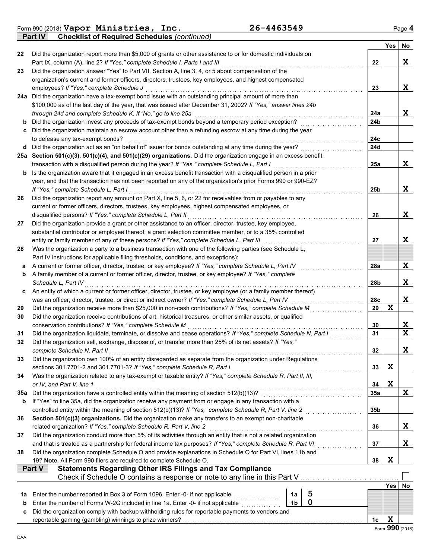Form 990 (2018) Page **4 Vapor Ministries, Inc. 26-4463549**

**Part IV Checklist of Required Schedules** *(continued)*

|     |                                                                                                                                                                                                                     |                | Yes        | No               |
|-----|---------------------------------------------------------------------------------------------------------------------------------------------------------------------------------------------------------------------|----------------|------------|------------------|
| 22  | Did the organization report more than \$5,000 of grants or other assistance to or for domestic individuals on                                                                                                       |                |            |                  |
|     | Part IX, column (A), line 2? If "Yes," complete Schedule I, Parts I and III                                                                                                                                         | 22             |            | X                |
| 23  | Did the organization answer "Yes" to Part VII, Section A, line 3, 4, or 5 about compensation of the                                                                                                                 |                |            |                  |
|     | organization's current and former officers, directors, trustees, key employees, and highest compensated                                                                                                             |                |            |                  |
|     | employees? If "Yes," complete Schedule J                                                                                                                                                                            | 23             |            | X                |
|     | 24a Did the organization have a tax-exempt bond issue with an outstanding principal amount of more than                                                                                                             |                |            |                  |
|     | \$100,000 as of the last day of the year, that was issued after December 31, 2002? If "Yes," answer lines 24b<br>through 24d and complete Schedule K. If "No," go to line 25a                                       | 24a            |            | X                |
|     | <b>b</b> Did the organization invest any proceeds of tax-exempt bonds beyond a temporary period exception?                                                                                                          | 24b            |            |                  |
|     | c Did the organization maintain an escrow account other than a refunding escrow at any time during the year                                                                                                         |                |            |                  |
|     | to defease any tax-exempt bonds?                                                                                                                                                                                    | 24c            |            |                  |
|     | d Did the organization act as an "on behalf of" issuer for bonds outstanding at any time during the year?                                                                                                           | 24d            |            |                  |
|     | 25a Section 501(c)(3), 501(c)(4), and 501(c)(29) organizations. Did the organization engage in an excess benefit                                                                                                    |                |            |                  |
|     | transaction with a disqualified person during the year? If "Yes," complete Schedule L, Part I                                                                                                                       | 25a            |            | X                |
|     | <b>b</b> Is the organization aware that it engaged in an excess benefit transaction with a disqualified person in a prior                                                                                           |                |            |                  |
|     | year, and that the transaction has not been reported on any of the organization's prior Forms 990 or 990-EZ?                                                                                                        |                |            |                  |
|     | If "Yes," complete Schedule L, Part I                                                                                                                                                                               | 25b            |            | X                |
| 26  | Did the organization report any amount on Part X, line 5, 6, or 22 for receivables from or payables to any                                                                                                          |                |            |                  |
|     | current or former officers, directors, trustees, key employees, highest compensated employees, or                                                                                                                   |                |            |                  |
|     | disqualified persons? If "Yes," complete Schedule L, Part II                                                                                                                                                        | 26             |            | X                |
| 27  | Did the organization provide a grant or other assistance to an officer, director, trustee, key employee,<br>substantial contributor or employee thereof, a grant selection committee member, or to a 35% controlled |                |            |                  |
|     | entity or family member of any of these persons? If "Yes," complete Schedule L, Part III                                                                                                                            | 27             |            | X                |
| 28  | Was the organization a party to a business transaction with one of the following parties (see Schedule L,                                                                                                           |                |            |                  |
|     | Part IV instructions for applicable filing thresholds, conditions, and exceptions):                                                                                                                                 |                |            |                  |
| a   | A current or former officer, director, trustee, or key employee? If "Yes," complete Schedule L, Part IV                                                                                                             | 28a            |            | X                |
| b   | A family member of a current or former officer, director, trustee, or key employee? If "Yes," complete                                                                                                              |                |            |                  |
|     | Schedule L. Part IV                                                                                                                                                                                                 | 28b            |            | X                |
| C   | An entity of which a current or former officer, director, trustee, or key employee (or a family member thereof)                                                                                                     |                |            |                  |
|     | was an officer, director, trustee, or direct or indirect owner? If "Yes," complete Schedule L, Part IV                                                                                                              | 28c            |            | X                |
| 29  | Did the organization receive more than \$25,000 in non-cash contributions? If "Yes," complete Schedule M                                                                                                            | 29             | X          |                  |
| 30  | Did the organization receive contributions of art, historical treasures, or other similar assets, or qualified                                                                                                      |                |            |                  |
|     | conservation contributions? If "Yes," complete Schedule M                                                                                                                                                           | 30             |            | X<br>$\mathbf x$ |
| 31  | Did the organization liquidate, terminate, or dissolve and cease operations? If "Yes," complete Schedule N, Part I                                                                                                  | 31             |            |                  |
| 32  | Did the organization sell, exchange, dispose of, or transfer more than 25% of its net assets? If "Yes,"<br>complete Schedule N, Part II                                                                             | 32             |            | X                |
| 33  | Did the organization own 100% of an entity disregarded as separate from the organization under Regulations                                                                                                          |                |            |                  |
|     | sections 301.7701-2 and 301.7701-3? If "Yes," complete Schedule R, Part I                                                                                                                                           | 33             | X          |                  |
| 34  | Was the organization related to any tax-exempt or taxable entity? If "Yes," complete Schedule R, Part II, III,                                                                                                      |                |            |                  |
|     | or IV, and Part V, line 1                                                                                                                                                                                           | 34             | X          |                  |
| 35a | Did the organization have a controlled entity within the meaning of section 512(b)(13)?                                                                                                                             | <b>35a</b>     |            | X                |
| b   | If "Yes" to line 35a, did the organization receive any payment from or engage in any transaction with a                                                                                                             |                |            |                  |
|     |                                                                                                                                                                                                                     | 35b            |            |                  |
| 36  | Section 501(c)(3) organizations. Did the organization make any transfers to an exempt non-charitable                                                                                                                |                |            |                  |
|     | related organization? If "Yes," complete Schedule R, Part V, line 2                                                                                                                                                 | 36             |            | X                |
| 37  | Did the organization conduct more than 5% of its activities through an entity that is not a related organization                                                                                                    |                |            |                  |
|     | and that is treated as a partnership for federal income tax purposes? If "Yes," complete Schedule R, Part VI                                                                                                        | 37             |            | Χ                |
| 38  | Did the organization complete Schedule O and provide explanations in Schedule O for Part VI, lines 11b and<br>19? Note. All Form 990 filers are required to complete Schedule O.                                    | 38             | X          |                  |
|     | <b>Statements Regarding Other IRS Filings and Tax Compliance</b><br>Part V                                                                                                                                          |                |            |                  |
|     | Check if Schedule O contains a response or note to any line in this Part V                                                                                                                                          |                |            |                  |
|     |                                                                                                                                                                                                                     |                | <b>Yes</b> | No               |
| 1a  | 5<br>Enter the number reported in Box 3 of Form 1096. Enter -0- if not applicable<br>1a                                                                                                                             |                |            |                  |
| b   | $\mathbf 0$<br>1 <sub>b</sub><br>Enter the number of Forms W-2G included in line 1a. Enter -0- if not applicable <i>mimimimimimimimi</i>                                                                            |                |            |                  |
| c   | Did the organization comply with backup withholding rules for reportable payments to vendors and                                                                                                                    |                |            |                  |
|     |                                                                                                                                                                                                                     | 1 <sub>c</sub> | X          |                  |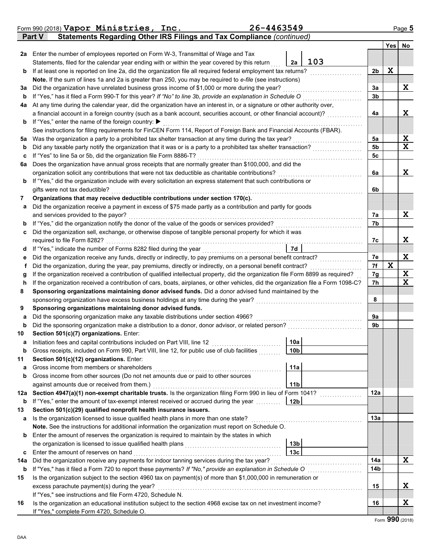|        | Form 990 (2018) Vapor Ministries, Inc.                                                                                             | 26-4463549 |                 |     |                |             | Page 5      |
|--------|------------------------------------------------------------------------------------------------------------------------------------|------------|-----------------|-----|----------------|-------------|-------------|
|        | Statements Regarding Other IRS Filings and Tax Compliance (continued)<br><b>Part V</b>                                             |            |                 |     |                |             |             |
|        |                                                                                                                                    |            |                 |     |                | <b>Yes</b>  | No          |
|        | 2a Enter the number of employees reported on Form W-3, Transmittal of Wage and Tax                                                 |            |                 |     |                |             |             |
|        | Statements, filed for the calendar year ending with or within the year covered by this return                                      |            | 2a              | 103 |                |             |             |
| b      | If at least one is reported on line 2a, did the organization file all required federal employment tax returns?                     |            |                 |     | 2b             | X           |             |
|        | Note. If the sum of lines 1a and 2a is greater than 250, you may be required to e-file (see instructions)                          |            |                 |     |                |             |             |
| За     | Did the organization have unrelated business gross income of \$1,000 or more during the year?                                      |            |                 |     | 3a             |             | Χ           |
| b      | If "Yes," has it filed a Form 990-T for this year? If "No" to line 3b, provide an explanation in Schedule O                        |            |                 |     | 3 <sub>b</sub> |             |             |
| 4a     | At any time during the calendar year, did the organization have an interest in, or a signature or other authority over,            |            |                 |     |                |             |             |
|        | a financial account in a foreign country (such as a bank account, securities account, or other financial account)?                 |            |                 |     | 4a             |             | X           |
| b      | If "Yes," enter the name of the foreign country: ▶                                                                                 |            |                 |     |                |             |             |
|        | See instructions for filing requirements for FinCEN Form 114, Report of Foreign Bank and Financial Accounts (FBAR).                |            |                 |     |                |             |             |
| 5a     | Was the organization a party to a prohibited tax shelter transaction at any time during the tax year?                              |            |                 |     | 5a             |             | X           |
| b      | Did any taxable party notify the organization that it was or is a party to a prohibited tax shelter transaction?                   |            |                 |     | 5 <sub>b</sub> |             | $\mathbf x$ |
| с      | If "Yes" to line 5a or 5b, did the organization file Form 8886-T?                                                                  |            |                 |     | 5c             |             |             |
| 6a     | Does the organization have annual gross receipts that are normally greater than \$100,000, and did the                             |            |                 |     |                |             |             |
|        | organization solicit any contributions that were not tax deductible as charitable contributions?                                   |            |                 |     | 6a             |             | X           |
| b      | If "Yes," did the organization include with every solicitation an express statement that such contributions or                     |            |                 |     |                |             |             |
|        | gifts were not tax deductible?                                                                                                     |            |                 |     | 6b             |             |             |
| 7      | Organizations that may receive deductible contributions under section 170(c).                                                      |            |                 |     |                |             |             |
| a      | Did the organization receive a payment in excess of \$75 made partly as a contribution and partly for goods                        |            |                 |     |                |             |             |
|        | and services provided to the payor?                                                                                                |            |                 |     | 7а             |             | X           |
| b      | If "Yes," did the organization notify the donor of the value of the goods or services provided?                                    |            |                 |     | 7b             |             |             |
| с      | Did the organization sell, exchange, or otherwise dispose of tangible personal property for which it was                           |            |                 |     |                |             | Χ           |
|        | required to file Form 8282?<br>If "Yes," indicate the number of Forms 8282 filed during the year                                   |            | 7d              |     | 7c             |             |             |
| d      | Did the organization receive any funds, directly or indirectly, to pay premiums on a personal benefit contract?                    |            |                 |     | 7e             |             | X           |
| е<br>Ť | Did the organization, during the year, pay premiums, directly or indirectly, on a personal benefit contract?                       |            |                 |     | 7f             | $\mathbf x$ |             |
| g      | If the organization received a contribution of qualified intellectual property, did the organization file Form 8899 as required?   |            |                 |     | 7g             |             | X           |
| h      | If the organization received a contribution of cars, boats, airplanes, or other vehicles, did the organization file a Form 1098-C? |            |                 |     | 7h             |             | $\mathbf x$ |
| 8      | Sponsoring organizations maintaining donor advised funds. Did a donor advised fund maintained by the                               |            |                 |     |                |             |             |
|        | sponsoring organization have excess business holdings at any time during the year?                                                 |            |                 |     | 8              |             |             |
| 9      | Sponsoring organizations maintaining donor advised funds.                                                                          |            |                 |     |                |             |             |
| a      | Did the sponsoring organization make any taxable distributions under section 4966?                                                 |            |                 |     | 9a             |             |             |
| b      | Did the sponsoring organization make a distribution to a donor, donor advisor, or related person?                                  |            |                 |     | 9b             |             |             |
| 10     | Section 501(c)(7) organizations. Enter:                                                                                            |            |                 |     |                |             |             |
|        | Initiation fees and capital contributions included on Part VIII, line 12                                                           |            | 10a             |     |                |             |             |
| b      | Gross receipts, included on Form 990, Part VIII, line 12, for public use of club facilities                                        |            | 10 <sub>b</sub> |     |                |             |             |
| 11     | Section 501(c)(12) organizations. Enter:                                                                                           |            |                 |     |                |             |             |
| a      | Gross income from members or shareholders                                                                                          |            | 11a             |     |                |             |             |
| b      | Gross income from other sources (Do not net amounts due or paid to other sources                                                   |            |                 |     |                |             |             |
|        | against amounts due or received from them.)                                                                                        |            | 11 <sub>b</sub> |     |                |             |             |
| 12a    | Section 4947(a)(1) non-exempt charitable trusts. Is the organization filing Form 990 in lieu of Form 1041?                         |            |                 |     | 12a            |             |             |
| b      | If "Yes," enter the amount of tax-exempt interest received or accrued during the year                                              |            | 12 <sub>b</sub> |     |                |             |             |
| 13     | Section 501(c)(29) qualified nonprofit health insurance issuers.                                                                   |            |                 |     |                |             |             |
| а      | Is the organization licensed to issue qualified health plans in more than one state?                                               |            |                 |     | 13a            |             |             |
|        | Note. See the instructions for additional information the organization must report on Schedule O.                                  |            |                 |     |                |             |             |
| b      | Enter the amount of reserves the organization is required to maintain by the states in which                                       |            |                 |     |                |             |             |
|        | the organization is licensed to issue qualified health plans                                                                       |            | 13 <sub>b</sub> |     |                |             |             |
| c      | Enter the amount of reserves on hand                                                                                               |            | 13 <sub>c</sub> |     |                |             |             |
| 14a    | Did the organization receive any payments for indoor tanning services during the tax year?                                         |            |                 |     | 14a            |             | X           |
| b      | If "Yes," has it filed a Form 720 to report these payments? If "No," provide an explanation in Schedule O                          |            |                 |     | 14b            |             |             |
| 15     | Is the organization subject to the section 4960 tax on payment(s) of more than \$1,000,000 in remuneration or                      |            |                 |     |                |             |             |
|        | excess parachute payment(s) during the year?                                                                                       |            |                 |     | 15             |             | X           |
|        | If "Yes," see instructions and file Form 4720, Schedule N.                                                                         |            |                 |     |                |             |             |
| 16     | Is the organization an educational institution subject to the section 4968 excise tax on net investment income?                    |            |                 |     | 16             |             | X           |
|        | If "Yes," complete Form 4720, Schedule O.                                                                                          |            |                 |     |                |             |             |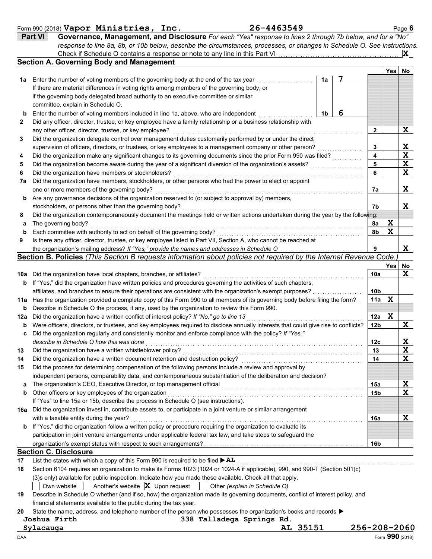### Form 990 (2018) Page **6 Vapor Ministries, Inc. 26-4463549**

| <b>Part VI</b> | Governance, Management, and Disclosure For each "Yes" response to lines 2 through 7b below, and for a "No"                |          |
|----------------|---------------------------------------------------------------------------------------------------------------------------|----------|
|                | response to line 8a, 8b, or 10b below, describe the circumstances, processes, or changes in Schedule O. See instructions. |          |
|                | Check if Schedule O contains a response or note to any line in this Part VI                                               | <b>X</b> |

|              | <b>Section A. Governing Body and Management</b>                                                                                                                                                           |    |   |     | Yes | No          |
|--------------|-----------------------------------------------------------------------------------------------------------------------------------------------------------------------------------------------------------|----|---|-----|-----|-------------|
| 1a           | Enter the number of voting members of the governing body at the end of the tax year                                                                                                                       | 1a | 7 |     |     |             |
|              | If there are material differences in voting rights among members of the governing body, or                                                                                                                |    |   |     |     |             |
|              | if the governing body delegated broad authority to an executive committee or similar                                                                                                                      |    |   |     |     |             |
|              | committee, explain in Schedule O.                                                                                                                                                                         |    |   |     |     |             |
| b            | Enter the number of voting members included in line 1a, above, who are independent                                                                                                                        | 1b | 6 |     |     |             |
| $\mathbf{2}$ | Did any officer, director, trustee, or key employee have a family relationship or a business relationship with                                                                                            |    |   |     |     |             |
|              | any other officer, director, trustee, or key employee?                                                                                                                                                    |    |   | 2   |     | X           |
| 3            | Did the organization delegate control over management duties customarily performed by or under the direct                                                                                                 |    |   |     |     |             |
|              | supervision of officers, directors, or trustees, or key employees to a management company or other person?                                                                                                |    |   | 3   |     | X           |
| 4            | Did the organization make any significant changes to its governing documents since the prior Form 990 was filed?                                                                                          |    |   | 4   |     | $\mathbf x$ |
| 5            | Did the organization become aware during the year of a significant diversion of the organization's assets?                                                                                                |    |   | 5   |     | X           |
| 6            | Did the organization have members or stockholders?                                                                                                                                                        |    |   | 6   |     | $\mathbf x$ |
| 7a           | Did the organization have members, stockholders, or other persons who had the power to elect or appoint                                                                                                   |    |   |     |     |             |
|              | one or more members of the governing body?                                                                                                                                                                |    |   | 7a  |     | X           |
| b            | Are any governance decisions of the organization reserved to (or subject to approval by) members,                                                                                                         |    |   |     |     |             |
|              | stockholders, or persons other than the governing body?                                                                                                                                                   |    |   | 7b  |     | X           |
| 8            | Did the organization contemporaneously document the meetings held or written actions undertaken during the year by the following:                                                                         |    |   |     |     |             |
| а            | The governing body?                                                                                                                                                                                       |    |   | 8a  | X   |             |
| b            | Each committee with authority to act on behalf of the governing body?                                                                                                                                     |    |   | 8b  | X   |             |
| 9            | Is there any officer, director, trustee, or key employee listed in Part VII, Section A, who cannot be reached at                                                                                          |    |   |     |     |             |
|              | the organization's mailing address? If "Yes," provide the names and addresses in Schedule O                                                                                                               |    |   | 9   |     | X           |
|              | Section B. Policies (This Section B requests information about policies not required by the Internal Revenue Code.)                                                                                       |    |   |     |     |             |
|              |                                                                                                                                                                                                           |    |   |     | Yes | No          |
| 10a          | Did the organization have local chapters, branches, or affiliates?                                                                                                                                        |    |   | 10a |     | $\mathbf x$ |
| b            | If "Yes," did the organization have written policies and procedures governing the activities of such chapters,                                                                                            |    |   |     |     |             |
|              | affiliates, and branches to ensure their operations are consistent with the organization's exempt purposes?                                                                                               |    |   | 10b |     |             |
| 11a          | Has the organization provided a complete copy of this Form 990 to all members of its governing body before filing the form?                                                                               |    |   | 11a | X   |             |
| b            | Describe in Schedule O the process, if any, used by the organization to review this Form 990.                                                                                                             |    |   |     |     |             |
| 12a          | Did the organization have a written conflict of interest policy? If "No," go to line 13                                                                                                                   |    |   | 12a | X   |             |
| b            | Were officers, directors, or trustees, and key employees required to disclose annually interests that could give rise to conflicts?                                                                       |    |   | 12b |     | X           |
| c            | Did the organization regularly and consistently monitor and enforce compliance with the policy? If "Yes,"                                                                                                 |    |   |     |     |             |
|              | describe in Schedule O how this was done                                                                                                                                                                  |    |   | 12c |     | X           |
| 13           | Did the organization have a written whistleblower policy?                                                                                                                                                 |    |   | 13  |     | $\mathbf X$ |
| 14           | Did the organization have a written document retention and destruction policy?                                                                                                                            |    |   | 14  |     | $\mathbf x$ |
| 15           | Did the process for determining compensation of the following persons include a review and approval by                                                                                                    |    |   |     |     |             |
|              | independent persons, comparability data, and contemporaneous substantiation of the deliberation and decision?                                                                                             |    |   |     |     |             |
| a            | The organization's CEO, Executive Director, or top management official                                                                                                                                    |    |   | 15a |     | X           |
| b            | Other officers or key employees of the organization                                                                                                                                                       |    |   | 15b |     | X           |
|              | If "Yes" to line 15a or 15b, describe the process in Schedule O (see instructions).                                                                                                                       |    |   |     |     |             |
|              | 16a Did the organization invest in, contribute assets to, or participate in a joint venture or similar arrangement                                                                                        |    |   |     |     |             |
|              | with a taxable entity during the year?                                                                                                                                                                    |    |   | 16a |     | X           |
| b            | If "Yes," did the organization follow a written policy or procedure requiring the organization to evaluate its                                                                                            |    |   |     |     |             |
|              | participation in joint venture arrangements under applicable federal tax law, and take steps to safeguard the                                                                                             |    |   |     |     |             |
|              |                                                                                                                                                                                                           |    |   | 16b |     |             |
|              | <b>Section C. Disclosure</b>                                                                                                                                                                              |    |   |     |     |             |
| 17           | List the states with which a copy of this Form 990 is required to be filed ▶ AL                                                                                                                           |    |   |     |     |             |
| 18           | Section 6104 requires an organization to make its Forms 1023 (1024 or 1024-A if applicable), 990, and 990-T (Section 501(c)                                                                               |    |   |     |     |             |
|              | (3)s only) available for public inspection. Indicate how you made these available. Check all that apply.                                                                                                  |    |   |     |     |             |
|              | Another's website $ \mathbf{X} $ Upon request<br>Other (explain in Schedule O)<br>Own website    <br>$\pm$                                                                                                |    |   |     |     |             |
| 19           | Describe in Schedule O whether (and if so, how) the organization made its governing documents, conflict of interest policy, and                                                                           |    |   |     |     |             |
|              | financial statements available to the public during the tax year.<br>State the name, address, and telephone number of the person who possesses the organization's books and records $\blacktriangleright$ |    |   |     |     |             |
| 20           | 338 Talladega Springs Rd.<br>Joshua Firth                                                                                                                                                                 |    |   |     |     |             |
|              |                                                                                                                                                                                                           |    |   |     |     |             |

**Sylacauga AL 35151 256-208-2060**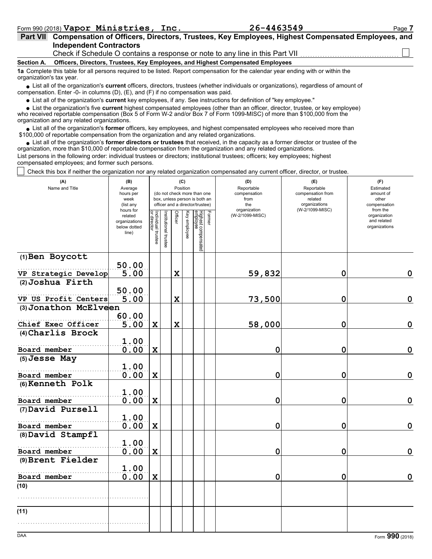| Part VII Compensation of Officers, Directors, Trustees, Key Employees, Highest Compensated Employees, and                         |
|-----------------------------------------------------------------------------------------------------------------------------------|
| <b>Independent Contractors</b>                                                                                                    |
| Check if Schedule O contains a response or note to any line in this Part VII                                                      |
| Section A. Officers, Directors, Trustees, Key Employees, and Highest Compensated Employees                                        |
| 1a Complete this table for all persons required to be listed. Report compensation for the calendar year ending with or within the |

organization's tax year.

■ List all of the organization's **current** officers, directors, trustees (whether individuals or organizations), regardless of amount of compensation. Enter -0- in columns (D), (E), and (F) if no compensation was paid.

List all of the organization's **current** key employees, if any. See instructions for definition of "key employee."

■ List all of the organization's **current** key employees, if any. See instructions for definition of "key employee."<br>■ List the organization's five **current** highest compensated employees (other than an officer, director,

who received reportable compensation (Box 5 of Form W-2 and/or Box 7 of Form 1099-MISC) of more than \$100,000 from the organization and any related organizations.

• List all of the organization's **former** officers, key employees, and highest compensated employees who received more than<br>00,000 of reportable compensation from the organization and any related organizations. \$100,000 of reportable compensation from the organization and any related organizations.

• List all of the organization's **former directors or trustees** that received, in the capacity as a former director or trustee of the organization, more than \$10,000 of reportable compensation from the organization and any related organizations. List persons in the following order: individual trustees or directors; institutional trustees; officers; key employees; highest compensated employees; and former such persons.

Check this box if neither the organization nor any related organization compensated any current officer, director, or trustee.

| (A)<br>Name and Title | (B)<br>Average<br>hours per<br>week<br>(list any               |                                   |                       | (C)            | Position     | (do not check more than one<br>box, unless person is both an<br>officer and a director/trustee) | (E)<br>Reportable<br>compensation from<br>related<br>organizations | (F)<br>Estimated<br>amount of<br>other<br>compensation<br>from the |                 |                                              |
|-----------------------|----------------------------------------------------------------|-----------------------------------|-----------------------|----------------|--------------|-------------------------------------------------------------------------------------------------|--------------------------------------------------------------------|--------------------------------------------------------------------|-----------------|----------------------------------------------|
|                       | hours for<br>related<br>organizations<br>below dotted<br>line) | Individual trustee<br>or director | Institutional trustee | <b>Officer</b> | Key employee | Highest compensated<br>employee                                                                 | Former                                                             | organization<br>(W-2/1099-MISC)                                    | (W-2/1099-MISC) | organization<br>and related<br>organizations |
| (1) Ben Boycott       | 50.00                                                          |                                   |                       |                |              |                                                                                                 |                                                                    |                                                                    |                 |                                              |
| VP Strategic Develop  | 5.00                                                           |                                   |                       | $\mathbf x$    |              |                                                                                                 |                                                                    | 59,832                                                             | 0               | $\mathbf 0$                                  |
| (2) Joshua Firth      | 50.00                                                          |                                   |                       |                |              |                                                                                                 |                                                                    |                                                                    |                 |                                              |
| VP US Profit Centers  | 5.00                                                           |                                   |                       | $\mathbf x$    |              |                                                                                                 |                                                                    | 73,500                                                             | 0               | $\mathbf 0$                                  |
| (3) Jonathon McElveen |                                                                |                                   |                       |                |              |                                                                                                 |                                                                    |                                                                    |                 |                                              |
| Chief Exec Officer    | 60.00<br>5.00                                                  | $\mathbf x$                       |                       | $\mathbf x$    |              |                                                                                                 |                                                                    | 58,000                                                             | 0               | $\mathbf 0$                                  |
| (4) Charlis Brock     |                                                                |                                   |                       |                |              |                                                                                                 |                                                                    |                                                                    |                 |                                              |
|                       | 1.00                                                           |                                   |                       |                |              |                                                                                                 |                                                                    |                                                                    |                 |                                              |
| Board member          | 0.00                                                           | $\mathbf x$                       |                       |                |              |                                                                                                 |                                                                    | $\mathbf 0$                                                        | 0               | $\mathbf 0$                                  |
| (5) Jesse May         | 1.00                                                           |                                   |                       |                |              |                                                                                                 |                                                                    |                                                                    |                 |                                              |
| Board member          | 0.00                                                           | $\mathbf x$                       |                       |                |              |                                                                                                 |                                                                    | $\mathbf 0$                                                        | 0               | $\mathbf 0$                                  |
| (6) Kenneth Polk      | 1.00                                                           |                                   |                       |                |              |                                                                                                 |                                                                    |                                                                    |                 |                                              |
| Board member          | 0.00                                                           | $\mathbf x$                       |                       |                |              |                                                                                                 |                                                                    | $\mathbf 0$                                                        | 0               | $\mathbf 0$                                  |
| (7) David Pursell     |                                                                |                                   |                       |                |              |                                                                                                 |                                                                    |                                                                    |                 |                                              |
| Board member          | 1.00<br>0.00                                                   | $\mathbf x$                       |                       |                |              |                                                                                                 |                                                                    | $\mathbf 0$                                                        | 0               | $\mathbf 0$                                  |
| (8) David Stampfl     |                                                                |                                   |                       |                |              |                                                                                                 |                                                                    |                                                                    |                 |                                              |
| Board member          | 1.00<br>0.00                                                   | $\mathbf x$                       |                       |                |              |                                                                                                 |                                                                    | $\mathbf 0$                                                        | 0               | $\mathbf 0$                                  |
| (9) Brent Fielder     | 1.00                                                           |                                   |                       |                |              |                                                                                                 |                                                                    |                                                                    |                 |                                              |
| Board member          | 0.00                                                           | $\mathbf x$                       |                       |                |              |                                                                                                 |                                                                    | 0                                                                  | 0               | $\mathbf 0$                                  |
| (10)                  |                                                                |                                   |                       |                |              |                                                                                                 |                                                                    |                                                                    |                 |                                              |
|                       |                                                                |                                   |                       |                |              |                                                                                                 |                                                                    |                                                                    |                 |                                              |
| (11)                  |                                                                |                                   |                       |                |              |                                                                                                 |                                                                    |                                                                    |                 |                                              |
|                       |                                                                |                                   |                       |                |              |                                                                                                 |                                                                    |                                                                    |                 |                                              |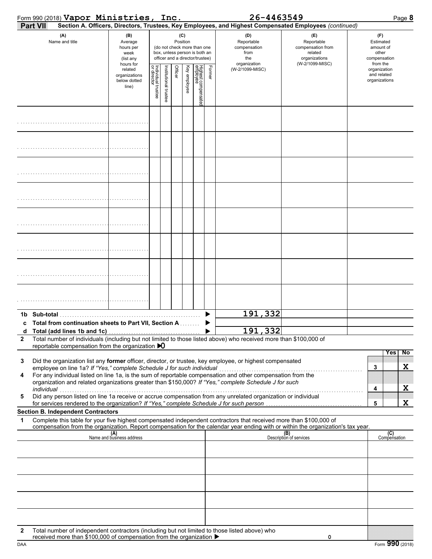|              | Form 990 (2018) Vapor Ministries, Inc.                                                                                                                                                                                                                                                         |                                                                                                                                                                                     |                                   |                      |         |              |                                 |        | 26-4463549                                                       |                                                                                                                                                                    |                                                                    | Page 8              |
|--------------|------------------------------------------------------------------------------------------------------------------------------------------------------------------------------------------------------------------------------------------------------------------------------------------------|-------------------------------------------------------------------------------------------------------------------------------------------------------------------------------------|-----------------------------------|----------------------|---------|--------------|---------------------------------|--------|------------------------------------------------------------------|--------------------------------------------------------------------------------------------------------------------------------------------------------------------|--------------------------------------------------------------------|---------------------|
|              | <b>Part VII</b>                                                                                                                                                                                                                                                                                |                                                                                                                                                                                     |                                   |                      |         |              |                                 |        |                                                                  | Section A. Officers, Directors, Trustees, Key Employees, and Highest Compensated Employees (continued)                                                             |                                                                    |                     |
|              | (A)<br>Name and title                                                                                                                                                                                                                                                                          | (B)<br>(C)<br>Position<br>Average<br>(do not check more than one<br>hours per<br>box, unless person is both an<br>week<br>officer and a director/trustee)<br>(list any<br>hours for |                                   |                      |         |              |                                 |        | (D)<br>Reportable<br>compensation<br>from<br>the<br>organization | (E)<br>Reportable<br>compensation from<br>related<br>organizations<br>(W-2/1099-MISC)                                                                              | (F)<br>Estimated<br>amount of<br>other<br>compensation<br>from the |                     |
|              |                                                                                                                                                                                                                                                                                                | related<br>organizations<br>below dotted<br>line)                                                                                                                                   | Individual trustee<br>or director | nstitutional trustee | Officer | Key employee | Highest compensatec<br>employee | Former | (W-2/1099-MISC)                                                  |                                                                                                                                                                    | organization<br>and related<br>organizations                       |                     |
|              |                                                                                                                                                                                                                                                                                                |                                                                                                                                                                                     |                                   |                      |         |              |                                 |        |                                                                  |                                                                                                                                                                    |                                                                    |                     |
|              |                                                                                                                                                                                                                                                                                                |                                                                                                                                                                                     |                                   |                      |         |              |                                 |        |                                                                  |                                                                                                                                                                    |                                                                    |                     |
|              |                                                                                                                                                                                                                                                                                                |                                                                                                                                                                                     |                                   |                      |         |              |                                 |        |                                                                  |                                                                                                                                                                    |                                                                    |                     |
|              |                                                                                                                                                                                                                                                                                                |                                                                                                                                                                                     |                                   |                      |         |              |                                 |        |                                                                  |                                                                                                                                                                    |                                                                    |                     |
|              |                                                                                                                                                                                                                                                                                                |                                                                                                                                                                                     |                                   |                      |         |              |                                 |        |                                                                  |                                                                                                                                                                    |                                                                    |                     |
|              |                                                                                                                                                                                                                                                                                                |                                                                                                                                                                                     |                                   |                      |         |              |                                 |        |                                                                  |                                                                                                                                                                    |                                                                    |                     |
|              |                                                                                                                                                                                                                                                                                                |                                                                                                                                                                                     |                                   |                      |         |              |                                 |        |                                                                  |                                                                                                                                                                    |                                                                    |                     |
|              |                                                                                                                                                                                                                                                                                                |                                                                                                                                                                                     |                                   |                      |         |              |                                 |        |                                                                  |                                                                                                                                                                    |                                                                    |                     |
| 1b.          | Sub-total                                                                                                                                                                                                                                                                                      |                                                                                                                                                                                     |                                   |                      |         |              |                                 |        | 191,332                                                          |                                                                                                                                                                    |                                                                    |                     |
| d            | c Total from continuation sheets to Part VII, Section A.<br>Total (add lines 1b and 1c)                                                                                                                                                                                                        |                                                                                                                                                                                     |                                   |                      |         |              |                                 |        | 191,332                                                          |                                                                                                                                                                    |                                                                    |                     |
| $\mathbf{2}$ | Total number of individuals (including but not limited to those listed above) who received more than \$100,000 of<br>reportable compensation from the organization $\bigtriangledown$                                                                                                          |                                                                                                                                                                                     |                                   |                      |         |              |                                 |        |                                                                  |                                                                                                                                                                    |                                                                    |                     |
| 3            | Did the organization list any former officer, director, or trustee, key employee, or highest compensated                                                                                                                                                                                       |                                                                                                                                                                                     |                                   |                      |         |              |                                 |        |                                                                  |                                                                                                                                                                    |                                                                    | Yes<br>No           |
| 4            | employee on line 1a? If "Yes," complete Schedule J for such individual<br>For any individual listed on line 1a, is the sum of reportable compensation and other compensation from the<br>organization and related organizations greater than \$150,000? If "Yes," complete Schedule J for such |                                                                                                                                                                                     |                                   |                      |         |              |                                 |        |                                                                  |                                                                                                                                                                    | 3                                                                  | X                   |
| 5            | individual<br>marviqual contract to the contract of the matter of the component of the contract of the property of the Did any person listed on line 1a receive or accrue compensation from any unrelated organization or individual                                                           |                                                                                                                                                                                     |                                   |                      |         |              |                                 |        |                                                                  |                                                                                                                                                                    | 4                                                                  | X                   |
|              | for services rendered to the organization? If "Yes," complete Schedule J for such person                                                                                                                                                                                                       |                                                                                                                                                                                     |                                   |                      |         |              |                                 |        |                                                                  |                                                                                                                                                                    | 5                                                                  | X                   |
| 1            | <b>Section B. Independent Contractors</b><br>Complete this table for your five highest compensated independent contractors that received more than \$100,000 of                                                                                                                                |                                                                                                                                                                                     |                                   |                      |         |              |                                 |        |                                                                  |                                                                                                                                                                    |                                                                    |                     |
|              |                                                                                                                                                                                                                                                                                                | (A)<br>Name and business address                                                                                                                                                    |                                   |                      |         |              |                                 |        |                                                                  | compensation from the organization. Report compensation for the calendar year ending with or within the organization's tax year.<br>(B)<br>Description of services |                                                                    | (C)<br>Compensation |
|              |                                                                                                                                                                                                                                                                                                |                                                                                                                                                                                     |                                   |                      |         |              |                                 |        |                                                                  |                                                                                                                                                                    |                                                                    |                     |
|              |                                                                                                                                                                                                                                                                                                |                                                                                                                                                                                     |                                   |                      |         |              |                                 |        |                                                                  |                                                                                                                                                                    |                                                                    |                     |
|              |                                                                                                                                                                                                                                                                                                |                                                                                                                                                                                     |                                   |                      |         |              |                                 |        |                                                                  |                                                                                                                                                                    |                                                                    |                     |
|              |                                                                                                                                                                                                                                                                                                |                                                                                                                                                                                     |                                   |                      |         |              |                                 |        |                                                                  |                                                                                                                                                                    |                                                                    |                     |
| $\mathbf{2}$ | Total number of independent contractors (including but not limited to those listed above) who<br>received more than \$100,000 of compensation from the organization ▶                                                                                                                          |                                                                                                                                                                                     |                                   |                      |         |              |                                 |        |                                                                  | 0                                                                                                                                                                  |                                                                    |                     |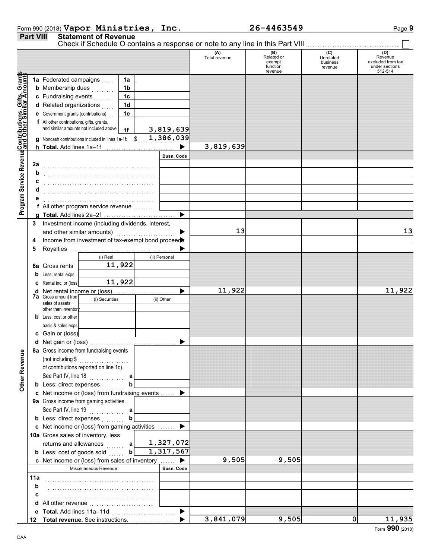|                  | Form 990 (2018) Vapor Ministries, | 26-4463549 | Page 9 |
|------------------|-----------------------------------|------------|--------|
| <b>Part VIII</b> | <b>Statement of Revenue</b>       |            |        |

|                                                                                                                                                     |     | Check if Schedule O contains a response or note to any line in this Part VIII |                |                       |               |                                                    |                                         |                                                                  |
|-----------------------------------------------------------------------------------------------------------------------------------------------------|-----|-------------------------------------------------------------------------------|----------------|-----------------------|---------------|----------------------------------------------------|-----------------------------------------|------------------------------------------------------------------|
|                                                                                                                                                     |     |                                                                               |                |                       | Total revenue | (B)<br>Related or<br>exempt<br>function<br>revenue | (C)<br>Unrelated<br>business<br>revenue | (D)<br>Revenue<br>excluded from tax<br>under sections<br>512-514 |
| Program Service Revenu <mark>e</mark> Contributions, Gifts, Grant <mark>s</mark><br>Program Service Revenue <mark>and Other Similar Amount</mark> s |     | 1a Federated campaigns                                                        | 1a             |                       |               |                                                    |                                         |                                                                  |
|                                                                                                                                                     |     | <b>b</b> Membership dues<br>.                                                 | 1 <sub>b</sub> |                       |               |                                                    |                                         |                                                                  |
|                                                                                                                                                     |     | c Fundraising events                                                          | 1 <sub>c</sub> |                       |               |                                                    |                                         |                                                                  |
|                                                                                                                                                     |     | d Related organizations                                                       | 1 <sub>d</sub> |                       |               |                                                    |                                         |                                                                  |
|                                                                                                                                                     |     | <b>e</b> Government grants (contributions)                                    | 1e             |                       |               |                                                    |                                         |                                                                  |
|                                                                                                                                                     |     | f All other contributions, gifts, grants,                                     |                |                       |               |                                                    |                                         |                                                                  |
|                                                                                                                                                     |     | and similar amounts not included above                                        | 1f             | 3,819,639             |               |                                                    |                                         |                                                                  |
|                                                                                                                                                     |     | g Noncash contributions included in lines 1a-1f: \$                           |                | 1,386,039             |               |                                                    |                                         |                                                                  |
|                                                                                                                                                     |     | h Total. Add lines 1a-1f                                                      |                | $\blacktriangleright$ | 3,819,639     |                                                    |                                         |                                                                  |
|                                                                                                                                                     |     |                                                                               |                | <b>Busn. Code</b>     |               |                                                    |                                         |                                                                  |
|                                                                                                                                                     | 2a  |                                                                               |                |                       |               |                                                    |                                         |                                                                  |
|                                                                                                                                                     | b   |                                                                               |                |                       |               |                                                    |                                         |                                                                  |
|                                                                                                                                                     | c   |                                                                               |                |                       |               |                                                    |                                         |                                                                  |
|                                                                                                                                                     | d   |                                                                               |                |                       |               |                                                    |                                         |                                                                  |
|                                                                                                                                                     |     |                                                                               |                |                       |               |                                                    |                                         |                                                                  |
|                                                                                                                                                     |     | f All other program service revenue                                           |                |                       |               |                                                    |                                         |                                                                  |
|                                                                                                                                                     |     |                                                                               |                | ▶                     |               |                                                    |                                         |                                                                  |
|                                                                                                                                                     | 3   | Investment income (including dividends, interest,                             |                |                       | 13            |                                                    |                                         | 13                                                               |
|                                                                                                                                                     |     | and other similar amounts)                                                    |                |                       |               |                                                    |                                         |                                                                  |
|                                                                                                                                                     | 4   | Income from investment of tax-exempt bond proceed                             |                |                       |               |                                                    |                                         |                                                                  |
|                                                                                                                                                     | 5   | (i) Real                                                                      |                | (ii) Personal         |               |                                                    |                                         |                                                                  |
|                                                                                                                                                     |     | Gross rents                                                                   | 11,922         |                       |               |                                                    |                                         |                                                                  |
|                                                                                                                                                     | 6а  |                                                                               |                |                       |               |                                                    |                                         |                                                                  |
|                                                                                                                                                     |     | Less: rental exps.<br>C Rental inc. or (loss)                                 | 11,922         |                       |               |                                                    |                                         |                                                                  |
|                                                                                                                                                     |     |                                                                               |                |                       | 11,922        |                                                    |                                         | 11,922                                                           |
|                                                                                                                                                     |     | <b>7a</b> Gross amount from<br>(i) Securities                                 |                | (ii) Other            |               |                                                    |                                         |                                                                  |
|                                                                                                                                                     |     | sales of assets<br>other than inventory                                       |                |                       |               |                                                    |                                         |                                                                  |
|                                                                                                                                                     |     | <b>b</b> Less: cost or other                                                  |                |                       |               |                                                    |                                         |                                                                  |
|                                                                                                                                                     |     | basis & sales exps.                                                           |                |                       |               |                                                    |                                         |                                                                  |
|                                                                                                                                                     |     | c Gain or (loss)                                                              |                |                       |               |                                                    |                                         |                                                                  |
|                                                                                                                                                     |     |                                                                               |                | ▶                     |               |                                                    |                                         |                                                                  |
| ån                                                                                                                                                  |     | 8a Gross income from fundraising events                                       |                |                       |               |                                                    |                                         |                                                                  |
|                                                                                                                                                     |     |                                                                               |                |                       |               |                                                    |                                         |                                                                  |
|                                                                                                                                                     |     | of contributions reported on line 1c).                                        |                |                       |               |                                                    |                                         |                                                                  |
|                                                                                                                                                     |     | See Part IV, line 18                                                          | a              |                       |               |                                                    |                                         |                                                                  |
| Other Rever                                                                                                                                         |     | <b>b</b> Less: direct expenses                                                | b              |                       |               |                                                    |                                         |                                                                  |
|                                                                                                                                                     |     | c Net income or (loss) from fundraising events                                |                |                       |               |                                                    |                                         |                                                                  |
|                                                                                                                                                     |     | 9a Gross income from gaming activities.                                       |                |                       |               |                                                    |                                         |                                                                  |
|                                                                                                                                                     |     |                                                                               |                |                       |               |                                                    |                                         |                                                                  |
|                                                                                                                                                     |     | <b>b</b> Less: direct expenses                                                | b              |                       |               |                                                    |                                         |                                                                  |
|                                                                                                                                                     |     | c Net income or (loss) from gaming activities                                 |                |                       |               |                                                    |                                         |                                                                  |
|                                                                                                                                                     |     | 10a Gross sales of inventory, less                                            |                |                       |               |                                                    |                                         |                                                                  |
|                                                                                                                                                     |     | returns and allowances<br>.                                                   | a              | 1,327,072             |               |                                                    |                                         |                                                                  |
|                                                                                                                                                     |     | <b>b</b> Less: cost of goods sold                                             | b              | 1,317,567             |               |                                                    |                                         |                                                                  |
|                                                                                                                                                     |     | c Net income or (loss) from sales of inventory                                |                |                       | 9,505         | 9,505                                              |                                         |                                                                  |
|                                                                                                                                                     |     | Miscellaneous Revenue                                                         |                | <b>Busn. Code</b>     |               |                                                    |                                         |                                                                  |
|                                                                                                                                                     | 11a |                                                                               |                |                       |               |                                                    |                                         |                                                                  |
|                                                                                                                                                     | b   |                                                                               |                |                       |               |                                                    |                                         |                                                                  |
|                                                                                                                                                     |     |                                                                               |                |                       |               |                                                    |                                         |                                                                  |
|                                                                                                                                                     |     |                                                                               |                |                       |               |                                                    |                                         |                                                                  |
|                                                                                                                                                     |     | e Total. Add lines 11a-11d                                                    |                | ▶                     |               |                                                    |                                         | 11,935                                                           |
|                                                                                                                                                     |     | Total revenue. See instructions.                                              |                |                       | 3,841,079     | 9,505                                              | $\mathbf{0}$                            |                                                                  |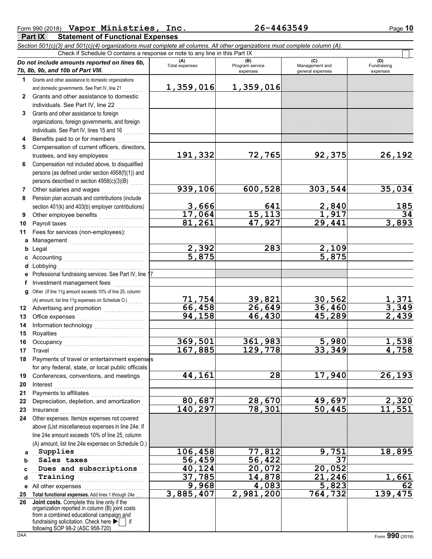| Form 990 (2018) Vapor Ministries, Inc.      | 26-4463549 | Page 10 |
|---------------------------------------------|------------|---------|
| $D = 1$<br>Clotement of Eugesianal Evanness |            |         |

**Part IX Statement of Functional Expenses** *Section 501(c)(3) and 501(c)(4) organizations must complete all columns. All other organizations must complete column (A).* Check if Schedule O contains a response or note to any line in this Part IX

|    | Do not include amounts reported on lines 6b,<br>7b, 8b, 9b, and 10b of Part VIII.                                                          | (A)<br><b>Total expenses</b> | (B)<br>Program service | (C)<br>Management and | (D)<br>Fundraising    |
|----|--------------------------------------------------------------------------------------------------------------------------------------------|------------------------------|------------------------|-----------------------|-----------------------|
|    |                                                                                                                                            |                              | expenses               | general expenses      | expenses              |
|    | 1 Grants and other assistance to domestic organizations                                                                                    |                              |                        |                       |                       |
|    | and domestic governments. See Part IV, line 21<br>Grants and other assistance to domestic                                                  | 1,359,016                    | 1,359,016              |                       |                       |
| 2  |                                                                                                                                            |                              |                        |                       |                       |
|    | individuals. See Part IV, line 22                                                                                                          |                              |                        |                       |                       |
| 3  | Grants and other assistance to foreign                                                                                                     |                              |                        |                       |                       |
|    | organizations, foreign governments, and foreign                                                                                            |                              |                        |                       |                       |
|    | individuals. See Part IV, lines 15 and 16                                                                                                  |                              |                        |                       |                       |
| 4  | Benefits paid to or for members                                                                                                            |                              |                        |                       |                       |
| 5  | Compensation of current officers, directors,                                                                                               |                              |                        |                       |                       |
|    | trustees, and key employees                                                                                                                | 191,332                      | 72,765                 | 92,375                | 26,192                |
| 6  | Compensation not included above, to disqualified                                                                                           |                              |                        |                       |                       |
|    | persons (as defined under section 4958(f)(1)) and                                                                                          |                              |                        |                       |                       |
|    | persons described in section 4958(c)(3)(B)                                                                                                 |                              |                        |                       |                       |
| 7  | Other salaries and wages<br>.                                                                                                              | 939,106                      | 600,528                | 303,544               | 35,034                |
| 8  | Pension plan accruals and contributions (include                                                                                           |                              |                        |                       |                       |
|    | section 401(k) and 403(b) employer contributions)                                                                                          | 3,666                        | 641<br>15,113          | $\frac{2,840}{1,917}$ | 185                   |
| 9  |                                                                                                                                            | 17,064                       |                        |                       | $\overline{34}$       |
| 10 |                                                                                                                                            | 81,261                       | 47,927                 | 29,441                | 3,893                 |
| 11 | Fees for services (non-employees):                                                                                                         |                              |                        |                       |                       |
|    |                                                                                                                                            |                              |                        |                       |                       |
| b  |                                                                                                                                            | 2,392                        | 283                    | 2,109                 |                       |
|    |                                                                                                                                            | 5,875                        |                        | 5,875                 |                       |
| d  |                                                                                                                                            |                              |                        |                       |                       |
|    | e Professional fundraising services. See Part IV, line 17                                                                                  |                              |                        |                       |                       |
|    | Investment management fees                                                                                                                 |                              |                        |                       |                       |
| g  | Other. (If line 11g amount exceeds 10% of line 25, column                                                                                  |                              |                        |                       |                       |
|    |                                                                                                                                            | 71,754                       | 39,821                 | 30,562                | <u>1,371</u><br>3,349 |
| 12 | Advertising and promotion<br>                                                                                                              | 66,458                       | $\overline{26}$ , 649  | 36,460                |                       |
| 13 |                                                                                                                                            | 94,158                       | 46,430                 | 45,289                | 2,439                 |
| 14 |                                                                                                                                            |                              |                        |                       |                       |
| 15 |                                                                                                                                            |                              |                        |                       |                       |
| 16 |                                                                                                                                            | 369,501                      | 361,983                | <u>5,980</u>          | <u>1,538</u>          |
| 17 | Travel                                                                                                                                     | 167,885                      | 129,778                | 33,349                | 4,758                 |
| 18 | Payments of travel or entertainment expenses                                                                                               |                              |                        |                       |                       |
|    | for any federal, state, or local public officials                                                                                          |                              |                        |                       |                       |
| 19 | Conferences, conventions, and meetings                                                                                                     | 44,161                       | $\overline{28}$        | 17,940                | 26,193                |
| 20 | Interest                                                                                                                                   |                              |                        |                       |                       |
| 21 | Payments to affiliates [111] [11] Payments to affiliate successive                                                                         |                              |                        |                       |                       |
| 22 | Depreciation, depletion, and amortization                                                                                                  | 80,687                       | 28,670                 | 49,697                | 2,320                 |
| 23 | Insurance <b>Manual</b>                                                                                                                    | 140,297                      | 78,301                 | 50,445                | 11,551                |
| 24 | Other expenses. Itemize expenses not covered                                                                                               |                              |                        |                       |                       |
|    | above (List miscellaneous expenses in line 24e. If                                                                                         |                              |                        |                       |                       |
|    | line 24e amount exceeds 10% of line 25, column                                                                                             |                              |                        |                       |                       |
|    | (A) amount, list line 24e expenses on Schedule O.)                                                                                         |                              |                        |                       |                       |
| a  | Supplies                                                                                                                                   | 106,458                      | 77,812                 | 9,751                 | 18,895                |
| b  | Sales taxes                                                                                                                                | 56,459                       | 56, 422                | $\overline{37}$       |                       |
| c  | Dues and subscriptions                                                                                                                     | 40,124                       | 20,072                 | 20,052                |                       |
| d  | Training                                                                                                                                   | 37,785                       | 14,878                 | 21,246                | 1,661                 |
| е  | All other expenses                                                                                                                         | 9,968                        | 4,083                  | 5,823                 | 62                    |
| 25 | Total functional expenses. Add lines 1 through 24e                                                                                         | 3,885,407                    | 2,981,200              | 764,732               | 139, 475              |
| 26 | Joint costs. Complete this line only if the<br>organization reported in column (B) joint costs<br>from a combined educational campaign and |                              |                        |                       |                       |
|    | fundraising solicitation. Check here<br>if<br>following SOP 98-2 (ASC 958-720)                                                             |                              |                        |                       |                       |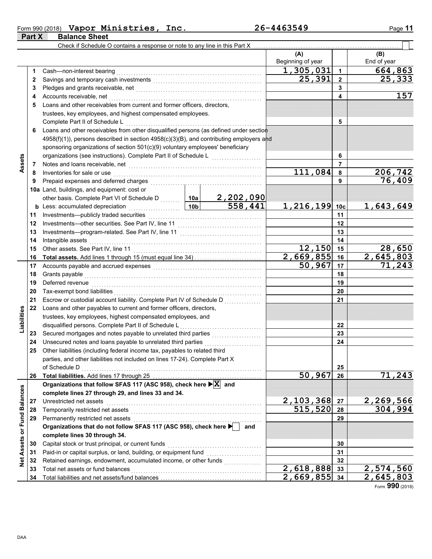|        | Form 990 (2018) Vapor Ministries, Inc. | 26-4463549 | Page 11 |
|--------|----------------------------------------|------------|---------|
| Part X | <b>Balance Sheet</b>                   |            |         |

**Part X Balance Sheet**

|                    |          | Check if Schedule O contains a response or note to any line in this Part X                                                                                                                                                    |        |                                  |                                                 |                |             |
|--------------------|----------|-------------------------------------------------------------------------------------------------------------------------------------------------------------------------------------------------------------------------------|--------|----------------------------------|-------------------------------------------------|----------------|-------------|
|                    |          |                                                                                                                                                                                                                               |        |                                  | (A)                                             |                | (B)         |
|                    |          |                                                                                                                                                                                                                               |        |                                  | Beginning of year                               |                | End of year |
|                    | 1.       | Cash-non-interest bearing                                                                                                                                                                                                     |        |                                  | $\overline{1}$ , 305, 031                       | 1              | 664,863     |
|                    | 2        |                                                                                                                                                                                                                               |        |                                  | 25,391                                          | $\overline{2}$ | 25,333      |
|                    | 3        |                                                                                                                                                                                                                               |        |                                  |                                                 | 3              |             |
|                    | 4        | Accounts receivable, net                                                                                                                                                                                                      |        |                                  |                                                 | 4              | 157         |
|                    | 5        | Loans and other receivables from current and former officers, directors,                                                                                                                                                      |        |                                  |                                                 |                |             |
|                    |          | trustees, key employees, and highest compensated employees.                                                                                                                                                                   |        |                                  |                                                 |                |             |
|                    |          | Complete Part II of Schedule L                                                                                                                                                                                                |        |                                  |                                                 | 5              |             |
|                    | 6        | Loans and other receivables from other disqualified persons (as defined under section                                                                                                                                         |        |                                  |                                                 |                |             |
|                    |          | 4958(f)(1)), persons described in section 4958(c)(3)(B), and contributing employers and                                                                                                                                       |        |                                  |                                                 |                |             |
|                    |          | sponsoring organizations of section 501(c)(9) voluntary employees' beneficiary                                                                                                                                                |        |                                  |                                                 |                |             |
|                    |          | organizations (see instructions). Complete Part II of Schedule L                                                                                                                                                              |        |                                  |                                                 | 6              |             |
| Assets             | 7        | Notes and loans receivable, net [[11][11] Notes and loans receivable, net [11] $\cdots$                                                                                                                                       |        |                                  |                                                 | 7              |             |
|                    | 8        | Inventories for sale or use                                                                                                                                                                                                   |        |                                  | 111,084                                         | 8              | 206,742     |
|                    | 9        | Prepaid expenses and deferred charges                                                                                                                                                                                         |        |                                  |                                                 | 9              | 76,409      |
|                    |          | 10a Land, buildings, and equipment: cost or                                                                                                                                                                                   |        |                                  |                                                 |                |             |
|                    |          | other basis. Complete Part VI of Schedule D<br>I ess: accumulated depreciation<br>10b 558,441                                                                                                                                 |        |                                  |                                                 |                |             |
|                    |          | $\frac{10b}{2}$<br><b>b</b> Less: accumulated depreciation                                                                                                                                                                    |        |                                  | 1,216,199 10c                                   |                | 1,643,649   |
|                    | 11       | Investments-publicly traded securities                                                                                                                                                                                        |        |                                  |                                                 | 11             |             |
|                    | 12       |                                                                                                                                                                                                                               |        |                                  |                                                 | 12             |             |
|                    | 13       |                                                                                                                                                                                                                               |        |                                  |                                                 | 13             |             |
|                    | 14       | Intangible assets                                                                                                                                                                                                             |        |                                  | 14                                              |                |             |
|                    | 15       |                                                                                                                                                                                                                               |        | 12,150<br>$\overline{2,669,855}$ | 15                                              | 28,650         |             |
|                    | 16       |                                                                                                                                                                                                                               | 50,967 | 16<br>17                         | $\overline{2,645,803}$<br>$\overline{71}$ , 243 |                |             |
|                    | 17<br>18 | Grants payable                                                                                                                                                                                                                |        |                                  |                                                 | 18             |             |
|                    | 19       | Deferred revenue                                                                                                                                                                                                              |        |                                  |                                                 | 19             |             |
|                    | 20       | Tax-exempt bond liabilities                                                                                                                                                                                                   |        |                                  |                                                 | 20             |             |
|                    | 21       | Escrow or custodial account liability. Complete Part IV of Schedule D                                                                                                                                                         |        |                                  |                                                 | 21             |             |
|                    | 22       | Loans and other payables to current and former officers, directors,                                                                                                                                                           |        |                                  |                                                 |                |             |
| Liabilities        |          | trustees, key employees, highest compensated employees, and                                                                                                                                                                   |        |                                  |                                                 |                |             |
|                    |          | disqualified persons. Complete Part II of Schedule L                                                                                                                                                                          |        |                                  |                                                 | 22             |             |
|                    | 23       | Secured mortgages and notes payable to unrelated third parties                                                                                                                                                                |        |                                  |                                                 | 23             |             |
|                    | 24       | Unsecured notes and loans payable to unrelated third parties                                                                                                                                                                  |        | .                                |                                                 | 24             |             |
|                    | 25       | Other liabilities (including federal income tax, payables to related third                                                                                                                                                    |        |                                  |                                                 |                |             |
|                    |          | parties, and other liabilities not included on lines 17-24). Complete Part X                                                                                                                                                  |        |                                  |                                                 |                |             |
|                    |          | of Schedule D                                                                                                                                                                                                                 |        |                                  |                                                 | 25             |             |
|                    | 26       |                                                                                                                                                                                                                               |        |                                  | 50,967                                          | 26             | 71,243      |
|                    |          | Organizations that follow SFAS 117 (ASC 958), check here $\blacktriangleright$ $\mathbf{X}$ and                                                                                                                               |        |                                  |                                                 |                |             |
|                    |          | complete lines 27 through 29, and lines 33 and 34.                                                                                                                                                                            |        |                                  |                                                 |                |             |
| <b>Balances</b>    | 27       | Unrestricted net assets                                                                                                                                                                                                       |        |                                  | 2,103,368                                       | 27             | 2,269,566   |
|                    | 28       | Temporarily restricted net assets [11] research and response to the system of the system of the system of the system of the system of the system of the system of the system of the system of the system of the system of the |        |                                  | 515,520                                         | 28             | 304,994     |
|                    | 29       | Permanently restricted net assets                                                                                                                                                                                             |        |                                  |                                                 | 29             |             |
| Net Assets or Fund |          | Organizations that do not follow SFAS 117 (ASC 958), check here                                                                                                                                                               |        | and                              |                                                 |                |             |
|                    |          | complete lines 30 through 34.                                                                                                                                                                                                 |        |                                  |                                                 |                |             |
|                    | 30       | Capital stock or trust principal, or current funds                                                                                                                                                                            |        |                                  |                                                 | 30             |             |
|                    | 31       | Paid-in or capital surplus, or land, building, or equipment fund                                                                                                                                                              |        |                                  |                                                 | 31             |             |
|                    | 32       | Retained earnings, endowment, accumulated income, or other funds                                                                                                                                                              |        |                                  |                                                 | 32             |             |
|                    | 33       | Total net assets or fund balances                                                                                                                                                                                             |        |                                  | $\sqrt{2}$ , 618, 888                           | 33             | 2,574,560   |
|                    | 34       |                                                                                                                                                                                                                               |        |                                  | 2,669,855                                       | 34             | 2,645,803   |

Form **990** (2018)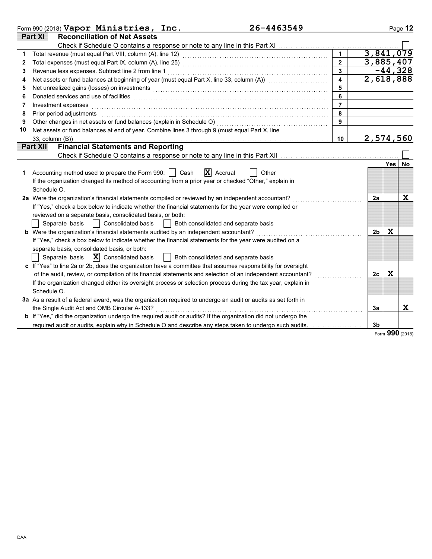|    | 26-4463549<br>Form 990 (2018) $Vapor$ Ministries, Inc.                                                                                                                                                                        |                         |                |             | Page 12   |
|----|-------------------------------------------------------------------------------------------------------------------------------------------------------------------------------------------------------------------------------|-------------------------|----------------|-------------|-----------|
|    | <b>Reconciliation of Net Assets</b><br>Part XI                                                                                                                                                                                |                         |                |             |           |
|    |                                                                                                                                                                                                                               |                         |                |             |           |
| 1  |                                                                                                                                                                                                                               | $\mathbf{1}$            | 3,841,079      |             |           |
| 2  |                                                                                                                                                                                                                               | $\overline{2}$          | 3,885,407      |             |           |
| 3  | Revenue less expenses. Subtract line 2 from line 1                                                                                                                                                                            | $\overline{3}$          |                |             | $-44,328$ |
| 4  | Net assets or fund balances at beginning of year (must equal Part X, line 33, column (A)) [[[[[[[[[[[[[[[[[[[                                                                                                                 | $\overline{\mathbf{4}}$ | 2,618,888      |             |           |
| 5  | Net unrealized gains (losses) on investments [11] production contracts and all the set of the set of the set of the set of the set of the set of the set of the set of the set of the set of the set of the set of the set of | 5                       |                |             |           |
| 6  | Donated services and use of facilities <b>constructs</b> and the service of the service of the services and use of facilities                                                                                                 | 6                       |                |             |           |
| 7  | Investment expenses                                                                                                                                                                                                           | $\overline{7}$          |                |             |           |
| 8  | Prior period adjustments                                                                                                                                                                                                      | 8                       |                |             |           |
| 9  | Other changes in net assets or fund balances (explain in Schedule O)                                                                                                                                                          | $\mathbf{q}$            |                |             |           |
| 10 | Net assets or fund balances at end of year. Combine lines 3 through 9 (must equal Part X, line                                                                                                                                |                         |                |             |           |
|    | $33$ , column $(B)$ )                                                                                                                                                                                                         | 10                      | 2,574,560      |             |           |
|    | <b>Financial Statements and Reporting</b><br><b>Part XII</b>                                                                                                                                                                  |                         |                |             |           |
|    |                                                                                                                                                                                                                               |                         |                |             |           |
|    |                                                                                                                                                                                                                               |                         |                | <b>Yes</b>  | <b>No</b> |
| 1. | $\mathbf{X}$ Accrual<br>Accounting method used to prepare the Form 990:    <br>Cash<br>Other                                                                                                                                  |                         |                |             |           |
|    | If the organization changed its method of accounting from a prior year or checked "Other," explain in                                                                                                                         |                         |                |             |           |
|    | Schedule O.                                                                                                                                                                                                                   |                         |                |             |           |
|    | 2a Were the organization's financial statements compiled or reviewed by an independent accountant?                                                                                                                            |                         | 2a             |             | X         |
|    | If "Yes," check a box below to indicate whether the financial statements for the year were compiled or                                                                                                                        |                         |                |             |           |
|    | reviewed on a separate basis, consolidated basis, or both:                                                                                                                                                                    |                         |                |             |           |
|    | Both consolidated and separate basis<br>Separate basis     Consolidated basis                                                                                                                                                 |                         |                |             |           |
|    | b Were the organization's financial statements audited by an independent accountant?                                                                                                                                          |                         | 2b             | X           |           |
|    | If "Yes," check a box below to indicate whether the financial statements for the year were audited on a                                                                                                                       |                         |                |             |           |
|    | separate basis, consolidated basis, or both:                                                                                                                                                                                  |                         |                |             |           |
|    | Separate basis $\ \mathbf{X}\ $ Consolidated basis<br>  Both consolidated and separate basis                                                                                                                                  |                         |                |             |           |
|    | c If "Yes" to line 2a or 2b, does the organization have a committee that assumes responsibility for oversight                                                                                                                 |                         |                |             |           |
|    | of the audit, review, or compilation of its financial statements and selection of an independent accountant?                                                                                                                  |                         | 2c             | $\mathbf x$ |           |
|    | If the organization changed either its oversight process or selection process during the tax year, explain in                                                                                                                 |                         |                |             |           |
|    | Schedule O.                                                                                                                                                                                                                   |                         |                |             |           |
|    | 3a As a result of a federal award, was the organization required to undergo an audit or audits as set forth in                                                                                                                |                         |                |             |           |
|    | the Single Audit Act and OMB Circular A-133?                                                                                                                                                                                  |                         | За             |             | X         |
|    | <b>b</b> If "Yes," did the organization undergo the required audit or audits? If the organization did not undergo the                                                                                                         |                         |                |             |           |
|    | required audit or audits, explain why in Schedule O and describe any steps taken to undergo such audits.                                                                                                                      |                         | 3 <sub>b</sub> |             |           |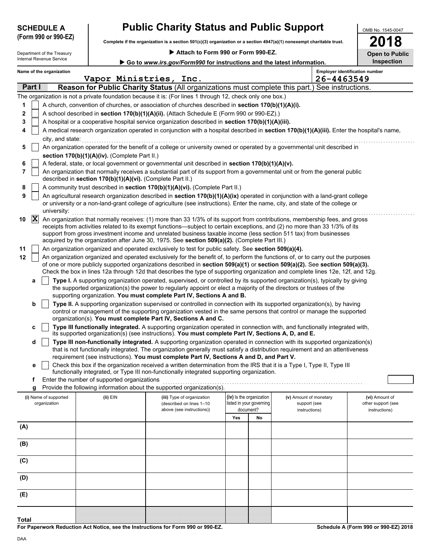| <b>SCHEDULE A</b>   |  |  |
|---------------------|--|--|
| (Form 990 or 990.F) |  |  |

# **Public Charity Status and Public Support**

**Complete if the organization is a section 501(c)(3) organization or a section 4947(a)(1) nonexempt charitable trust. (Form 990 or 990-EZ)**

| pen | $\bullet$ | ir. |
|-----|-----------|-----|

OMB No. 1545-0047

|                                                        |                                                            |                                                                                                                                                                                                                                                                                                                                                                                                                                                                                                                                                                                          |     |                                                                         |                                                         |            | LV I U                                                |
|--------------------------------------------------------|------------------------------------------------------------|------------------------------------------------------------------------------------------------------------------------------------------------------------------------------------------------------------------------------------------------------------------------------------------------------------------------------------------------------------------------------------------------------------------------------------------------------------------------------------------------------------------------------------------------------------------------------------------|-----|-------------------------------------------------------------------------|---------------------------------------------------------|------------|-------------------------------------------------------|
| Department of the Treasury<br>Internal Revenue Service |                                                            | Attach to Form 990 or Form 990-EZ.                                                                                                                                                                                                                                                                                                                                                                                                                                                                                                                                                       |     |                                                                         |                                                         |            | <b>Open to Public</b>                                 |
|                                                        |                                                            | Go to www.irs.gov/Form990 for instructions and the latest information.                                                                                                                                                                                                                                                                                                                                                                                                                                                                                                                   |     |                                                                         |                                                         |            | Inspection                                            |
| Name of the organization                               | Vapor Ministries, Inc.                                     |                                                                                                                                                                                                                                                                                                                                                                                                                                                                                                                                                                                          |     |                                                                         |                                                         | 26-4463549 | <b>Employer identification number</b>                 |
| Part I                                                 |                                                            | Reason for Public Charity Status (All organizations must complete this part.) See instructions.                                                                                                                                                                                                                                                                                                                                                                                                                                                                                          |     |                                                                         |                                                         |            |                                                       |
|                                                        |                                                            | The organization is not a private foundation because it is: (For lines 1 through 12, check only one box.)                                                                                                                                                                                                                                                                                                                                                                                                                                                                                |     |                                                                         |                                                         |            |                                                       |
| 1                                                      |                                                            | A church, convention of churches, or association of churches described in section 170(b)(1)(A)(i).                                                                                                                                                                                                                                                                                                                                                                                                                                                                                       |     |                                                                         |                                                         |            |                                                       |
| 2                                                      |                                                            | A school described in section 170(b)(1)(A)(ii). (Attach Schedule E (Form 990 or 990-EZ).)                                                                                                                                                                                                                                                                                                                                                                                                                                                                                                |     |                                                                         |                                                         |            |                                                       |
| 3                                                      |                                                            | A hospital or a cooperative hospital service organization described in section 170(b)(1)(A)(iii).                                                                                                                                                                                                                                                                                                                                                                                                                                                                                        |     |                                                                         |                                                         |            |                                                       |
| 4                                                      |                                                            | A medical research organization operated in conjunction with a hospital described in section 170(b)(1)(A)(iii). Enter the hospital's name,                                                                                                                                                                                                                                                                                                                                                                                                                                               |     |                                                                         |                                                         |            |                                                       |
| city, and state:                                       |                                                            |                                                                                                                                                                                                                                                                                                                                                                                                                                                                                                                                                                                          |     |                                                                         |                                                         |            |                                                       |
| 5                                                      |                                                            | An organization operated for the benefit of a college or university owned or operated by a governmental unit described in                                                                                                                                                                                                                                                                                                                                                                                                                                                                |     |                                                                         |                                                         |            |                                                       |
|                                                        | section 170(b)(1)(A)(iv). (Complete Part II.)              |                                                                                                                                                                                                                                                                                                                                                                                                                                                                                                                                                                                          |     |                                                                         |                                                         |            |                                                       |
| 6                                                      |                                                            | A federal, state, or local government or governmental unit described in section 170(b)(1)(A)(v).                                                                                                                                                                                                                                                                                                                                                                                                                                                                                         |     |                                                                         |                                                         |            |                                                       |
| 7                                                      | described in section 170(b)(1)(A)(vi). (Complete Part II.) | An organization that normally receives a substantial part of its support from a governmental unit or from the general public                                                                                                                                                                                                                                                                                                                                                                                                                                                             |     |                                                                         |                                                         |            |                                                       |
| 8                                                      |                                                            | A community trust described in section 170(b)(1)(A)(vi). (Complete Part II.)                                                                                                                                                                                                                                                                                                                                                                                                                                                                                                             |     |                                                                         |                                                         |            |                                                       |
| 9<br>university:                                       |                                                            | An agricultural research organization described in section 170(b)(1)(A)(ix) operated in conjunction with a land-grant college<br>or university or a non-land-grant college of agriculture (see instructions). Enter the name, city, and state of the college or                                                                                                                                                                                                                                                                                                                          |     |                                                                         |                                                         |            |                                                       |
| $ {\bf X} $<br>10<br>11                                |                                                            | An organization that normally receives: (1) more than 33 1/3% of its support from contributions, membership fees, and gross<br>receipts from activities related to its exempt functions—subject to certain exceptions, and (2) no more than 33 1/3% of its<br>support from gross investment income and unrelated business taxable income (less section 511 tax) from businesses<br>acquired by the organization after June 30, 1975. See section 509(a)(2). (Complete Part III.)<br>An organization organized and operated exclusively to test for public safety. See section 509(a)(4). |     |                                                                         |                                                         |            |                                                       |
| 12                                                     |                                                            | An organization organized and operated exclusively for the benefit of, to perform the functions of, or to carry out the purposes<br>of one or more publicly supported organizations described in section 509(a)(1) or section 509(a)(2). See section 509(a)(3).<br>Check the box in lines 12a through 12d that describes the type of supporting organization and complete lines 12e, 12f, and 12g.                                                                                                                                                                                       |     |                                                                         |                                                         |            |                                                       |
| a                                                      |                                                            | Type I. A supporting organization operated, supervised, or controlled by its supported organization(s), typically by giving<br>the supported organization(s) the power to regularly appoint or elect a majority of the directors or trustees of the<br>supporting organization. You must complete Part IV, Sections A and B.                                                                                                                                                                                                                                                             |     |                                                                         |                                                         |            |                                                       |
| b                                                      |                                                            | Type II. A supporting organization supervised or controlled in connection with its supported organization(s), by having<br>control or management of the supporting organization vested in the same persons that control or manage the supported<br>organization(s). You must complete Part IV, Sections A and C.                                                                                                                                                                                                                                                                         |     |                                                                         |                                                         |            |                                                       |
| c                                                      |                                                            | Type III functionally integrated. A supporting organization operated in connection with, and functionally integrated with,<br>its supported organization(s) (see instructions). You must complete Part IV, Sections A, D, and E.                                                                                                                                                                                                                                                                                                                                                         |     |                                                                         |                                                         |            |                                                       |
| d                                                      |                                                            | Type III non-functionally integrated. A supporting organization operated in connection with its supported organization(s)<br>that is not functionally integrated. The organization generally must satisfy a distribution requirement and an attentiveness<br>requirement (see instructions). You must complete Part IV, Sections A and D, and Part V.                                                                                                                                                                                                                                    |     |                                                                         |                                                         |            |                                                       |
| е                                                      |                                                            | Check this box if the organization received a written determination from the IRS that it is a Type I, Type II, Type III<br>functionally integrated, or Type III non-functionally integrated supporting organization.                                                                                                                                                                                                                                                                                                                                                                     |     |                                                                         |                                                         |            |                                                       |
| f                                                      | Enter the number of supported organizations                |                                                                                                                                                                                                                                                                                                                                                                                                                                                                                                                                                                                          |     |                                                                         |                                                         |            |                                                       |
| g                                                      |                                                            | Provide the following information about the supported organization(s).                                                                                                                                                                                                                                                                                                                                                                                                                                                                                                                   |     |                                                                         |                                                         |            |                                                       |
| (i) Name of supported<br>organization                  | (ii) EIN                                                   | (iii) Type of organization<br>(described on lines 1-10<br>above (see instructions))                                                                                                                                                                                                                                                                                                                                                                                                                                                                                                      | Yes | (iv) Is the organization<br>listed in your governing<br>document?<br>No | (v) Amount of monetary<br>support (see<br>instructions) |            | (vi) Amount of<br>other support (see<br>instructions) |
| (A)                                                    |                                                            |                                                                                                                                                                                                                                                                                                                                                                                                                                                                                                                                                                                          |     |                                                                         |                                                         |            |                                                       |
| (B)                                                    |                                                            |                                                                                                                                                                                                                                                                                                                                                                                                                                                                                                                                                                                          |     |                                                                         |                                                         |            |                                                       |
|                                                        |                                                            |                                                                                                                                                                                                                                                                                                                                                                                                                                                                                                                                                                                          |     |                                                                         |                                                         |            |                                                       |

**Total**

**(E)**

**(D)**

**(C)**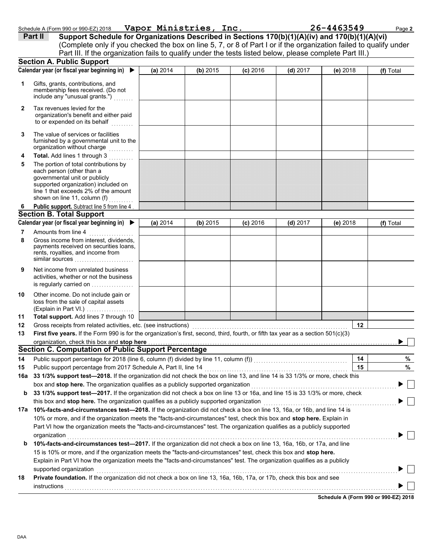| 18 | <b>Private found</b> |
|----|----------------------|
|    |                      |

| Schedule A (Form 990 or 990-EZ) 2018 | Vapor Ministries, Inc. | 26-4463549 | Page 2 |
|--------------------------------------|------------------------|------------|--------|
|                                      |                        |            |        |

|     | Part II<br>Support Schedule for Organizations Described in Sections 170(b)(1)(A)(iv) and 170(b)(1)(A)(vi)                                                                                                                      |          |          |            |            |          |           |
|-----|--------------------------------------------------------------------------------------------------------------------------------------------------------------------------------------------------------------------------------|----------|----------|------------|------------|----------|-----------|
|     | (Complete only if you checked the box on line 5, 7, or 8 of Part I or if the organization failed to qualify under                                                                                                              |          |          |            |            |          |           |
|     | Part III. If the organization fails to qualify under the tests listed below, please complete Part III.)                                                                                                                        |          |          |            |            |          |           |
|     | <b>Section A. Public Support</b>                                                                                                                                                                                               |          |          |            |            |          |           |
|     | Calendar year (or fiscal year beginning in)<br>$\blacktriangleright$                                                                                                                                                           | (a) 2014 | (b) 2015 | $(c)$ 2016 | $(d)$ 2017 | (e) 2018 | (f) Total |
| 1   | Gifts, grants, contributions, and<br>membership fees received. (Do not<br>include any "unusual grants.")                                                                                                                       |          |          |            |            |          |           |
| 2   | Tax revenues levied for the<br>organization's benefit and either paid<br>to or expended on its behalf                                                                                                                          |          |          |            |            |          |           |
| 3   | The value of services or facilities<br>furnished by a governmental unit to the<br>organization without charge                                                                                                                  |          |          |            |            |          |           |
| 4   | Total. Add lines 1 through 3                                                                                                                                                                                                   |          |          |            |            |          |           |
| 5   | The portion of total contributions by<br>each person (other than a<br>governmental unit or publicly<br>supported organization) included on<br>line 1 that exceeds 2% of the amount<br>shown on line 11, column (f)             |          |          |            |            |          |           |
| 6   | Public support. Subtract line 5 from line 4                                                                                                                                                                                    |          |          |            |            |          |           |
|     | <b>Section B. Total Support</b>                                                                                                                                                                                                |          |          |            |            |          |           |
|     | Calendar year (or fiscal year beginning in) ▶                                                                                                                                                                                  | (a) 2014 | (b) 2015 | $(c)$ 2016 | $(d)$ 2017 | (e) 2018 | (f) Total |
| 7   | Amounts from line 4                                                                                                                                                                                                            |          |          |            |            |          |           |
| 8   | Gross income from interest, dividends,<br>payments received on securities loans,<br>rents, royalties, and income from<br>similar sources                                                                                       |          |          |            |            |          |           |
| 9   | Net income from unrelated business<br>activities, whether or not the business<br>is regularly carried on                                                                                                                       |          |          |            |            |          |           |
| 10  | Other income. Do not include gain or<br>loss from the sale of capital assets<br>(Explain in Part VI.)                                                                                                                          |          |          |            |            |          |           |
| 11  | Total support. Add lines 7 through 10                                                                                                                                                                                          |          |          |            |            |          |           |
| 12  | Gross receipts from related activities, etc. (see instructions) [11] content content content of the content of the content of the content of the content of the content of the content of the content of the content of the co |          |          |            |            | 12       |           |
| 13  | First five years. If the Form 990 is for the organization's first, second, third, fourth, or fifth tax year as a section 501(c)(3)                                                                                             |          |          |            |            |          |           |
|     | organization, check this box and stop here                                                                                                                                                                                     |          |          |            |            |          |           |
|     | Section C. Computation of Public Support Percentage                                                                                                                                                                            |          |          |            |            |          |           |
| 14  |                                                                                                                                                                                                                                |          |          |            |            | 14       | %         |
| 15  | Public support percentage from 2017 Schedule A, Part II, line 14                                                                                                                                                               |          |          |            |            | 15       | $\%$      |
| 16a | 33 1/3% support test-2018. If the organization did not check the box on line 13, and line 14 is 33 1/3% or more, check this                                                                                                    |          |          |            |            |          |           |
|     | box and stop here. The organization qualifies as a publicly supported organization                                                                                                                                             |          |          |            |            |          |           |
| b   | 33 1/3% support test-2017. If the organization did not check a box on line 13 or 16a, and line 15 is 33 1/3% or more, check                                                                                                    |          |          |            |            |          |           |
| 17a | this box and stop here. The organization qualifies as a publicly supported organization<br>10%-facts-and-circumstances test-2018. If the organization did not check a box on line 13, 16a, or 16b, and line 14 is              |          |          |            |            |          |           |
|     | 10% or more, and if the organization meets the "facts-and-circumstances" test, check this box and stop here. Explain in                                                                                                        |          |          |            |            |          |           |
|     | Part VI how the organization meets the "facts-and-circumstances" test. The organization qualifies as a publicly supported                                                                                                      |          |          |            |            |          |           |
|     | organization                                                                                                                                                                                                                   |          |          |            |            |          |           |
| b   | 10%-facts-and-circumstances test-2017. If the organization did not check a box on line 13, 16a, 16b, or 17a, and line                                                                                                          |          |          |            |            |          |           |
|     | 15 is 10% or more, and if the organization meets the "facts-and-circumstances" test, check this box and stop here.                                                                                                             |          |          |            |            |          |           |
|     | Explain in Part VI how the organization meets the "facts-and-circumstances" test. The organization qualifies as a publicly                                                                                                     |          |          |            |            |          |           |
|     | supported organization                                                                                                                                                                                                         |          |          |            |            |          |           |
| 18  | Private foundation. If the organization did not check a box on line 13, 16a, 16b, 17a, or 17b, check this box and see                                                                                                          |          |          |            |            |          |           |
|     | instructions                                                                                                                                                                                                                   |          |          |            |            |          |           |
|     |                                                                                                                                                                                                                                |          |          |            |            |          |           |

**Schedule A (Form 990 or 990-EZ) 2018**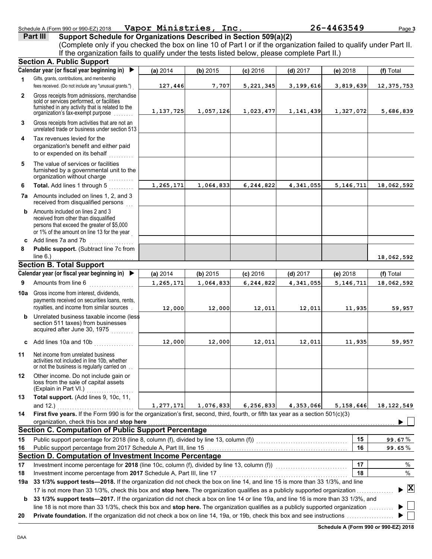### organization's benefit and either paid to or expended on its behalf

**4** Tax revenues levied for the

Gifts, grants, contributions, and membership fees received. (Do not include any "unusual grants.") .

**Calendar year (or fiscal year beginning in)**  X

**Section A. Public Support**

**1**

**2**

**3**

**6**

| 5 | The value of services or facilities     |
|---|-----------------------------------------|
|   | furnished by a governmental unit to the |
|   | organization without charge<br>.        |
| 6 | <b>Total.</b> Add lines 1 through 5     |

unrelated trade or business under section 513

Gross receipts from activities that are not an

organization's tax-exempt purpose ........

Gross receipts from admissions, merchandise sold or services performed, or facilities furnished in any activity that is related to the

| .                                                                                     |
|---------------------------------------------------------------------------------------|
| <b>7a</b> Amounts included on lines 1, 2, and 3<br>received from disqualified persons |

**b** Amounts included on lines 2 and 3 received from other than disqualified persons that exceed the greater of \$5,000 or 1% of the amount on line 13 for the year

Investment income percentage from 2017 Schedule A, Part III, line 17 ..................

**8 Public support.** (Subtract line 7c from **c** Add lines 7a and 7b  $line 6.)$ 

### **Section B. Total Support**

|         | Calendar year (or fiscal year beginning in) $\blacktriangleright$                                                                                                                                                                                                                                                                                                                                  | (a) 2014  | (b) 2015  | $(c)$ 2016  | $(d)$ 2017 | $(e)$ 2018 | (f) Total    |  |
|---------|----------------------------------------------------------------------------------------------------------------------------------------------------------------------------------------------------------------------------------------------------------------------------------------------------------------------------------------------------------------------------------------------------|-----------|-----------|-------------|------------|------------|--------------|--|
| 9       | Amounts from line 6                                                                                                                                                                                                                                                                                                                                                                                | 1,265,171 | 1,064,833 | 6, 244, 822 | 4,341,055  | 5,146,711  | 18,062,592   |  |
| 10a     | Gross income from interest, dividends,<br>payments received on securities loans, rents,<br>royalties, and income from similar sources                                                                                                                                                                                                                                                              | 12,000    | 12,000    | 12,011      | 12,011     | 11,935     | 59,957       |  |
| b       | Unrelated business taxable income (less<br>section 511 taxes) from businesses<br>acquired after June 30, 1975                                                                                                                                                                                                                                                                                      |           |           |             |            |            |              |  |
| C       | Add lines 10a and 10b                                                                                                                                                                                                                                                                                                                                                                              | 12,000    | 12,000    | 12,011      | 12,011     | 11,935     | 59,957       |  |
| 11      | Net income from unrelated business<br>activities not included in line 10b, whether<br>or not the business is regularly carried on.                                                                                                                                                                                                                                                                 |           |           |             |            |            |              |  |
| $12 \,$ | Other income. Do not include gain or<br>loss from the sale of capital assets<br>(Explain in Part VI.)                                                                                                                                                                                                                                                                                              |           |           |             |            |            |              |  |
| 13      | Total support. (Add lines 9, 10c, 11,<br>and 12.)                                                                                                                                                                                                                                                                                                                                                  | 1,277,171 |           |             | 4,353,066  | 5,158,646  | 18, 122, 549 |  |
| 14      | 1,076,833 6,256,833<br>First five years. If the Form 990 is for the organization's first, second, third, fourth, or fifth tax year as a section $501(c)(3)$<br>organization, check this box and stop here <b>contained</b> and all the contained and all the contained and all the contained and all the contained and all the contained and all the contained and all the contained and all the c |           |           |             |            |            |              |  |
|         | Section C. Computation of Public Support Percentage                                                                                                                                                                                                                                                                                                                                                |           |           |             |            |            |              |  |
| 15      | Public support percentage for 2018 (line 8, column (f), divided by line 13, column (f)) [[[[[[[[[[[[[[[[[[[[[                                                                                                                                                                                                                                                                                      |           |           |             |            | 15         | 99.67%       |  |
| 16      |                                                                                                                                                                                                                                                                                                                                                                                                    |           |           |             |            | 16         | $99.65\,\%$  |  |
|         | Section D. Computation of Investment Income Percentage                                                                                                                                                                                                                                                                                                                                             |           |           |             |            |            |              |  |
| 17      | Investment income percentage for 2018 (line 10c, column (f), divided by line 13, column (f))                                                                                                                                                                                                                                                                                                       |           |           |             |            | 17         | $\%$         |  |

17 is not more than 33 1/3%, check this box and **stop here.** The organization qualifies as a publicly supported organization . . . . . . . . . . . . . . .

**b** 33 1/3% support tests—2017. If the organization did not check a box on line 14 or line 19a, and line 16 is more than 33 1/3%, and line 18 is not more than 33 1/3%, check this box and **stop here.** The organization qualifies as a publicly supported organization . . . . . . . . . . **20 Private foundation.** If the organization did not check a box on line 14, 19a, or 19b, check this box and see instructions ................

**19a 33 1/3% support tests—2018.** If the organization did not check the box on line 14, and line 15 is more than 33 1/3%, and line

Schedule A (Form 990 or 990-EZ) 2018 Page **3 Vapor Ministries, Inc. 26-4463549**

**(a)** 2014 **(b)** 2015 **(c)** 2016 **(d)** 2017 **(e)** 2018 **(f)** Total

**127,446 7,707 5,221,345 3,199,616 3,819,639 12,375,753**

**1,137,725 1,057,126 1,023,477 1,141,439 1,327,072 5,686,839**

**1,265,171 1,064,833 6,244,822 4,341,055 5,146,711 18,062,592**

**18**

%

**X**

**18,062,592**

**18**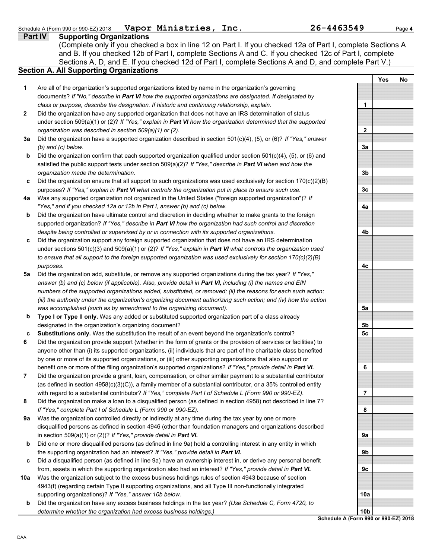| Schedule A (Form 990 or 990-EZ) 2018 | Vapor Ministries, | Inc. | 26-4463549 | <sup>o</sup> age 4 |
|--------------------------------------|-------------------|------|------------|--------------------|
|                                      |                   |      |            |                    |

**Part IV Supporting Organizations** Sections A, D, and E. If you checked 12d of Part I, complete Sections A and D, and complete Part V.) (Complete only if you checked a box in line 12 on Part I. If you checked 12a of Part I, complete Sections A and B. If you checked 12b of Part I, complete Sections A and C. If you checked 12c of Part I, complete

### **Section A. All Supporting Organizations**

- Are all of the organization's supported organizations listed by name in the organization's governing documents? *If "No," describe in Part VI how the supported organizations are designated. If designated by class or purpose, describe the designation. If historic and continuing relationship, explain.* **1**
- Did the organization have any supported organization that does not have an IRS determination of status under section 509(a)(1) or (2)? *If "Yes," explain in Part VI how the organization determined that the supported organization was described in section 509(a)(1) or (2).* **2**
- **3a** Did the organization have a supported organization described in section 501(c)(4), (5), or (6)? *If "Yes," answer (b) and (c) below.*
- **b** Did the organization confirm that each supported organization qualified under section 501(c)(4), (5), or (6) and satisfied the public support tests under section 509(a)(2)? *If "Yes," describe in Part VI when and how the organization made the determination.*
- **c** Did the organization ensure that all support to such organizations was used exclusively for section 170(c)(2)(B) purposes? *If "Yes," explain in Part VI what controls the organization put in place to ensure such use.*
- **4a** Was any supported organization not organized in the United States ("foreign supported organization")? *If "Yes," and if you checked 12a or 12b in Part I, answer (b) and (c) below.*
- **b** Did the organization have ultimate control and discretion in deciding whether to make grants to the foreign supported organization? *If "Yes," describe in Part VI how the organization had such control and discretion despite being controlled or supervised by or in connection with its supported organizations.*
- **c** Did the organization support any foreign supported organization that does not have an IRS determination under sections 501(c)(3) and 509(a)(1) or (2)? *If "Yes," explain in Part VI what controls the organization used to ensure that all support to the foreign supported organization was used exclusively for section 170(c)(2)(B) purposes.*
- **5a** Did the organization add, substitute, or remove any supported organizations during the tax year? *If "Yes," answer (b) and (c) below (if applicable). Also, provide detail in Part VI, including (i) the names and EIN numbers of the supported organizations added, substituted, or removed; (ii) the reasons for each such action; (iii) the authority under the organization's organizing document authorizing such action; and (iv) how the action was accomplished (such as by amendment to the organizing document).*
- **b Type I or Type II only.** Was any added or substituted supported organization part of a class already designated in the organization's organizing document?
- **c Substitutions only.** Was the substitution the result of an event beyond the organization's control?
- **6** Did the organization provide support (whether in the form of grants or the provision of services or facilities) to anyone other than (i) its supported organizations, (ii) individuals that are part of the charitable class benefited by one or more of its supported organizations, or (iii) other supporting organizations that also support or benefit one or more of the filing organization's supported organizations? *If "Yes," provide detail in Part VI.*
- **7** Did the organization provide a grant, loan, compensation, or other similar payment to a substantial contributor (as defined in section 4958(c)(3)(C)), a family member of a substantial contributor, or a 35% controlled entity with regard to a substantial contributor? *If "Yes," complete Part I of Schedule L (Form 990 or 990-EZ).*
- **8** Did the organization make a loan to a disqualified person (as defined in section 4958) not described in line 7? *If "Yes," complete Part I of Schedule L (Form 990 or 990-EZ).*
- **9a** Was the organization controlled directly or indirectly at any time during the tax year by one or more disqualified persons as defined in section 4946 (other than foundation managers and organizations described in section 509(a)(1) or (2))? *If "Yes," provide detail in Part VI.*
- **b** Did one or more disqualified persons (as defined in line 9a) hold a controlling interest in any entity in which the supporting organization had an interest? *If "Yes," provide detail in Part VI.*
- **c** Did a disqualified person (as defined in line 9a) have an ownership interest in, or derive any personal benefit from, assets in which the supporting organization also had an interest? *If "Yes," provide detail in Part VI.*
- **10a** Was the organization subject to the excess business holdings rules of section 4943 because of section 4943(f) (regarding certain Type II supporting organizations, and all Type III non-functionally integrated supporting organizations)? *If "Yes," answer 10b below.*
- **Schedule A (Form 990 or 990-EZ) 2018 b** Did the organization have any excess business holdings in the tax year? *(Use Schedule C, Form 4720, to determine whether the organization had excess business holdings.)*

**Yes No 1 2 3a 3b 3c 4a 4b 4c 5a 5b 5c 6 7 8 9a 9b 9c 10a 10b**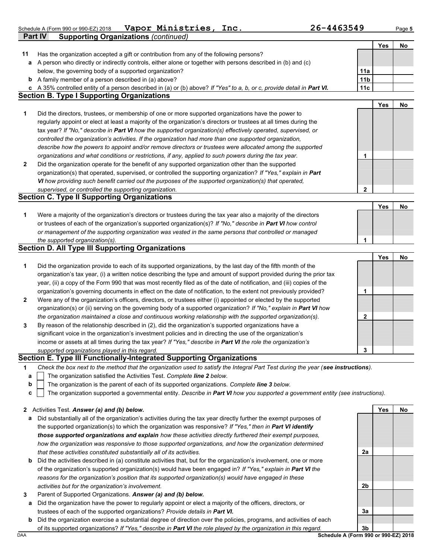Schedule A (Form 990 or 990-EZ) 2018 Page **5 Vapor Ministries, Inc. 26-4463549**

|              | Part IV<br><b>Supporting Organizations (continued)</b>                                                                                                                              |                 |            |    |
|--------------|-------------------------------------------------------------------------------------------------------------------------------------------------------------------------------------|-----------------|------------|----|
|              |                                                                                                                                                                                     |                 | <b>Yes</b> | No |
| 11           | Has the organization accepted a gift or contribution from any of the following persons?                                                                                             |                 |            |    |
| a            | A person who directly or indirectly controls, either alone or together with persons described in (b) and (c)                                                                        |                 |            |    |
|              | below, the governing body of a supported organization?                                                                                                                              | 11a             |            |    |
| b            | A family member of a person described in (a) above?                                                                                                                                 | 11 <sub>b</sub> |            |    |
| c            | A 35% controlled entity of a person described in (a) or (b) above? If "Yes" to a, b, or c, provide detail in Part VI.                                                               | 11c             |            |    |
|              | <b>Section B. Type I Supporting Organizations</b>                                                                                                                                   |                 |            |    |
|              |                                                                                                                                                                                     |                 | <b>Yes</b> | No |
| 1            | Did the directors, trustees, or membership of one or more supported organizations have the power to                                                                                 |                 |            |    |
|              | regularly appoint or elect at least a majority of the organization's directors or trustees at all times during the                                                                  |                 |            |    |
|              | tax year? If "No," describe in Part VI how the supported organization(s) effectively operated, supervised, or                                                                       |                 |            |    |
|              | controlled the organization's activities. If the organization had more than one supported organization,                                                                             |                 |            |    |
|              | describe how the powers to appoint and/or remove directors or trustees were allocated among the supported                                                                           |                 |            |    |
|              | organizations and what conditions or restrictions, if any, applied to such powers during the tax year.                                                                              | 1               |            |    |
| $\mathbf{2}$ | Did the organization operate for the benefit of any supported organization other than the supported                                                                                 |                 |            |    |
|              | organization(s) that operated, supervised, or controlled the supporting organization? If "Yes," explain in Part                                                                     |                 |            |    |
|              | VI how providing such benefit carried out the purposes of the supported organization(s) that operated,                                                                              |                 |            |    |
|              | supervised, or controlled the supporting organization.                                                                                                                              | $\mathbf{2}$    |            |    |
|              | <b>Section C. Type II Supporting Organizations</b>                                                                                                                                  |                 |            |    |
|              |                                                                                                                                                                                     |                 | <b>Yes</b> | No |
| 1            | Were a majority of the organization's directors or trustees during the tax year also a majority of the directors                                                                    |                 |            |    |
|              | or trustees of each of the organization's supported organization(s)? If "No," describe in Part VI how control                                                                       |                 |            |    |
|              | or management of the supporting organization was vested in the same persons that controlled or managed                                                                              |                 |            |    |
|              | the supported organization(s).                                                                                                                                                      | 1               |            |    |
|              |                                                                                                                                                                                     |                 |            |    |
|              | <b>Section D. All Type III Supporting Organizations</b>                                                                                                                             |                 |            |    |
|              |                                                                                                                                                                                     |                 | <b>Yes</b> | No |
| 1            | Did the organization provide to each of its supported organizations, by the last day of the fifth month of the                                                                      |                 |            |    |
|              | organization's tax year, (i) a written notice describing the type and amount of support provided during the prior tax                                                               |                 |            |    |
|              | year, (ii) a copy of the Form 990 that was most recently filed as of the date of notification, and (iii) copies of the                                                              |                 |            |    |
|              | organization's governing documents in effect on the date of notification, to the extent not previously provided?                                                                    | 1               |            |    |
| 2            | Were any of the organization's officers, directors, or trustees either (i) appointed or elected by the supported                                                                    |                 |            |    |
|              | organization(s) or (ii) serving on the governing body of a supported organization? If "No," explain in Part VI how                                                                  |                 |            |    |
|              | the organization maintained a close and continuous working relationship with the supported organization(s).                                                                         | $\mathbf{2}$    |            |    |
| 3            | By reason of the relationship described in (2), did the organization's supported organizations have a                                                                               |                 |            |    |
|              | significant voice in the organization's investment policies and in directing the use of the organization's                                                                          |                 |            |    |
|              | income or assets at all times during the tax year? If "Yes," describe in Part VI the role the organization's                                                                        |                 |            |    |
|              | supported organizations played in this regard.                                                                                                                                      | 3               |            |    |
|              | Section E. Type III Functionally-Integrated Supporting Organizations                                                                                                                |                 |            |    |
| 1            | Check the box next to the method that the organization used to satisfy the Integral Part Test during the year (see instructions).                                                   |                 |            |    |
| a            | The organization satisfied the Activities Test. Complete line 2 below.                                                                                                              |                 |            |    |
| b            | The organization is the parent of each of its supported organizations. Complete line 3 below.                                                                                       |                 |            |    |
| с            | The organization supported a governmental entity. Describe in Part VI how you supported a government entity (see instructions).                                                     |                 |            |    |
|              |                                                                                                                                                                                     |                 |            |    |
| 2            | Activities Test. Answer (a) and (b) below.                                                                                                                                          |                 | Yes        | No |
| а            | Did substantially all of the organization's activities during the tax year directly further the exempt purposes of                                                                  |                 |            |    |
|              | the supported organization(s) to which the organization was responsive? If "Yes," then in Part VI identify                                                                          |                 |            |    |
|              | those supported organizations and explain how these activities directly furthered their exempt purposes,                                                                            |                 |            |    |
|              | how the organization was responsive to those supported organizations, and how the organization determined<br>that these activities constituted substantially all of its activities. | 2a              |            |    |

- **b** Did the activities described in (a) constitute activities that, but for the organization's involvement, one or more of the organization's supported organization(s) would have been engaged in? *If "Yes," explain in Part VI the reasons for the organization's position that its supported organization(s) would have engaged in these activities but for the organization's involvement.*
- **3** Parent of Supported Organizations. *Answer (a) and (b) below.*
- **a** Did the organization have the power to regularly appoint or elect a majority of the officers, directors, or trustees of each of the supported organizations? *Provide details in Part VI.*
- **b** Did the organization exercise a substantial degree of direction over the policies, programs, and activities of each of its supported organizations? *If "Yes," describe in Part VI the role played by the organization in this regard.*

DAA **Schedule A (Form 990 or 990-EZ) 2018 3b**

**2b**

**3a**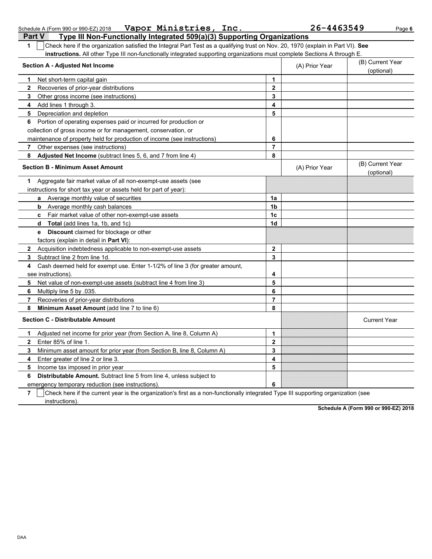| $\mathbf{1}$ | Check here if the organization satisfied the Integral Part Test as a qualifying trust on Nov. 20, 1970 (explain in Part VI). See |                         |                                |                                |
|--------------|----------------------------------------------------------------------------------------------------------------------------------|-------------------------|--------------------------------|--------------------------------|
|              | instructions. All other Type III non-functionally integrated supporting organizations must complete Sections A through E.        |                         |                                |                                |
|              | <b>Section A - Adjusted Net Income</b>                                                                                           | (A) Prior Year          | (B) Current Year<br>(optional) |                                |
| 1            | Net short-term capital gain                                                                                                      | 1                       |                                |                                |
| $\mathbf{2}$ | Recoveries of prior-year distributions                                                                                           | $\mathbf{2}$            |                                |                                |
| 3            | Other gross income (see instructions)                                                                                            | 3                       |                                |                                |
| 4            | Add lines 1 through 3.                                                                                                           | 4                       |                                |                                |
| 5            | Depreciation and depletion                                                                                                       | 5                       |                                |                                |
| 6            | Portion of operating expenses paid or incurred for production or                                                                 |                         |                                |                                |
|              | collection of gross income or for management, conservation, or                                                                   |                         |                                |                                |
|              | maintenance of property held for production of income (see instructions)                                                         | 6                       |                                |                                |
| 7            | Other expenses (see instructions)                                                                                                | $\overline{7}$          |                                |                                |
| 8            | Adjusted Net Income (subtract lines 5, 6, and 7 from line 4)                                                                     | 8                       |                                |                                |
|              | <b>Section B - Minimum Asset Amount</b>                                                                                          |                         | (A) Prior Year                 | (B) Current Year<br>(optional) |
| 1            | Aggregate fair market value of all non-exempt-use assets (see                                                                    |                         |                                |                                |
|              | instructions for short tax year or assets held for part of year):                                                                |                         |                                |                                |
|              | a Average monthly value of securities                                                                                            | 1a                      |                                |                                |
|              | <b>b</b> Average monthly cash balances                                                                                           | 1b                      |                                |                                |
|              | Fair market value of other non-exempt-use assets<br>c.                                                                           | 1c                      |                                |                                |
|              | Total (add lines 1a, 1b, and 1c)<br>d                                                                                            | 1d                      |                                |                                |
|              | Discount claimed for blockage or other<br>е                                                                                      |                         |                                |                                |
|              | factors (explain in detail in Part VI):                                                                                          |                         |                                |                                |
| $\mathbf{2}$ | Acquisition indebtedness applicable to non-exempt-use assets                                                                     | $\mathbf 2$             |                                |                                |
| 3            | Subtract line 2 from line 1d.                                                                                                    | 3                       |                                |                                |
| 4            | Cash deemed held for exempt use. Enter 1-1/2% of line 3 (for greater amount,                                                     |                         |                                |                                |
|              | see instructions).                                                                                                               | 4                       |                                |                                |
| 5            | Net value of non-exempt-use assets (subtract line 4 from line 3)                                                                 | 5                       |                                |                                |
| 6            | Multiply line 5 by .035.                                                                                                         | 6                       |                                |                                |
| 7            | Recoveries of prior-year distributions                                                                                           | $\overline{7}$          |                                |                                |
| 8            | Minimum Asset Amount (add line 7 to line 6)                                                                                      | 8                       |                                |                                |
|              | <b>Section C - Distributable Amount</b>                                                                                          |                         |                                | <b>Current Year</b>            |
| 1            | Adjusted net income for prior year (from Section A, line 8, Column A)                                                            | 1                       |                                |                                |
| $\mathbf{2}$ | Enter 85% of line 1.                                                                                                             | $\overline{\mathbf{2}}$ |                                |                                |
| 3            | Minimum asset amount for prior year (from Section B, line 8, Column A)                                                           | 3                       |                                |                                |
| 4            | Enter greater of line 2 or line 3.                                                                                               | 4                       |                                |                                |
| 5            | Income tax imposed in prior year                                                                                                 | 5                       |                                |                                |
| 6            | <b>Distributable Amount.</b> Subtract line 5 from line 4, unless subject to                                                      |                         |                                |                                |
|              | emergency temporary reduction (see instructions)                                                                                 | 6                       |                                |                                |

**7** | Check here if the current year is the organization's first as a non-functionally integrated Type III supporting organization (see

instructions).

**Schedule A (Form 990 or 990-EZ) 2018**

## Schedule A (Form 990 or 990-EZ) 2018 Page **6 Vapor Ministries, Inc. 26-4463549**

**Part V Type III Non-Functionally Integrated 509(a)(3) Supporting Organizations**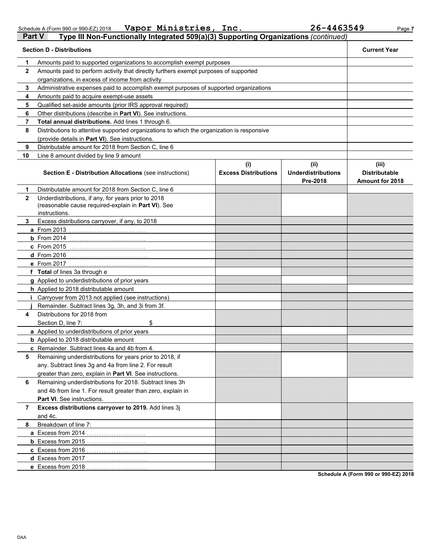Schedule A (Form 990 or 990-EZ) 2018 Page **7 Vapor Ministries, Inc. 26-4463549**

| Part V       | Type III Non-Functionally Integrated 509(a)(3) Supporting Organizations (continued)                                         |                                    |                                               |                                                         |  |  |  |
|--------------|-----------------------------------------------------------------------------------------------------------------------------|------------------------------------|-----------------------------------------------|---------------------------------------------------------|--|--|--|
|              | <b>Section D - Distributions</b>                                                                                            |                                    |                                               | <b>Current Year</b>                                     |  |  |  |
| 1            | Amounts paid to supported organizations to accomplish exempt purposes                                                       |                                    |                                               |                                                         |  |  |  |
| $\mathbf{2}$ | Amounts paid to perform activity that directly furthers exempt purposes of supported                                        |                                    |                                               |                                                         |  |  |  |
|              | organizations, in excess of income from activity                                                                            |                                    |                                               |                                                         |  |  |  |
| 3            | Administrative expenses paid to accomplish exempt purposes of supported organizations                                       |                                    |                                               |                                                         |  |  |  |
| 4            | Amounts paid to acquire exempt-use assets                                                                                   |                                    |                                               |                                                         |  |  |  |
| 5            | Qualified set-aside amounts (prior IRS approval required)                                                                   |                                    |                                               |                                                         |  |  |  |
| 6            | Other distributions (describe in Part VI). See instructions.                                                                |                                    |                                               |                                                         |  |  |  |
| 7            | Total annual distributions. Add lines 1 through 6.                                                                          |                                    |                                               |                                                         |  |  |  |
| 8            | Distributions to attentive supported organizations to which the organization is responsive                                  |                                    |                                               |                                                         |  |  |  |
|              | (provide details in Part VI). See instructions.                                                                             |                                    |                                               |                                                         |  |  |  |
| 9            | Distributable amount for 2018 from Section C, line 6                                                                        |                                    |                                               |                                                         |  |  |  |
| 10           | Line 8 amount divided by line 9 amount                                                                                      |                                    |                                               |                                                         |  |  |  |
|              | <b>Section E - Distribution Allocations (see instructions)</b>                                                              | (i)<br><b>Excess Distributions</b> | (ii)<br><b>Underdistributions</b><br>Pre-2018 | (iii)<br><b>Distributable</b><br><b>Amount for 2018</b> |  |  |  |
| 1            | Distributable amount for 2018 from Section C, line 6                                                                        |                                    |                                               |                                                         |  |  |  |
| $\mathbf{2}$ | Underdistributions, if any, for years prior to 2018<br>(reasonable cause required-explain in Part VI). See<br>instructions. |                                    |                                               |                                                         |  |  |  |
| 3            | Excess distributions carryover, if any, to 2018                                                                             |                                    |                                               |                                                         |  |  |  |
|              | a From 2013                                                                                                                 |                                    |                                               |                                                         |  |  |  |
|              | $b$ From 2014                                                                                                               |                                    |                                               |                                                         |  |  |  |
|              | <b>c</b> From 2015                                                                                                          |                                    |                                               |                                                         |  |  |  |
|              | d From 2016                                                                                                                 |                                    |                                               |                                                         |  |  |  |
|              | e From 2017                                                                                                                 |                                    |                                               |                                                         |  |  |  |
|              | f Total of lines 3a through e                                                                                               |                                    |                                               |                                                         |  |  |  |
|              | g Applied to underdistributions of prior years                                                                              |                                    |                                               |                                                         |  |  |  |
|              | h Applied to 2018 distributable amount                                                                                      |                                    |                                               |                                                         |  |  |  |
|              | Carryover from 2013 not applied (see instructions)                                                                          |                                    |                                               |                                                         |  |  |  |
|              | Remainder. Subtract lines 3g, 3h, and 3i from 3f.                                                                           |                                    |                                               |                                                         |  |  |  |
| 4            | Distributions for 2018 from                                                                                                 |                                    |                                               |                                                         |  |  |  |
|              | \$<br>Section D, line 7:                                                                                                    |                                    |                                               |                                                         |  |  |  |
|              | a Applied to underdistributions of prior years                                                                              |                                    |                                               |                                                         |  |  |  |
|              | <b>b</b> Applied to 2018 distributable amount                                                                               |                                    |                                               |                                                         |  |  |  |
|              | c Remainder. Subtract lines 4a and 4b from 4.                                                                               |                                    |                                               |                                                         |  |  |  |
| 5            | Remaining underdistributions for years prior to 2018, if<br>any. Subtract lines 3g and 4a from line 2. For result           |                                    |                                               |                                                         |  |  |  |
|              | greater than zero, explain in Part VI. See instructions.                                                                    |                                    |                                               |                                                         |  |  |  |
| 6            | Remaining underdistributions for 2018. Subtract lines 3h                                                                    |                                    |                                               |                                                         |  |  |  |
|              | and 4b from line 1. For result greater than zero, explain in                                                                |                                    |                                               |                                                         |  |  |  |
|              | Part VI. See instructions.                                                                                                  |                                    |                                               |                                                         |  |  |  |
| 7            | Excess distributions carryover to 2019. Add lines 3j                                                                        |                                    |                                               |                                                         |  |  |  |
|              | and 4c.                                                                                                                     |                                    |                                               |                                                         |  |  |  |
| 8            | Breakdown of line 7:                                                                                                        |                                    |                                               |                                                         |  |  |  |
|              | a Excess from 2014                                                                                                          |                                    |                                               |                                                         |  |  |  |
|              | <b>b</b> Excess from 2015                                                                                                   |                                    |                                               |                                                         |  |  |  |
|              | c Excess from 2016                                                                                                          |                                    |                                               |                                                         |  |  |  |
|              | d Excess from 2017                                                                                                          |                                    |                                               |                                                         |  |  |  |
|              | e Excess from 2018                                                                                                          |                                    |                                               |                                                         |  |  |  |
|              |                                                                                                                             |                                    |                                               |                                                         |  |  |  |

**Schedule A (Form 990 or 990-EZ) 2018**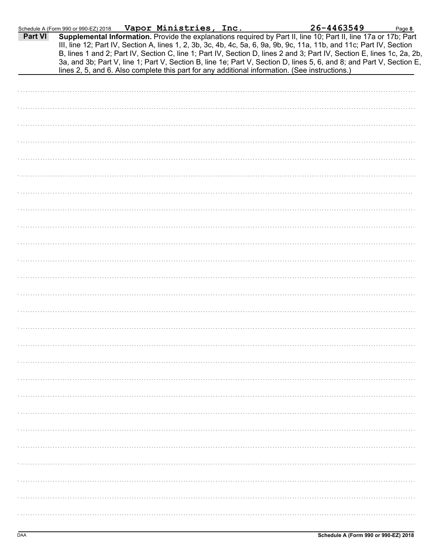|         | Schedule A (Form 990 or 990-EZ) 2018                                                           | Vapor Ministries, Inc. |  | 26-4463549                                                                                                                                                                                                                                     | Page 8 |
|---------|------------------------------------------------------------------------------------------------|------------------------|--|------------------------------------------------------------------------------------------------------------------------------------------------------------------------------------------------------------------------------------------------|--------|
| Part VI |                                                                                                |                        |  | Supplemental Information. Provide the explanations required by Part II, line 10; Part II, line 17a or 17b; Part<br>III, line 12; Part IV, Section A, lines 1, 2, 3b, 3c, 4b, 4c, 5a, 6, 9a, 9b, 9c, 11a, 11b, and 11c; Part IV, Section        |        |
|         | lines 2, 5, and 6. Also complete this part for any additional information. (See instructions.) |                        |  | B, lines 1 and 2; Part IV, Section C, line 1; Part IV, Section D, lines 2 and 3; Part IV, Section E, lines 1c, 2a, 2b,<br>3a, and 3b; Part V, line 1; Part V, Section B, line 1e; Part V, Section D, lines 5, 6, and 8; and Part V, Section E, |        |
|         |                                                                                                |                        |  |                                                                                                                                                                                                                                                |        |
|         |                                                                                                |                        |  |                                                                                                                                                                                                                                                |        |
|         |                                                                                                |                        |  |                                                                                                                                                                                                                                                |        |
|         |                                                                                                |                        |  |                                                                                                                                                                                                                                                |        |
|         |                                                                                                |                        |  |                                                                                                                                                                                                                                                |        |
|         |                                                                                                |                        |  |                                                                                                                                                                                                                                                |        |
|         |                                                                                                |                        |  |                                                                                                                                                                                                                                                |        |
|         |                                                                                                |                        |  |                                                                                                                                                                                                                                                |        |
|         |                                                                                                |                        |  |                                                                                                                                                                                                                                                |        |
|         |                                                                                                |                        |  |                                                                                                                                                                                                                                                |        |
|         |                                                                                                |                        |  |                                                                                                                                                                                                                                                |        |
|         |                                                                                                |                        |  |                                                                                                                                                                                                                                                |        |
|         |                                                                                                |                        |  |                                                                                                                                                                                                                                                |        |
|         |                                                                                                |                        |  |                                                                                                                                                                                                                                                |        |
|         |                                                                                                |                        |  |                                                                                                                                                                                                                                                |        |
|         |                                                                                                |                        |  |                                                                                                                                                                                                                                                |        |
|         |                                                                                                |                        |  |                                                                                                                                                                                                                                                |        |
|         |                                                                                                |                        |  |                                                                                                                                                                                                                                                |        |
|         |                                                                                                |                        |  |                                                                                                                                                                                                                                                |        |
|         |                                                                                                |                        |  |                                                                                                                                                                                                                                                |        |
|         |                                                                                                |                        |  |                                                                                                                                                                                                                                                |        |
|         |                                                                                                |                        |  |                                                                                                                                                                                                                                                |        |
|         |                                                                                                |                        |  |                                                                                                                                                                                                                                                |        |
|         |                                                                                                |                        |  |                                                                                                                                                                                                                                                |        |
|         |                                                                                                |                        |  |                                                                                                                                                                                                                                                |        |
|         |                                                                                                |                        |  |                                                                                                                                                                                                                                                |        |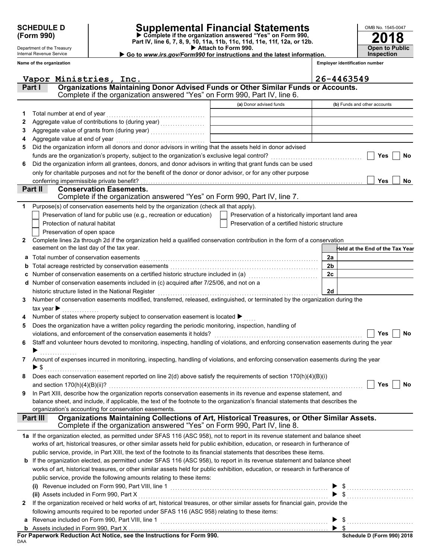Department of the Treasury Internal Revenue Service **Name of the organization**

## **SCHEDULE D Supplemental Financial Statements**

Attach to Form 990. **(Form 990)** ● **P** Complete if the organization answered "Yes" on Form 990,<br>Part IV, line 6, 7, 8, 9, 10, 11a, 11b, 11c, 11d, 11e, 11f, 12a, or 12b.

**2018 Open to Public Inspection**

OMB No. 1545-0047

▶ Go to www.irs.gov/Form990 for instructions and the latest information.

**Employer identification number**

|              | Vapor Ministries, Inc.                                                                                                                                                     |                                                    | 26-4463549                      |
|--------------|----------------------------------------------------------------------------------------------------------------------------------------------------------------------------|----------------------------------------------------|---------------------------------|
|              | Organizations Maintaining Donor Advised Funds or Other Similar Funds or Accounts.<br>Part I                                                                                |                                                    |                                 |
|              | Complete if the organization answered "Yes" on Form 990, Part IV, line 6.                                                                                                  |                                                    |                                 |
|              |                                                                                                                                                                            | (a) Donor advised funds                            | (b) Funds and other accounts    |
| 1.           | Total number at end of year                                                                                                                                                |                                                    |                                 |
| 2            |                                                                                                                                                                            |                                                    |                                 |
|              |                                                                                                                                                                            | <u> 1989 - Johann Barbara, martin d</u>            |                                 |
| 3            |                                                                                                                                                                            | <u> 1989 - Johann Barbara, martin a</u>            |                                 |
| 4            | Aggregate value at end of year                                                                                                                                             |                                                    |                                 |
| 5            | Did the organization inform all donors and donor advisors in writing that the assets held in donor advised                                                                 |                                                    |                                 |
|              | funds are the organization's property, subject to the organization's exclusive legal control?                                                                              |                                                    | Yes<br><b>No</b>                |
| 6            | Did the organization inform all grantees, donors, and donor advisors in writing that grant funds can be used                                                               |                                                    |                                 |
|              | only for charitable purposes and not for the benefit of the donor or donor advisor, or for any other purpose                                                               |                                                    |                                 |
|              | conferring impermissible private benefit?<br><b>Conservation Easements.</b>                                                                                                |                                                    | <b>Yes</b><br>No                |
|              | Part II<br>Complete if the organization answered "Yes" on Form 990, Part IV, line 7.                                                                                       |                                                    |                                 |
|              |                                                                                                                                                                            |                                                    |                                 |
| 1            | Purpose(s) of conservation easements held by the organization (check all that apply).                                                                                      |                                                    |                                 |
|              | Preservation of land for public use (e.g., recreation or education)                                                                                                        | Preservation of a historically important land area |                                 |
|              | Protection of natural habitat                                                                                                                                              | Preservation of a certified historic structure     |                                 |
|              | Preservation of open space                                                                                                                                                 |                                                    |                                 |
| $\mathbf{z}$ | Complete lines 2a through 2d if the organization held a qualified conservation contribution in the form of a conservation                                                  |                                                    |                                 |
|              | easement on the last day of the tax year.                                                                                                                                  |                                                    | Held at the End of the Tax Year |
| a            | Total number of conservation easements                                                                                                                                     |                                                    | 2a                              |
| b            |                                                                                                                                                                            |                                                    | 2 <sub>b</sub>                  |
|              | Number of conservation easements on a certified historic structure included in (a) [11] Number of conservation easements on a certified historic structure included in (a) |                                                    | 2c                              |
|              | Number of conservation easements included in (c) acquired after 7/25/06, and not on a                                                                                      |                                                    |                                 |
|              | historic structure listed in the National Register                                                                                                                         |                                                    | 2d                              |
| 3            | Number of conservation easements modified, transferred, released, extinguished, or terminated by the organization during the                                               |                                                    |                                 |
|              | tax year $\blacktriangleright$                                                                                                                                             |                                                    |                                 |
| 4            | Number of states where property subject to conservation easement is located ▶                                                                                              |                                                    |                                 |
| 5            | Does the organization have a written policy regarding the periodic monitoring, inspection, handling of                                                                     |                                                    |                                 |
|              | violations, and enforcement of the conservation easements it holds?                                                                                                        |                                                    | Yes<br>No                       |
| 6            | Staff and volunteer hours devoted to monitoring, inspecting, handling of violations, and enforcing conservation easements during the year                                  |                                                    |                                 |
|              |                                                                                                                                                                            |                                                    |                                 |
| 7            | Amount of expenses incurred in monitoring, inspecting, handling of violations, and enforcing conservation easements during the year                                        |                                                    |                                 |
|              | ▶ \$                                                                                                                                                                       |                                                    |                                 |
|              | Does each conservation easement reported on line 2(d) above satisfy the requirements of section 170(h)(4)(B)(i)                                                            |                                                    |                                 |
|              |                                                                                                                                                                            |                                                    | $\Box$ Yes $\Box$ No            |
| 9            | In Part XIII, describe how the organization reports conservation easements in its revenue and expense statement, and                                                       |                                                    |                                 |
|              | balance sheet, and include, if applicable, the text of the footnote to the organization's financial statements that describes the                                          |                                                    |                                 |
|              | organization's accounting for conservation easements.                                                                                                                      |                                                    |                                 |
|              | Organizations Maintaining Collections of Art, Historical Treasures, or Other Similar Assets.<br>Part III                                                                   |                                                    |                                 |
|              | Complete if the organization answered "Yes" on Form 990, Part IV, line 8.                                                                                                  |                                                    |                                 |
|              | 1a If the organization elected, as permitted under SFAS 116 (ASC 958), not to report in its revenue statement and balance sheet                                            |                                                    |                                 |
|              | works of art, historical treasures, or other similar assets held for public exhibition, education, or research in furtherance of                                           |                                                    |                                 |
|              | public service, provide, in Part XIII, the text of the footnote to its financial statements that describes these items.                                                    |                                                    |                                 |
|              | <b>b</b> If the organization elected, as permitted under SFAS 116 (ASC 958), to report in its revenue statement and balance sheet                                          |                                                    |                                 |
|              | works of art, historical treasures, or other similar assets held for public exhibition, education, or research in furtherance of                                           |                                                    |                                 |
|              | public service, provide the following amounts relating to these items:                                                                                                     |                                                    |                                 |
|              |                                                                                                                                                                            |                                                    | $\frac{1}{2}$                   |
|              | (ii) Assets included in Form 990, Part X                                                                                                                                   |                                                    | $\frac{1}{2}$                   |
| $\mathbf{2}$ | If the organization received or held works of art, historical treasures, or other similar assets for financial gain, provide the                                           |                                                    |                                 |
|              | following amounts required to be reported under SFAS 116 (ASC 958) relating to these items:                                                                                |                                                    |                                 |
|              |                                                                                                                                                                            |                                                    | $\frac{1}{2}$                   |
|              |                                                                                                                                                                            |                                                    | $\blacktriangleright$ s         |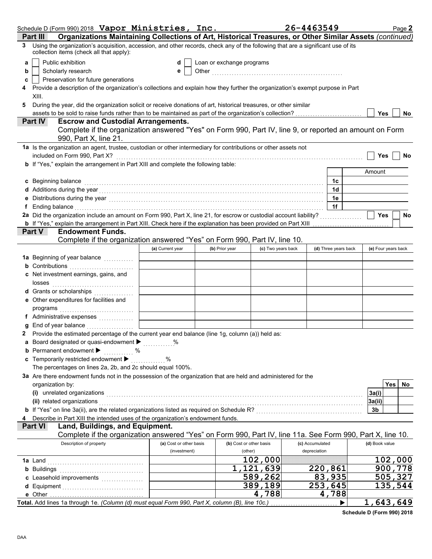|   | Schedule D (Form 990) 2018 Vapor Ministries, Inc.                                                                                                                                                                                                                                                                                                    |                         |                           |                         | 26-4463549           | Page 2              |
|---|------------------------------------------------------------------------------------------------------------------------------------------------------------------------------------------------------------------------------------------------------------------------------------------------------------------------------------------------------|-------------------------|---------------------------|-------------------------|----------------------|---------------------|
|   | Organizations Maintaining Collections of Art, Historical Treasures, or Other Similar Assets (continued)<br>Part III                                                                                                                                                                                                                                  |                         |                           |                         |                      |                     |
| 3 | Using the organization's acquisition, accession, and other records, check any of the following that are a significant use of its<br>collection items (check all that apply):                                                                                                                                                                         |                         |                           |                         |                      |                     |
| a | Public exhibition                                                                                                                                                                                                                                                                                                                                    | d                       | Loan or exchange programs |                         |                      |                     |
| b | Scholarly research                                                                                                                                                                                                                                                                                                                                   | е                       |                           |                         |                      |                     |
| c | Preservation for future generations                                                                                                                                                                                                                                                                                                                  |                         |                           |                         |                      |                     |
|   | Provide a description of the organization's collections and explain how they further the organization's exempt purpose in Part                                                                                                                                                                                                                       |                         |                           |                         |                      |                     |
|   | XIII.                                                                                                                                                                                                                                                                                                                                                |                         |                           |                         |                      |                     |
| 5 | During the year, did the organization solicit or receive donations of art, historical treasures, or other similar                                                                                                                                                                                                                                    |                         |                           |                         |                      | <b>Yes</b><br>No    |
|   | <b>Escrow and Custodial Arrangements.</b><br><b>Part IV</b>                                                                                                                                                                                                                                                                                          |                         |                           |                         |                      |                     |
|   | Complete if the organization answered "Yes" on Form 990, Part IV, line 9, or reported an amount on Form                                                                                                                                                                                                                                              |                         |                           |                         |                      |                     |
|   | 990, Part X, line 21.                                                                                                                                                                                                                                                                                                                                |                         |                           |                         |                      |                     |
|   | 1a Is the organization an agent, trustee, custodian or other intermediary for contributions or other assets not                                                                                                                                                                                                                                      |                         |                           |                         |                      |                     |
|   | included on Form 990, Part X?                                                                                                                                                                                                                                                                                                                        |                         |                           |                         |                      | <b>Yes</b><br>No    |
|   | b If "Yes," explain the arrangement in Part XIII and complete the following table:                                                                                                                                                                                                                                                                   |                         |                           |                         |                      |                     |
|   |                                                                                                                                                                                                                                                                                                                                                      |                         |                           |                         |                      | Amount              |
|   | c Beginning balance                                                                                                                                                                                                                                                                                                                                  |                         |                           |                         | 1c                   |                     |
|   |                                                                                                                                                                                                                                                                                                                                                      |                         |                           |                         | 1d<br>1e             |                     |
| е |                                                                                                                                                                                                                                                                                                                                                      |                         |                           |                         | 1f                   |                     |
|   | f Ending balance encourance and the contract of the contract of the contract of the contract of the contract of the contract of the contract of the contract of the contract of the contract of the contract of the contract o<br>2a Did the organization include an amount on Form 990, Part X, line 21, for escrow or custodial account liability? |                         |                           |                         |                      | Yes<br>No           |
|   | <b>b</b> If "Yes," explain the arrangement in Part XIII. Check here if the explanation has been provided on Part XIII                                                                                                                                                                                                                                |                         |                           |                         |                      |                     |
|   | <b>Endowment Funds.</b><br>Part V                                                                                                                                                                                                                                                                                                                    |                         |                           |                         |                      |                     |
|   | Complete if the organization answered "Yes" on Form 990, Part IV, line 10.                                                                                                                                                                                                                                                                           |                         |                           |                         |                      |                     |
|   |                                                                                                                                                                                                                                                                                                                                                      | (a) Current year        | (b) Prior year            | (c) Two years back      | (d) Three years back | (e) Four years back |
|   | 1a Beginning of year balance <i>minimum</i>                                                                                                                                                                                                                                                                                                          |                         |                           |                         |                      |                     |
|   | <b>b</b> Contributions                                                                                                                                                                                                                                                                                                                               |                         |                           |                         |                      |                     |
|   | c Net investment earnings, gains, and                                                                                                                                                                                                                                                                                                                |                         |                           |                         |                      |                     |
|   |                                                                                                                                                                                                                                                                                                                                                      |                         |                           |                         |                      |                     |
|   | d Grants or scholarships                                                                                                                                                                                                                                                                                                                             |                         |                           |                         |                      |                     |
|   | e Other expenditures for facilities and                                                                                                                                                                                                                                                                                                              |                         |                           |                         |                      |                     |
|   |                                                                                                                                                                                                                                                                                                                                                      |                         |                           |                         |                      |                     |
|   | End of year balance <i>manufactured</i> in the set of the set of the set of the set of the set of the set of the set of the set of the set of the set of the set of the set of the set of the set of the set of the set of the set                                                                                                                   |                         |                           |                         |                      |                     |
|   | 2 Provide the estimated percentage of the current year end balance (line 1g, column (a)) held as:                                                                                                                                                                                                                                                    |                         |                           |                         |                      |                     |
|   | a Board designated or quasi-endowment $\blacktriangleright$                                                                                                                                                                                                                                                                                          |                         |                           |                         |                      |                     |
|   | <b>b</b> Permanent endowment $\blacktriangleright$<br>$\%$                                                                                                                                                                                                                                                                                           |                         |                           |                         |                      |                     |
|   | c Temporarily restricted endowment >                                                                                                                                                                                                                                                                                                                 | %                       |                           |                         |                      |                     |
|   | The percentages on lines 2a, 2b, and 2c should equal 100%.                                                                                                                                                                                                                                                                                           |                         |                           |                         |                      |                     |
|   | 3a Are there endowment funds not in the possession of the organization that are held and administered for the                                                                                                                                                                                                                                        |                         |                           |                         |                      |                     |
|   | organization by:                                                                                                                                                                                                                                                                                                                                     |                         |                           |                         |                      | Yes<br>No           |
|   | (i) unrelated organizations entertainment and all the contract of the contract of the contract of the contract or contract or contract or contract or contract or contract or contract or contract or contract or contract or                                                                                                                        |                         |                           |                         |                      | 3a(i)               |
|   | (ii) related organizations                                                                                                                                                                                                                                                                                                                           |                         |                           |                         |                      | 3a(ii)              |
|   | b If "Yes" on line 3a(ii), are the related organizations listed as required on Schedule R? [[[[[[[[[[[[[[[[[[[                                                                                                                                                                                                                                       |                         |                           |                         |                      | 3b                  |
|   | Describe in Part XIII the intended uses of the organization's endowment funds.<br>Land, Buildings, and Equipment.<br><b>Part VI</b>                                                                                                                                                                                                                  |                         |                           |                         |                      |                     |
|   | Complete if the organization answered "Yes" on Form 990, Part IV, line 11a. See Form 990, Part X, line 10.                                                                                                                                                                                                                                           |                         |                           |                         |                      |                     |
|   | Description of property                                                                                                                                                                                                                                                                                                                              | (a) Cost or other basis |                           | (b) Cost or other basis | (c) Accumulated      | (d) Book value      |
|   |                                                                                                                                                                                                                                                                                                                                                      | (investment)            |                           | (other)                 | depreciation         |                     |
|   |                                                                                                                                                                                                                                                                                                                                                      |                         |                           | 102,000                 |                      | 102,000             |
|   | <b>b</b> Buildings <b>Manual</b> Buildings <b>b</b>                                                                                                                                                                                                                                                                                                  |                         |                           | 1,121,639               | 220,861              | 900,778             |
|   |                                                                                                                                                                                                                                                                                                                                                      |                         |                           | 589,262                 | 83,935               | 505,327             |
|   |                                                                                                                                                                                                                                                                                                                                                      |                         |                           | 389,189                 | 253,645              | 135,544             |
|   |                                                                                                                                                                                                                                                                                                                                                      |                         |                           | 4,788                   | 4,788                |                     |
|   | Total. Add lines 1a through 1e. (Column (d) must equal Form 990, Part X, column (B), line 10c.)                                                                                                                                                                                                                                                      |                         |                           |                         | ▶                    | 1,643,649           |

**Schedule D (Form 990) 2018**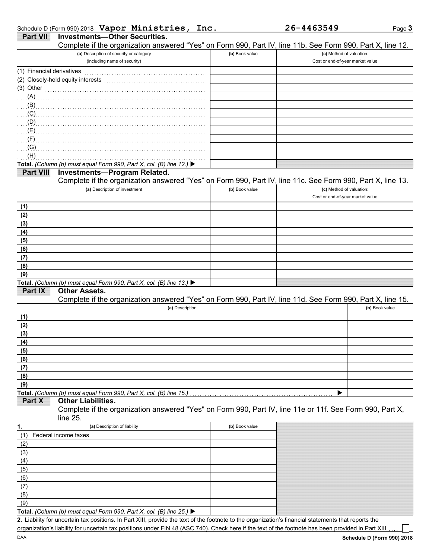| Schedule D (Form 990) 2018 Vapor Ministries, Inc |  |  |
|--------------------------------------------------|--|--|
|                                                  |  |  |

|--|--|

| <b>Part VII</b>           | <b>Investments-Other Securities.</b><br>Complete if the organization answered "Yes" on Form 990, Part IV, line 11b. See Form 990, Part X, line 12.                                                                                                                                                                                 |                |                                  |                |
|---------------------------|------------------------------------------------------------------------------------------------------------------------------------------------------------------------------------------------------------------------------------------------------------------------------------------------------------------------------------|----------------|----------------------------------|----------------|
|                           | (a) Description of security or category                                                                                                                                                                                                                                                                                            | (b) Book value | (c) Method of valuation:         |                |
|                           | (including name of security)                                                                                                                                                                                                                                                                                                       |                | Cost or end-of-year market value |                |
| (1) Financial derivatives |                                                                                                                                                                                                                                                                                                                                    |                |                                  |                |
|                           | (2) Closely-held equity interests                                                                                                                                                                                                                                                                                                  |                |                                  |                |
| (3) Other                 |                                                                                                                                                                                                                                                                                                                                    |                |                                  |                |
|                           |                                                                                                                                                                                                                                                                                                                                    |                |                                  |                |
|                           |                                                                                                                                                                                                                                                                                                                                    |                |                                  |                |
|                           | $\overline{C}$ (C) $\overline{C}$ (C) $\overline{C}$ (C) $\overline{C}$ (C) $\overline{C}$ (C) $\overline{C}$ (C) $\overline{C}$ (C) $\overline{C}$ (C) $\overline{C}$ (C) $\overline{C}$ (C) $\overline{C}$ (C) $\overline{C}$ (C) $\overline{C}$ (C) $\overline{C}$ (C) $\overline{C}$ (C) $\overline{C}$ (C) $\overline{C}$ (C) |                |                                  |                |
| (0)                       |                                                                                                                                                                                                                                                                                                                                    |                |                                  |                |
|                           |                                                                                                                                                                                                                                                                                                                                    |                |                                  |                |
| $\Gamma$ (F) $\Gamma$     |                                                                                                                                                                                                                                                                                                                                    |                |                                  |                |
| (G)                       |                                                                                                                                                                                                                                                                                                                                    |                |                                  |                |
| (H)                       |                                                                                                                                                                                                                                                                                                                                    |                |                                  |                |
| <b>Part VIII</b>          | Total. (Column (b) must equal Form 990, Part X, col. (B) line 12.) ▶                                                                                                                                                                                                                                                               |                |                                  |                |
|                           | <b>Investments-Program Related.</b><br>Complete if the organization answered "Yes" on Form 990, Part IV, line 11c. See Form 990, Part X, line 13.                                                                                                                                                                                  |                |                                  |                |
|                           | (a) Description of investment                                                                                                                                                                                                                                                                                                      | (b) Book value | (c) Method of valuation:         |                |
|                           |                                                                                                                                                                                                                                                                                                                                    |                | Cost or end-of-year market value |                |
| (1)                       |                                                                                                                                                                                                                                                                                                                                    |                |                                  |                |
| (2)                       |                                                                                                                                                                                                                                                                                                                                    |                |                                  |                |
| (3)                       |                                                                                                                                                                                                                                                                                                                                    |                |                                  |                |
| (4)                       |                                                                                                                                                                                                                                                                                                                                    |                |                                  |                |
| (5)                       |                                                                                                                                                                                                                                                                                                                                    |                |                                  |                |
| (6)                       |                                                                                                                                                                                                                                                                                                                                    |                |                                  |                |
| (7)                       |                                                                                                                                                                                                                                                                                                                                    |                |                                  |                |
| (8)                       |                                                                                                                                                                                                                                                                                                                                    |                |                                  |                |
| (9)                       |                                                                                                                                                                                                                                                                                                                                    |                |                                  |                |
| Part IX                   | Total. (Column (b) must equal Form 990, Part X, col. (B) line 13.) ▶<br><b>Other Assets.</b>                                                                                                                                                                                                                                       |                |                                  |                |
|                           | Complete if the organization answered "Yes" on Form 990, Part IV, line 11d. See Form 990, Part X, line 15.                                                                                                                                                                                                                         |                |                                  |                |
|                           | (a) Description                                                                                                                                                                                                                                                                                                                    |                |                                  | (b) Book value |
| (1)                       |                                                                                                                                                                                                                                                                                                                                    |                |                                  |                |
| (2)                       |                                                                                                                                                                                                                                                                                                                                    |                |                                  |                |
| (3)                       |                                                                                                                                                                                                                                                                                                                                    |                |                                  |                |
| (4)                       |                                                                                                                                                                                                                                                                                                                                    |                |                                  |                |
| (5)                       |                                                                                                                                                                                                                                                                                                                                    |                |                                  |                |
| (6)<br>(7)                |                                                                                                                                                                                                                                                                                                                                    |                |                                  |                |
| (8)                       |                                                                                                                                                                                                                                                                                                                                    |                |                                  |                |
| (9)                       |                                                                                                                                                                                                                                                                                                                                    |                |                                  |                |
|                           | Total. (Column (b) must equal Form 990, Part X, col. (B) line 15.)                                                                                                                                                                                                                                                                 |                | ▶                                |                |
| Part X                    | <b>Other Liabilities.</b><br>Complete if the organization answered "Yes" on Form 990, Part IV, line 11e or 11f. See Form 990, Part X,<br>line 25.                                                                                                                                                                                  |                |                                  |                |
| 1.                        | (a) Description of liability                                                                                                                                                                                                                                                                                                       | (b) Book value |                                  |                |
| (1)                       | Federal income taxes                                                                                                                                                                                                                                                                                                               |                |                                  |                |
| (2)                       |                                                                                                                                                                                                                                                                                                                                    |                |                                  |                |
| (3)                       |                                                                                                                                                                                                                                                                                                                                    |                |                                  |                |
| (4)                       |                                                                                                                                                                                                                                                                                                                                    |                |                                  |                |
| (5)                       |                                                                                                                                                                                                                                                                                                                                    |                |                                  |                |
| (6)                       |                                                                                                                                                                                                                                                                                                                                    |                |                                  |                |
| (7)                       |                                                                                                                                                                                                                                                                                                                                    |                |                                  |                |
| (8)                       |                                                                                                                                                                                                                                                                                                                                    |                |                                  |                |
| (9)                       |                                                                                                                                                                                                                                                                                                                                    |                |                                  |                |
|                           | Total. (Column (b) must equal Form 990, Part X, col. (B) line 25.) $\blacktriangleright$                                                                                                                                                                                                                                           |                |                                  |                |

Liability for uncertain tax positions. In Part XIII, provide the text of the footnote to the organization's financial statements that reports the **2.** organization's liability for uncertain tax positions under FIN 48 (ASC 740). Check here if the text of the footnote has been provided in Part XIII

- 1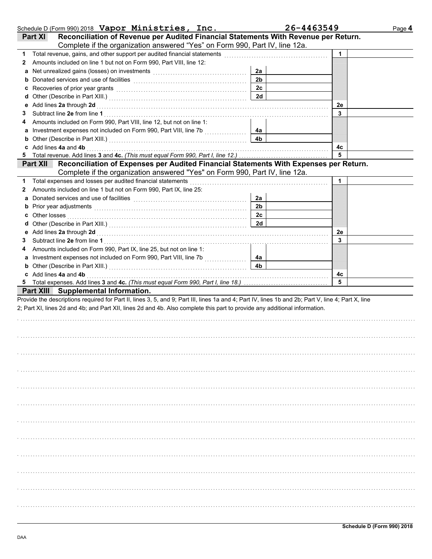|    | Schedule D (Form 990) 2018 Vapor Ministries, Inc.                                                                                                                                                                              |                | 26-4463549 | Page 4 |
|----|--------------------------------------------------------------------------------------------------------------------------------------------------------------------------------------------------------------------------------|----------------|------------|--------|
|    | Reconciliation of Revenue per Audited Financial Statements With Revenue per Return.<br>Part XI                                                                                                                                 |                |            |        |
|    | Complete if the organization answered "Yes" on Form 990, Part IV, line 12a.                                                                                                                                                    |                |            |        |
| 1  | Total revenue, gains, and other support per audited financial statements                                                                                                                                                       |                | 1          |        |
| 2  | Amounts included on line 1 but not on Form 990, Part VIII, line 12:                                                                                                                                                            |                |            |        |
| a  | Net unrealized gains (losses) on investments [11] with an intervention of the state of the state of the state of the state of the state of the state of the state of the state of the state of the state of the state of the s | 2a             |            |        |
| b  |                                                                                                                                                                                                                                | 2 <sub>b</sub> |            |        |
| c  | Recoveries of prior year grants <b>contained</b> and <b>contained a set of prior</b> year grants                                                                                                                               | 2c             |            |        |
| d  |                                                                                                                                                                                                                                | 2d             |            |        |
| е  | Add lines 2a through 2d [11] Additional Property of the Additional Property and The Additional Property and Property and Property and Property and Property and Property and Property and Property and Property and Property a |                | 2e         |        |
| 3  |                                                                                                                                                                                                                                |                | 3          |        |
| 4  | Amounts included on Form 990, Part VIII, line 12, but not on line 1:                                                                                                                                                           |                |            |        |
| а  | Investment expenses not included on Form 990, Part VIII, line 7b [[[[[[[[[[[[[[[[[[[[[[[[[[]]]]]]]]]                                                                                                                           | 4a             |            |        |
| b  |                                                                                                                                                                                                                                | 4b             |            |        |
| c  | Add lines 4a and 4b                                                                                                                                                                                                            |                | 4с         |        |
| 5  |                                                                                                                                                                                                                                |                | 5          |        |
|    | Reconciliation of Expenses per Audited Financial Statements With Expenses per Return.<br><b>Part XII</b>                                                                                                                       |                |            |        |
|    | Complete if the organization answered "Yes" on Form 990, Part IV, line 12a.                                                                                                                                                    |                |            |        |
| 1. | Total expenses and losses per audited financial statements                                                                                                                                                                     |                | 1          |        |
| 2  | Amounts included on line 1 but not on Form 990, Part IX, line 25:                                                                                                                                                              |                |            |        |
| a  | Donated services and use of facilities [11] contained a service of facilities [11] contained a service of facilities [11] contained a service of facilities [11] contained a service of facilities [11] contained a service of | 2a             |            |        |
| b  | Prior year adjustments <b>constructs constructs constructs constructs constructs constructs constructs constructs</b>                                                                                                          | 2 <sub>b</sub> |            |        |
| c  | Other losses                                                                                                                                                                                                                   | 2 <sub>c</sub> |            |        |
| d  |                                                                                                                                                                                                                                | 2d             |            |        |
| е  |                                                                                                                                                                                                                                |                | 2e         |        |
| 3  |                                                                                                                                                                                                                                |                | 3          |        |
| 4  | Amounts included on Form 990, Part IX, line 25, but not on line 1:                                                                                                                                                             |                |            |        |
| а  |                                                                                                                                                                                                                                | 4а             |            |        |
| b  |                                                                                                                                                                                                                                | 4 <sub>b</sub> |            |        |
|    | c Add lines 4a and 4b                                                                                                                                                                                                          |                | 4c         |        |
|    |                                                                                                                                                                                                                                |                | 5          |        |
|    | <b>Part XIII</b> Supplemental Information.                                                                                                                                                                                     |                |            |        |
|    | Provide the descriptions required for Part II, lines 3, 5, and 9; Part III, lines 1a and 4; Part IV, lines 1b and 2b; Part V, line 4; Part X, line                                                                             |                |            |        |
|    | 2; Part XI, lines 2d and 4b; and Part XII, lines 2d and 4b. Also complete this part to provide any additional information.                                                                                                     |                |            |        |
|    |                                                                                                                                                                                                                                |                |            |        |
|    |                                                                                                                                                                                                                                |                |            |        |
|    |                                                                                                                                                                                                                                |                |            |        |
|    |                                                                                                                                                                                                                                |                |            |        |
|    |                                                                                                                                                                                                                                |                |            |        |
|    |                                                                                                                                                                                                                                |                |            |        |
|    |                                                                                                                                                                                                                                |                |            |        |
|    |                                                                                                                                                                                                                                |                |            |        |
|    |                                                                                                                                                                                                                                |                |            |        |
|    |                                                                                                                                                                                                                                |                |            |        |
|    |                                                                                                                                                                                                                                |                |            |        |
|    |                                                                                                                                                                                                                                |                |            |        |
|    |                                                                                                                                                                                                                                |                |            |        |
|    |                                                                                                                                                                                                                                |                |            |        |
|    |                                                                                                                                                                                                                                |                |            |        |
|    |                                                                                                                                                                                                                                |                |            |        |
|    |                                                                                                                                                                                                                                |                |            |        |
|    |                                                                                                                                                                                                                                |                |            |        |
|    |                                                                                                                                                                                                                                |                |            |        |
|    |                                                                                                                                                                                                                                |                |            |        |
|    |                                                                                                                                                                                                                                |                |            |        |
|    |                                                                                                                                                                                                                                |                |            |        |
|    |                                                                                                                                                                                                                                |                |            |        |
|    |                                                                                                                                                                                                                                |                |            |        |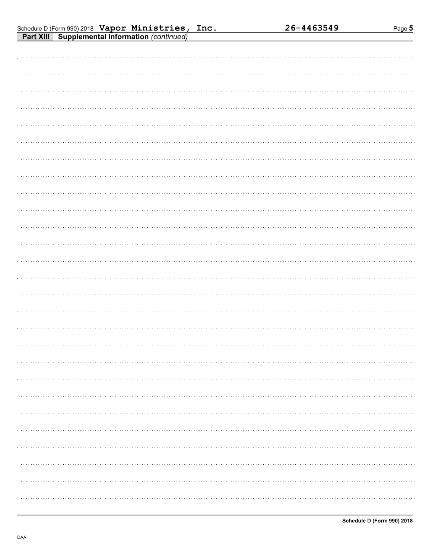| Schedule D (Form 990) 2018 $\sqrt{V}$ $\sqrt{V}$ $\sqrt{V}$ $\sqrt{V}$ $\sqrt{V}$ $\sqrt{V}$ $\sqrt{V}$ $\sqrt{V}$ |  |  |
|--------------------------------------------------------------------------------------------------------------------|--|--|
| <b>Part XIII</b> Supplemental Information (continued)                                                              |  |  |

| .<br>. |  |
|--------|--|
|        |  |
|        |  |
|        |  |
|        |  |
|        |  |
|        |  |
|        |  |
|        |  |
|        |  |
|        |  |
|        |  |
|        |  |
|        |  |
|        |  |
|        |  |
|        |  |
|        |  |
|        |  |
|        |  |
|        |  |
|        |  |
|        |  |
|        |  |
|        |  |
|        |  |
|        |  |
|        |  |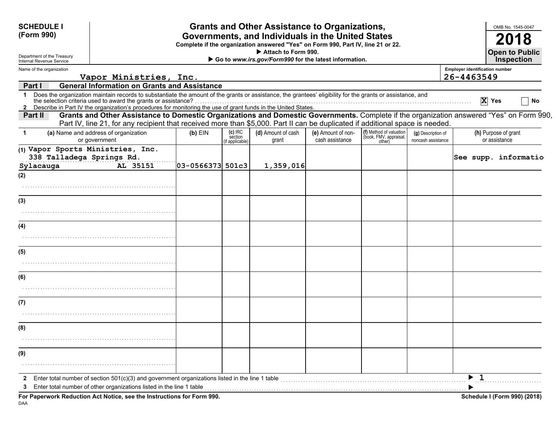| <b>SCHEDULE I</b><br>(Form 990)                                             |                                                                                                                                                                                                                                                                                                                                                                                                                  |                  |                                        | <b>Grants and Other Assistance to Organizations,</b><br>Governments, and Individuals in the United States<br>Complete if the organization answered "Yes" on Form 990, Part IV, line 21 or 22.<br>Attach to Form 990. |                                       |                                                             |                                          | OMB No. 1545-0047<br>2018<br><b>Open to Public</b>  |    |
|-----------------------------------------------------------------------------|------------------------------------------------------------------------------------------------------------------------------------------------------------------------------------------------------------------------------------------------------------------------------------------------------------------------------------------------------------------------------------------------------------------|------------------|----------------------------------------|----------------------------------------------------------------------------------------------------------------------------------------------------------------------------------------------------------------------|---------------------------------------|-------------------------------------------------------------|------------------------------------------|-----------------------------------------------------|----|
| Department of the Treasury<br>Internal Revenue Service                      |                                                                                                                                                                                                                                                                                                                                                                                                                  |                  |                                        | Go to www.irs.gov/Form990 for the latest information.                                                                                                                                                                |                                       |                                                             |                                          | <b>Inspection</b>                                   |    |
| Name of the organization                                                    | Vapor Ministries, Inc.                                                                                                                                                                                                                                                                                                                                                                                           |                  |                                        |                                                                                                                                                                                                                      |                                       |                                                             |                                          | <b>Employer identification number</b><br>26-4463549 |    |
| Part I                                                                      | <b>General Information on Grants and Assistance</b>                                                                                                                                                                                                                                                                                                                                                              |                  |                                        |                                                                                                                                                                                                                      |                                       |                                                             |                                          |                                                     |    |
| $\mathbf 1$                                                                 | Does the organization maintain records to substantiate the amount of the grants or assistance, the grantees' eligibility for the grants or assistance, and<br>the selection criteria used to award the grants or assistance?<br>The Sciencian chief a used to award the grants or assistance?<br>2 Describe in Part IV the organization's procedures for monitoring the use of grant funds in the United States. |                  |                                        |                                                                                                                                                                                                                      |                                       |                                                             |                                          | $\overline{X}$ Yes                                  | No |
| Part II                                                                     | Grants and Other Assistance to Domestic Organizations and Domestic Governments. Complete if the organization answered "Yes" on Form 990,<br>Part IV, line 21, for any recipient that received more than \$5,000. Part II can be duplicated if additional space is needed.                                                                                                                                        |                  |                                        |                                                                                                                                                                                                                      |                                       |                                                             |                                          |                                                     |    |
| $\mathbf 1$                                                                 | (a) Name and address of organization<br>or government                                                                                                                                                                                                                                                                                                                                                            | $(b)$ EIN        | $(c)$ IRC<br>section<br>if applicable) | (d) Amount of cash<br>grant                                                                                                                                                                                          | (e) Amount of non-<br>cash assistance | (f) Method of valuation<br>(book, FMV, appraisal,<br>other) | (g) Description of<br>noncash assistance | (h) Purpose of grant<br>or assistance               |    |
| (1) Vapor Sports Ministries, Inc.<br>338 Talladega Springs Rd.<br>Sylacauga | AL 35151                                                                                                                                                                                                                                                                                                                                                                                                         | 03-0566373 501c3 |                                        | 1,359,016                                                                                                                                                                                                            |                                       |                                                             |                                          | See supp. informatio                                |    |
| (2)                                                                         |                                                                                                                                                                                                                                                                                                                                                                                                                  |                  |                                        |                                                                                                                                                                                                                      |                                       |                                                             |                                          |                                                     |    |
| (3)                                                                         |                                                                                                                                                                                                                                                                                                                                                                                                                  |                  |                                        |                                                                                                                                                                                                                      |                                       |                                                             |                                          |                                                     |    |
|                                                                             |                                                                                                                                                                                                                                                                                                                                                                                                                  |                  |                                        |                                                                                                                                                                                                                      |                                       |                                                             |                                          |                                                     |    |
| (4)                                                                         |                                                                                                                                                                                                                                                                                                                                                                                                                  |                  |                                        |                                                                                                                                                                                                                      |                                       |                                                             |                                          |                                                     |    |
| (5)                                                                         |                                                                                                                                                                                                                                                                                                                                                                                                                  |                  |                                        |                                                                                                                                                                                                                      |                                       |                                                             |                                          |                                                     |    |
|                                                                             |                                                                                                                                                                                                                                                                                                                                                                                                                  |                  |                                        |                                                                                                                                                                                                                      |                                       |                                                             |                                          |                                                     |    |
| (6)                                                                         |                                                                                                                                                                                                                                                                                                                                                                                                                  |                  |                                        |                                                                                                                                                                                                                      |                                       |                                                             |                                          |                                                     |    |
|                                                                             |                                                                                                                                                                                                                                                                                                                                                                                                                  |                  |                                        |                                                                                                                                                                                                                      |                                       |                                                             |                                          |                                                     |    |
| (7)                                                                         |                                                                                                                                                                                                                                                                                                                                                                                                                  |                  |                                        |                                                                                                                                                                                                                      |                                       |                                                             |                                          |                                                     |    |
|                                                                             |                                                                                                                                                                                                                                                                                                                                                                                                                  |                  |                                        |                                                                                                                                                                                                                      |                                       |                                                             |                                          |                                                     |    |
| (8)                                                                         |                                                                                                                                                                                                                                                                                                                                                                                                                  |                  |                                        |                                                                                                                                                                                                                      |                                       |                                                             |                                          |                                                     |    |
|                                                                             |                                                                                                                                                                                                                                                                                                                                                                                                                  |                  |                                        |                                                                                                                                                                                                                      |                                       |                                                             |                                          |                                                     |    |
| (9)                                                                         |                                                                                                                                                                                                                                                                                                                                                                                                                  |                  |                                        |                                                                                                                                                                                                                      |                                       |                                                             |                                          |                                                     |    |
|                                                                             |                                                                                                                                                                                                                                                                                                                                                                                                                  |                  |                                        |                                                                                                                                                                                                                      |                                       |                                                             |                                          |                                                     |    |
| 2<br>3                                                                      | Enter total number of section $501(c)(3)$ and government organizations listed in the line 1 table<br>Enter total number of other organizations listed in the line 1 table                                                                                                                                                                                                                                        |                  |                                        |                                                                                                                                                                                                                      |                                       |                                                             |                                          | $\blacktriangleright$ 1                             |    |
|                                                                             | For Paperwork Reduction Act Notice, see the Instructions for Form 990.                                                                                                                                                                                                                                                                                                                                           |                  |                                        |                                                                                                                                                                                                                      |                                       |                                                             |                                          | Schedule I (Form 990) (2018)                        |    |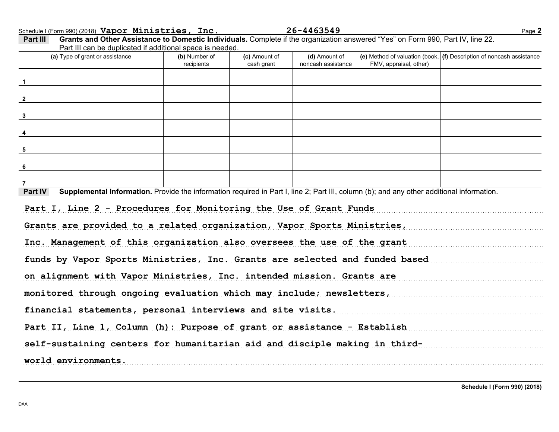Schedule I (Form 990) (2018) Page **2 Vapor Ministries, Inc. 26-4463549**

| (a) Type of grant or assistance                                                                                                                                                                                                                                                                                                                                                                                                                                    | (b) Number of<br>recipients | (c) Amount of<br>cash grant | (d) Amount of<br>noncash assistance | FMV, appraisal, other) | (e) Method of valuation (book, $ $ (f) Description of noncash assistance |
|--------------------------------------------------------------------------------------------------------------------------------------------------------------------------------------------------------------------------------------------------------------------------------------------------------------------------------------------------------------------------------------------------------------------------------------------------------------------|-----------------------------|-----------------------------|-------------------------------------|------------------------|--------------------------------------------------------------------------|
|                                                                                                                                                                                                                                                                                                                                                                                                                                                                    |                             |                             |                                     |                        |                                                                          |
| $\overline{\phantom{a}2}$                                                                                                                                                                                                                                                                                                                                                                                                                                          |                             |                             |                                     |                        |                                                                          |
| $\frac{3}{2}$                                                                                                                                                                                                                                                                                                                                                                                                                                                      |                             |                             |                                     |                        |                                                                          |
|                                                                                                                                                                                                                                                                                                                                                                                                                                                                    |                             |                             |                                     |                        |                                                                          |
| $5\overline{5}$                                                                                                                                                                                                                                                                                                                                                                                                                                                    |                             |                             |                                     |                        |                                                                          |
| $6\phantom{.}6$                                                                                                                                                                                                                                                                                                                                                                                                                                                    |                             |                             |                                     |                        |                                                                          |
|                                                                                                                                                                                                                                                                                                                                                                                                                                                                    |                             |                             |                                     |                        |                                                                          |
|                                                                                                                                                                                                                                                                                                                                                                                                                                                                    |                             |                             |                                     |                        |                                                                          |
| Supplemental Information. Provide the information required in Part I, line 2; Part III, column (b); and any other additional information.                                                                                                                                                                                                                                                                                                                          |                             |                             |                                     |                        |                                                                          |
|                                                                                                                                                                                                                                                                                                                                                                                                                                                                    |                             |                             |                                     |                        |                                                                          |
|                                                                                                                                                                                                                                                                                                                                                                                                                                                                    |                             |                             |                                     |                        |                                                                          |
|                                                                                                                                                                                                                                                                                                                                                                                                                                                                    |                             |                             |                                     |                        |                                                                          |
|                                                                                                                                                                                                                                                                                                                                                                                                                                                                    |                             |                             |                                     |                        |                                                                          |
|                                                                                                                                                                                                                                                                                                                                                                                                                                                                    |                             |                             |                                     |                        |                                                                          |
|                                                                                                                                                                                                                                                                                                                                                                                                                                                                    |                             |                             |                                     |                        |                                                                          |
| Part IV<br>Part I, Line 2 - Procedures for Monitoring the Use of Grant Funds<br>Grants are provided to a related organization, Vapor Sports Ministries,<br>Inc. Management of this organization also oversees the use of the grant<br>funds by Vapor Sports Ministries, Inc. Grants are selected and funded based<br>on alignment with Vapor Ministries, Inc. intended mission. Grants are<br>monitored through ongoing evaluation which may include; newsletters, |                             |                             |                                     |                        |                                                                          |
| financial statements, personal interviews and site visits.                                                                                                                                                                                                                                                                                                                                                                                                         |                             |                             |                                     |                        |                                                                          |
| Part II, Line 1, Column (h): Purpose of grant or assistance - Establish<br>self-sustaining centers for humanitarian aid and disciple making in third-                                                                                                                                                                                                                                                                                                              |                             |                             |                                     |                        |                                                                          |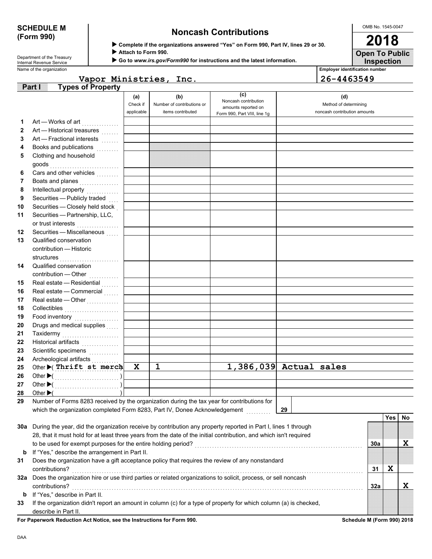# **(Form 990)**

# **SCHEDULE M Noncash Contributions**

OMB No. 1545-0047 **2018**

**Inspection Open To Public**

Attach to Form 990.

X **Go to** *www.irs.gov/Form990* **for instructions and the latest information.**

Name of the organization **Employer identification number Employer identification number** Department of the Treasury<br>Internal Revenue Service

| Vapor Ministries, Inc. | $ 26 - 4463549$ |
|------------------------|-----------------|

|              | <b>Types of Property</b><br>Part I                                                                                 |                 |                                   |                                                    |                              |     |            |    |
|--------------|--------------------------------------------------------------------------------------------------------------------|-----------------|-----------------------------------|----------------------------------------------------|------------------------------|-----|------------|----|
|              |                                                                                                                    | (a)<br>Check if | (b)<br>Number of contributions or | (c)<br>Noncash contribution<br>amounts reported on | (d)<br>Method of determining |     |            |    |
|              |                                                                                                                    | applicable      | items contributed                 | Form 990, Part VIII, line 1g                       | noncash contribution amounts |     |            |    |
| 1            | Art - Works of art                                                                                                 |                 |                                   |                                                    |                              |     |            |    |
| $\mathbf{2}$ | Art - Historical treasures                                                                                         |                 |                                   |                                                    |                              |     |            |    |
| 3            | Art - Fractional interests                                                                                         |                 |                                   |                                                    |                              |     |            |    |
| 4            | Books and publications<br>.                                                                                        |                 |                                   |                                                    |                              |     |            |    |
| 5            | Clothing and household                                                                                             |                 |                                   |                                                    |                              |     |            |    |
|              | goods                                                                                                              |                 |                                   |                                                    |                              |     |            |    |
| 6            | Cars and other vehicles                                                                                            |                 |                                   |                                                    |                              |     |            |    |
| 7            | Boats and planes<br>.                                                                                              |                 |                                   |                                                    |                              |     |            |    |
| 8            |                                                                                                                    |                 |                                   |                                                    |                              |     |            |    |
| 9            | Securities - Publicly traded                                                                                       |                 |                                   |                                                    |                              |     |            |    |
| 10           | Securities - Closely held stock                                                                                    |                 |                                   |                                                    |                              |     |            |    |
| 11           | Securities - Partnership, LLC,                                                                                     |                 |                                   |                                                    |                              |     |            |    |
|              | or trust interests                                                                                                 |                 |                                   |                                                    |                              |     |            |    |
| 12           | Securities - Miscellaneous                                                                                         |                 |                                   |                                                    |                              |     |            |    |
| 13           | Qualified conservation<br>contribution - Historic                                                                  |                 |                                   |                                                    |                              |     |            |    |
|              |                                                                                                                    |                 |                                   |                                                    |                              |     |            |    |
| 14           | Qualified conservation                                                                                             |                 |                                   |                                                    |                              |     |            |    |
|              | contribution - Other                                                                                               |                 |                                   |                                                    |                              |     |            |    |
| 15           | Real estate - Residential                                                                                          |                 |                                   |                                                    |                              |     |            |    |
| 16           | Real estate - Commercial                                                                                           |                 |                                   |                                                    |                              |     |            |    |
| 17           | Real estate - Other                                                                                                |                 |                                   |                                                    |                              |     |            |    |
| 18           | Collectibles                                                                                                       |                 |                                   |                                                    |                              |     |            |    |
| 19           | Food inventory                                                                                                     |                 |                                   |                                                    |                              |     |            |    |
| 20           | Drugs and medical supplies                                                                                         |                 |                                   |                                                    |                              |     |            |    |
| 21           | Taxidermy<br>.                                                                                                     |                 |                                   |                                                    |                              |     |            |    |
| 22           | Historical artifacts                                                                                               |                 |                                   |                                                    |                              |     |            |    |
| 23           | Scientific specimens                                                                                               |                 |                                   |                                                    |                              |     |            |    |
| 24           | Archeological artifacts                                                                                            |                 |                                   |                                                    |                              |     |            |    |
| 25           | Other (Thrift st merch                                                                                             | $\mathbf x$     | $\mathbf{1}$                      |                                                    | $1,386,039$ Actual sales     |     |            |    |
| 26           |                                                                                                                    |                 |                                   |                                                    |                              |     |            |    |
| 27           |                                                                                                                    |                 |                                   |                                                    |                              |     |            |    |
| 28           | Other $\blacktriangleright$ (                                                                                      |                 |                                   |                                                    |                              |     |            |    |
| 29           | Number of Forms 8283 received by the organization during the tax year for contributions for                        |                 |                                   |                                                    |                              |     |            |    |
|              | which the organization completed Form 8283, Part IV, Donee Acknowledgement                                         |                 |                                   |                                                    | 29                           |     |            |    |
|              |                                                                                                                    |                 |                                   |                                                    |                              |     | <b>Yes</b> | No |
|              | 30a During the year, did the organization receive by contribution any property reported in Part I, lines 1 through |                 |                                   |                                                    |                              |     |            |    |
|              | 28, that it must hold for at least three years from the date of the initial contribution, and which isn't required |                 |                                   |                                                    |                              |     |            |    |
|              | to be used for exempt purposes for the entire holding period?                                                      |                 |                                   |                                                    |                              | 30a |            | X  |
| b            | If "Yes," describe the arrangement in Part II.                                                                     |                 |                                   |                                                    |                              |     |            |    |
| 31           | Does the organization have a gift acceptance policy that requires the review of any nonstandard                    |                 |                                   |                                                    |                              |     |            |    |
|              | contributions?                                                                                                     |                 |                                   |                                                    |                              | 31  | X          |    |
|              | 32a Does the organization hire or use third parties or related organizations to solicit, process, or sell noncash  |                 |                                   |                                                    |                              |     |            |    |
|              | contributions?                                                                                                     |                 |                                   |                                                    |                              | 32a |            | X  |
| b            | If "Yes," describe in Part II.                                                                                     |                 |                                   |                                                    |                              |     |            |    |
| 33           | If the organization didn't report an amount in column (c) for a type of property for which column (a) is checked,  |                 |                                   |                                                    |                              |     |            |    |
|              | describe in Part II.                                                                                               |                 |                                   |                                                    |                              |     |            |    |

For Paperwork Reduction Act Notice, see the Instructions for Form 990. **Schedule M** (Form 990) 2018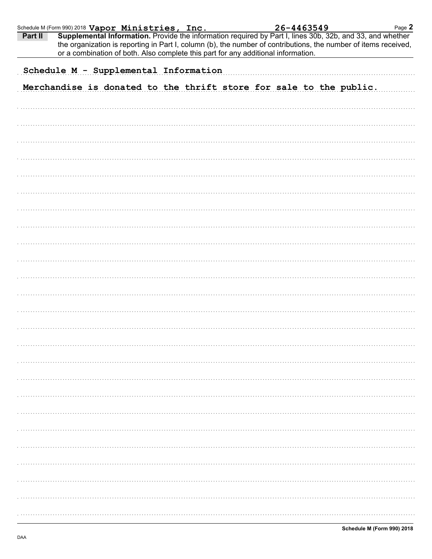| Schedule M (Form 990) 2018 Vapor Ministries, Inc. |                                       |  |  |                                                                                                                                                                                                                                                                                                                   | 26-4463549 |  |  | Page 2 |
|---------------------------------------------------|---------------------------------------|--|--|-------------------------------------------------------------------------------------------------------------------------------------------------------------------------------------------------------------------------------------------------------------------------------------------------------------------|------------|--|--|--------|
| Part II                                           |                                       |  |  | Supplemental Information. Provide the information required by Part I, lines 30b, 32b, and 33, and whether<br>the organization is reporting in Part I, column (b), the number of contributions, the number of items received,<br>or a combination of both. Also complete this part for any additional information. |            |  |  |        |
|                                                   | Schedule M - Supplemental Information |  |  |                                                                                                                                                                                                                                                                                                                   |            |  |  |        |
|                                                   |                                       |  |  |                                                                                                                                                                                                                                                                                                                   |            |  |  |        |
|                                                   |                                       |  |  | Merchandise is donated to the thrift store for sale to the public.                                                                                                                                                                                                                                                |            |  |  |        |
|                                                   |                                       |  |  |                                                                                                                                                                                                                                                                                                                   |            |  |  |        |
|                                                   |                                       |  |  |                                                                                                                                                                                                                                                                                                                   |            |  |  |        |
|                                                   |                                       |  |  |                                                                                                                                                                                                                                                                                                                   |            |  |  |        |
|                                                   |                                       |  |  |                                                                                                                                                                                                                                                                                                                   |            |  |  |        |
|                                                   |                                       |  |  |                                                                                                                                                                                                                                                                                                                   |            |  |  |        |
|                                                   |                                       |  |  |                                                                                                                                                                                                                                                                                                                   |            |  |  |        |
|                                                   |                                       |  |  |                                                                                                                                                                                                                                                                                                                   |            |  |  |        |
|                                                   |                                       |  |  |                                                                                                                                                                                                                                                                                                                   |            |  |  |        |
|                                                   |                                       |  |  |                                                                                                                                                                                                                                                                                                                   |            |  |  |        |
|                                                   |                                       |  |  |                                                                                                                                                                                                                                                                                                                   |            |  |  |        |
|                                                   |                                       |  |  |                                                                                                                                                                                                                                                                                                                   |            |  |  |        |
|                                                   |                                       |  |  |                                                                                                                                                                                                                                                                                                                   |            |  |  |        |
|                                                   |                                       |  |  |                                                                                                                                                                                                                                                                                                                   |            |  |  |        |
|                                                   |                                       |  |  |                                                                                                                                                                                                                                                                                                                   |            |  |  |        |
|                                                   |                                       |  |  |                                                                                                                                                                                                                                                                                                                   |            |  |  |        |
|                                                   |                                       |  |  |                                                                                                                                                                                                                                                                                                                   |            |  |  |        |
|                                                   |                                       |  |  |                                                                                                                                                                                                                                                                                                                   |            |  |  |        |
|                                                   |                                       |  |  |                                                                                                                                                                                                                                                                                                                   |            |  |  |        |
|                                                   |                                       |  |  |                                                                                                                                                                                                                                                                                                                   |            |  |  |        |
|                                                   |                                       |  |  |                                                                                                                                                                                                                                                                                                                   |            |  |  |        |
|                                                   |                                       |  |  |                                                                                                                                                                                                                                                                                                                   |            |  |  |        |
|                                                   |                                       |  |  |                                                                                                                                                                                                                                                                                                                   |            |  |  |        |
|                                                   |                                       |  |  |                                                                                                                                                                                                                                                                                                                   |            |  |  |        |
|                                                   |                                       |  |  |                                                                                                                                                                                                                                                                                                                   |            |  |  |        |
|                                                   |                                       |  |  |                                                                                                                                                                                                                                                                                                                   |            |  |  |        |
|                                                   |                                       |  |  |                                                                                                                                                                                                                                                                                                                   |            |  |  |        |
|                                                   |                                       |  |  |                                                                                                                                                                                                                                                                                                                   |            |  |  |        |
|                                                   |                                       |  |  |                                                                                                                                                                                                                                                                                                                   |            |  |  |        |
|                                                   |                                       |  |  |                                                                                                                                                                                                                                                                                                                   |            |  |  |        |
|                                                   |                                       |  |  |                                                                                                                                                                                                                                                                                                                   |            |  |  |        |
|                                                   |                                       |  |  |                                                                                                                                                                                                                                                                                                                   |            |  |  |        |
|                                                   |                                       |  |  |                                                                                                                                                                                                                                                                                                                   |            |  |  |        |
|                                                   |                                       |  |  |                                                                                                                                                                                                                                                                                                                   |            |  |  |        |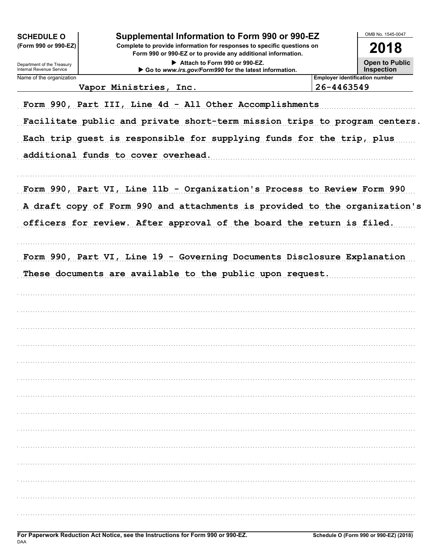| <b>SCHEDULE O</b><br>(Form 990 or 990-EZ)<br>Department of the Treasury<br>Internal Revenue Service | Supplemental Information to Form 990 or 990-EZ<br>Complete to provide information for responses to specific questions on<br>Form 990 or 990-EZ or to provide any additional information.<br>Attach to Form 990 or 990-EZ.<br>Go to www.irs.gov/Form990 for the latest information. |            | OMB No. 1545-0047<br>2018<br><b>Open to Public</b><br><b>Inspection</b> |
|-----------------------------------------------------------------------------------------------------|------------------------------------------------------------------------------------------------------------------------------------------------------------------------------------------------------------------------------------------------------------------------------------|------------|-------------------------------------------------------------------------|
| Name of the organization                                                                            |                                                                                                                                                                                                                                                                                    |            | <b>Employer identification number</b>                                   |
|                                                                                                     | Vapor Ministries, Inc.                                                                                                                                                                                                                                                             | 26-4463549 |                                                                         |
|                                                                                                     | Form 990, Part III, Line 4d - All Other Accomplishments                                                                                                                                                                                                                            |            |                                                                         |
|                                                                                                     | Facilitate public and private short-term mission trips to program centers.                                                                                                                                                                                                         |            |                                                                         |
|                                                                                                     | Each trip guest is responsible for supplying funds for the trip, plus                                                                                                                                                                                                              |            |                                                                         |
|                                                                                                     |                                                                                                                                                                                                                                                                                    |            |                                                                         |
|                                                                                                     | additional funds to cover overhead.                                                                                                                                                                                                                                                |            |                                                                         |
|                                                                                                     | Form 990, Part VI, Line 11b - Organization's Process to Review Form 990                                                                                                                                                                                                            |            |                                                                         |
|                                                                                                     | A draft copy of Form 990 and attachments is provided to the organization's                                                                                                                                                                                                         |            |                                                                         |
|                                                                                                     | officers for review. After approval of the board the return is filed.                                                                                                                                                                                                              |            |                                                                         |
|                                                                                                     |                                                                                                                                                                                                                                                                                    |            |                                                                         |
|                                                                                                     | Form 990, Part VI, Line 19 - Governing Documents Disclosure Explanation<br>These documents are available to the public upon request.                                                                                                                                               |            |                                                                         |
|                                                                                                     |                                                                                                                                                                                                                                                                                    |            |                                                                         |
|                                                                                                     |                                                                                                                                                                                                                                                                                    |            |                                                                         |
|                                                                                                     |                                                                                                                                                                                                                                                                                    |            |                                                                         |
|                                                                                                     |                                                                                                                                                                                                                                                                                    |            |                                                                         |
|                                                                                                     |                                                                                                                                                                                                                                                                                    |            |                                                                         |
|                                                                                                     |                                                                                                                                                                                                                                                                                    |            |                                                                         |
|                                                                                                     |                                                                                                                                                                                                                                                                                    |            |                                                                         |
|                                                                                                     |                                                                                                                                                                                                                                                                                    |            |                                                                         |
|                                                                                                     |                                                                                                                                                                                                                                                                                    |            |                                                                         |
|                                                                                                     |                                                                                                                                                                                                                                                                                    |            |                                                                         |
|                                                                                                     |                                                                                                                                                                                                                                                                                    |            |                                                                         |
|                                                                                                     |                                                                                                                                                                                                                                                                                    |            |                                                                         |
|                                                                                                     |                                                                                                                                                                                                                                                                                    |            |                                                                         |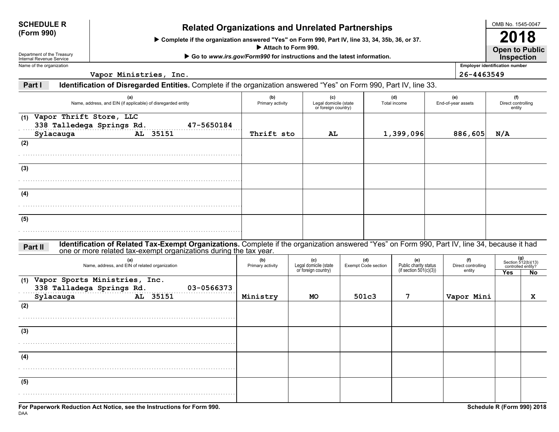| <b>SCHEDULE R</b> |  |
|-------------------|--|
| <b>/Form 990)</b> |  |

# **(Form 990) Related Organizations and Unrelated Partnerships**

▶ Complete if the organization answered "Yes" on Form 990, Part IV, line 33, 34, 35b, 36, or 37.

▶ Attach to Form 990.

▶ Go to *www.irs.gov/Form990* for instructions and the latest information.

Department of the Treasury Internal Revenue ServiceName of the organization

DAA

**Vapor Ministries, Inc. 26-4463549**

**Employer identification number Open to Public Inspection**

**Part IIdentification of Disregarded Entities.** Complete if the organization answered "Yes" on Form 990, Part IV, line 33.

| (a)<br>Name, address, and EIN (if applicable) of disregarded entity                                                                                                                                                           | (b)<br>Primary activity | (c)<br>Legal domicile (state<br>or foreign country) |                                   | (d)<br>Total income                                       | (e)<br>End-of-year assets           | (f)<br>Direct controlling<br>entity |                                                          |
|-------------------------------------------------------------------------------------------------------------------------------------------------------------------------------------------------------------------------------|-------------------------|-----------------------------------------------------|-----------------------------------|-----------------------------------------------------------|-------------------------------------|-------------------------------------|----------------------------------------------------------|
| (1) Vapor Thrift Store, LLC<br>338 Talledega Springs Rd.<br>47-5650184<br>AL 35151<br>Sylacauga                                                                                                                               | Thrift sto              | AL                                                  |                                   | 1,399,096                                                 | 886,605                             | N/A                                 |                                                          |
| (2)                                                                                                                                                                                                                           |                         |                                                     |                                   |                                                           |                                     |                                     |                                                          |
| (3)                                                                                                                                                                                                                           |                         |                                                     |                                   |                                                           |                                     |                                     |                                                          |
| (4)                                                                                                                                                                                                                           |                         |                                                     |                                   |                                                           |                                     |                                     |                                                          |
| (5)                                                                                                                                                                                                                           |                         |                                                     |                                   |                                                           |                                     |                                     |                                                          |
| Identification of Related Tax-Exempt Organizations. Complete if the organization answered "Yes" on Form 990, Part IV, line 34, because it had<br>Part II<br>one or more related tax-exempt organizations during the tax year. |                         |                                                     |                                   |                                                           |                                     |                                     |                                                          |
| (a)<br>Name, address, and EIN of related organization                                                                                                                                                                         | (b)<br>Primary activity | (c)<br>Legal domicile (state<br>or foreign country) | (d)<br><b>Exempt Code section</b> | (e)<br>Public charity status<br>(if section $501(c)(3)$ ) | (f)<br>Direct controlling<br>entity | Yes                                 | $(g)$<br>Section 512(b)(13)<br>controlled entity?<br>No. |
| (1) Vapor Sports Ministries, Inc.<br>338 Talladega Springs Rd.<br>03-0566373<br>AL 35151<br>Sylacauga                                                                                                                         | Ministry                | <b>MO</b>                                           | 501c3                             | 7                                                         | Vapor Mini                          |                                     | $\mathbf x$                                              |
| (2)                                                                                                                                                                                                                           |                         |                                                     |                                   |                                                           |                                     |                                     |                                                          |
| (3)                                                                                                                                                                                                                           |                         |                                                     |                                   |                                                           |                                     |                                     |                                                          |
| (4)                                                                                                                                                                                                                           |                         |                                                     |                                   |                                                           |                                     |                                     |                                                          |
| (5)                                                                                                                                                                                                                           |                         |                                                     |                                   |                                                           |                                     |                                     |                                                          |
|                                                                                                                                                                                                                               |                         |                                                     |                                   |                                                           |                                     |                                     |                                                          |

OMB No. 1545-0047

**2018**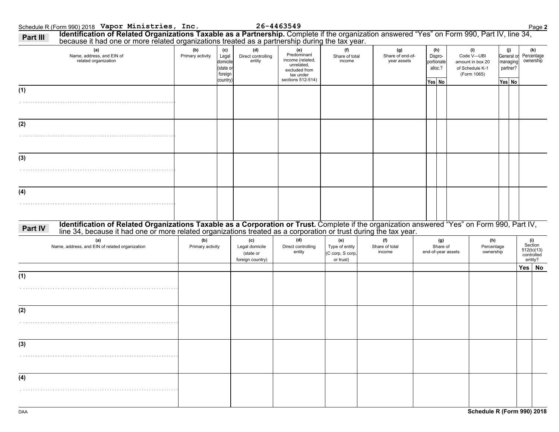| because it had one or more related organizations treated as a partnership during the tax year.<br>(a)                                                                                                                                     | (b)                     | (c)                                                  | (d)                                                    | (e)                                                                                              | (f)                                                    | (g)                             | (h)                                        | (i)                                                              | (j)                                          | (k)                                                   |
|-------------------------------------------------------------------------------------------------------------------------------------------------------------------------------------------------------------------------------------------|-------------------------|------------------------------------------------------|--------------------------------------------------------|--------------------------------------------------------------------------------------------------|--------------------------------------------------------|---------------------------------|--------------------------------------------|------------------------------------------------------------------|----------------------------------------------|-------------------------------------------------------|
| Name, address, and EIN of<br>related organization                                                                                                                                                                                         | Primary activity        | Legal<br>domicile<br>(state or<br>foreign<br>country | Direct controlling<br>entity                           | Predominant<br>income (related,<br>unrelated,<br>excluded from<br>tax under<br>sections 512-514) | Share of total<br>income                               | Share of end-of-<br>year assets | Dispro-<br>portionate<br>alloc.?<br>Yes No | Code V-UBI<br>amount in box 20<br>of Schedule K-1<br>(Form 1065) | General or<br>managing<br>partner?<br>Yes No | Percentage<br>ownership                               |
| (1)                                                                                                                                                                                                                                       |                         |                                                      |                                                        |                                                                                                  |                                                        |                                 |                                            |                                                                  |                                              |                                                       |
|                                                                                                                                                                                                                                           |                         |                                                      |                                                        |                                                                                                  |                                                        |                                 |                                            |                                                                  |                                              |                                                       |
| (2)                                                                                                                                                                                                                                       |                         |                                                      |                                                        |                                                                                                  |                                                        |                                 |                                            |                                                                  |                                              |                                                       |
|                                                                                                                                                                                                                                           |                         |                                                      |                                                        |                                                                                                  |                                                        |                                 |                                            |                                                                  |                                              |                                                       |
| (3)                                                                                                                                                                                                                                       |                         |                                                      |                                                        |                                                                                                  |                                                        |                                 |                                            |                                                                  |                                              |                                                       |
|                                                                                                                                                                                                                                           |                         |                                                      |                                                        |                                                                                                  |                                                        |                                 |                                            |                                                                  |                                              |                                                       |
| (4)                                                                                                                                                                                                                                       |                         |                                                      |                                                        |                                                                                                  |                                                        |                                 |                                            |                                                                  |                                              |                                                       |
|                                                                                                                                                                                                                                           |                         |                                                      |                                                        |                                                                                                  |                                                        |                                 |                                            |                                                                  |                                              |                                                       |
| Identification of Related Organizations Taxable as a Corporation or Trust. Complete if the organization answered "Yes" on Form 990, Part IV, line 34, because it had one or more related organizations treated as a corporatio<br>Part IV |                         |                                                      |                                                        |                                                                                                  |                                                        |                                 |                                            |                                                                  |                                              |                                                       |
| (a)<br>Name, address, and EIN of related organization                                                                                                                                                                                     | (b)<br>Primary activity |                                                      | (c)<br>Legal domicile<br>(state or<br>foreign country) | (d)<br>Direct controlling<br>entity                                                              | (e)<br>Type of entity<br>(C corp, S corp,<br>or trust) | (f)<br>Share of total<br>income | (g)<br>Share of<br>end-of-year assets      | (h)<br>Percentage<br>ownership                                   |                                              | (i)<br>Section<br>512(b)(13)<br>controlled<br>entity? |
|                                                                                                                                                                                                                                           |                         |                                                      |                                                        |                                                                                                  |                                                        |                                 |                                            |                                                                  |                                              | Yes   No                                              |
| (1)                                                                                                                                                                                                                                       |                         |                                                      |                                                        |                                                                                                  |                                                        |                                 |                                            |                                                                  |                                              |                                                       |
|                                                                                                                                                                                                                                           |                         |                                                      |                                                        |                                                                                                  |                                                        |                                 |                                            |                                                                  |                                              |                                                       |
|                                                                                                                                                                                                                                           |                         |                                                      |                                                        |                                                                                                  |                                                        |                                 |                                            |                                                                  |                                              |                                                       |
| (2)                                                                                                                                                                                                                                       |                         |                                                      |                                                        |                                                                                                  |                                                        |                                 |                                            |                                                                  |                                              |                                                       |
|                                                                                                                                                                                                                                           |                         |                                                      |                                                        |                                                                                                  |                                                        |                                 |                                            |                                                                  |                                              |                                                       |
| (3)                                                                                                                                                                                                                                       |                         |                                                      |                                                        |                                                                                                  |                                                        |                                 |                                            |                                                                  |                                              |                                                       |
|                                                                                                                                                                                                                                           |                         |                                                      |                                                        |                                                                                                  |                                                        |                                 |                                            |                                                                  |                                              |                                                       |
| (4)                                                                                                                                                                                                                                       |                         |                                                      |                                                        |                                                                                                  |                                                        |                                 |                                            |                                                                  |                                              |                                                       |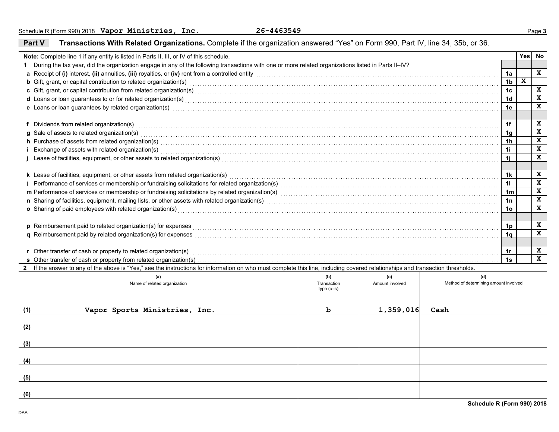|     | Note: Complete line 1 if any entity is listed in Parts II, III, or IV of this schedule.                                                                                                                                          |                            |                 |                                       |                | <b>Yes</b> | No           |
|-----|----------------------------------------------------------------------------------------------------------------------------------------------------------------------------------------------------------------------------------|----------------------------|-----------------|---------------------------------------|----------------|------------|--------------|
|     | During the tax year, did the organization engage in any of the following transactions with one or more related organizations listed in Parts II-IV?                                                                              |                            |                 |                                       |                |            |              |
|     | a Receipt of (i) interest, (ii) annuities, (iii) royalties, or (iv) rent from a controlled entity [1] controlled entity [1] controlled entity and controlled entity and controlled entity and contained a substitute of (i) in   |                            |                 |                                       | 1a             |            | X            |
|     | <b>b</b> Gift, grant, or capital contribution to related organization(s) encourse consumed and consumed contribution to related organization(s)                                                                                  |                            |                 |                                       | 1 <sub>b</sub> | X          |              |
|     |                                                                                                                                                                                                                                  |                            |                 |                                       | 1 <sub>c</sub> |            | X            |
|     | d Loans or loan guarantees to or for related organization(s) encourance contained and contained a contained and contained a contained a contact the contact of the contact of the contact of the contact of the contact of the   |                            |                 |                                       | 1 <sub>d</sub> |            | $\mathbf x$  |
|     | e Loans or loan guarantees by related organization(s) encourance contains an according to the container contains and the container container container and the container container container and the container container and t   |                            |                 |                                       | 1e             |            | X            |
|     |                                                                                                                                                                                                                                  |                            |                 |                                       |                |            |              |
|     | f Dividends from related organization(s) encourance contains a substantial contains a series of the container                                                                                                                    |                            |                 |                                       | 1f             |            | X            |
|     | g Sale of assets to related organization(s)<br>and the contract contract contract contract contract contract contract contract contract contract contract contract contract contract contract contract contract contract contrac |                            |                 |                                       | 1 <sub>q</sub> |            | X            |
|     | h Purchase of assets from related organization(s) encourance contains and contains a container and container and container and container and container and container and container and container and container and container a   |                            |                 |                                       | 1 <sub>h</sub> |            | $\mathbf x$  |
|     | i Exchange of assets with related organization(s) encountled assess that contain a series are contained as a set of assets with related organization(s) encountled as a set of a set of a set of a set of a set of a set of a    |                            |                 |                                       | 1i             |            | $\mathbf x$  |
|     |                                                                                                                                                                                                                                  |                            |                 |                                       | 1i             |            | X            |
|     |                                                                                                                                                                                                                                  |                            |                 |                                       |                |            |              |
|     | k Lease of facilities, equipment, or other assets from related organization(s) Materian and the content of the content of facilities equipment, or other assets from related organization(s)                                     |                            |                 |                                       | 1k             |            | X            |
|     |                                                                                                                                                                                                                                  |                            |                 |                                       | 11             |            | $\mathbf x$  |
|     |                                                                                                                                                                                                                                  |                            |                 |                                       | 1 <sub>m</sub> |            | X            |
|     |                                                                                                                                                                                                                                  |                            |                 |                                       | 1n             |            | X            |
|     | o Sharing of paid employees with related organization(s) encourance contains an array contained a starting of paid employees with related organization(s)                                                                        |                            |                 |                                       | 1 <sub>o</sub> |            | $\mathbf x$  |
|     |                                                                                                                                                                                                                                  |                            |                 |                                       |                |            |              |
|     | p Reimbursement paid to related organization(s) for expenses                                                                                                                                                                     |                            |                 |                                       | 1p             |            | X            |
|     | q Reimbursement paid by related organization(s) for expenses [1] responsed: response in the content of the content of the content of the content of the content of the content of the content of the content of the content of   |                            |                 |                                       | 1 <sub>a</sub> |            | $\mathbf{x}$ |
|     |                                                                                                                                                                                                                                  |                            |                 |                                       |                |            |              |
|     | r Other transfer of cash or property to related organization(s)                                                                                                                                                                  |                            |                 |                                       | 1r             |            | X            |
|     |                                                                                                                                                                                                                                  |                            |                 |                                       | 1s             |            | $\mathbf{x}$ |
|     | 2 If the answer to any of the above is "Yes," see the instructions for information on who must complete this line, including covered relationships and transaction thresholds.                                                   |                            |                 |                                       |                |            |              |
|     | (a)                                                                                                                                                                                                                              | (b)                        | (c)             | (d)                                   |                |            |              |
|     | Name of related organization                                                                                                                                                                                                     | Transaction<br>$type(a-s)$ | Amount involved | Method of determining amount involved |                |            |              |
|     |                                                                                                                                                                                                                                  |                            |                 |                                       |                |            |              |
|     |                                                                                                                                                                                                                                  |                            |                 |                                       |                |            |              |
| (1) | Vapor Sports Ministries, Inc.                                                                                                                                                                                                    | ь                          | 1,359,016       | Cash                                  |                |            |              |
|     |                                                                                                                                                                                                                                  |                            |                 |                                       |                |            |              |
| (2) |                                                                                                                                                                                                                                  |                            |                 |                                       |                |            |              |
|     |                                                                                                                                                                                                                                  |                            |                 |                                       |                |            |              |
| (3) |                                                                                                                                                                                                                                  |                            |                 |                                       |                |            |              |
|     |                                                                                                                                                                                                                                  |                            |                 |                                       |                |            |              |
| (4) |                                                                                                                                                                                                                                  |                            |                 |                                       |                |            |              |
|     |                                                                                                                                                                                                                                  |                            |                 |                                       |                |            |              |
| (5) |                                                                                                                                                                                                                                  |                            |                 |                                       |                |            |              |
|     |                                                                                                                                                                                                                                  |                            |                 |                                       |                |            |              |
| (6) |                                                                                                                                                                                                                                  |                            |                 |                                       |                |            |              |

### **Part VTransactions With Related Organizations.** Complete if the organization answered "Yes" on Form 990, Part IV, line 34, 35b, or 36.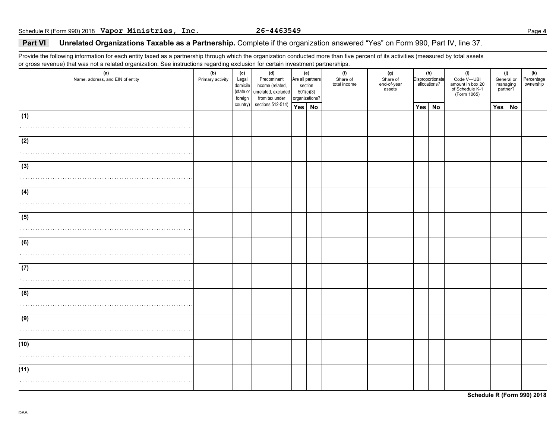### **Part VI Unrelated Organizations Taxable as a Partnership.** Complete if the organization answered "Yes" on Form 990, Part IV, line 37.

Provide the following information for each entity taxed as a partnership through which the organization conducted more than five percent of its activities (measured by total assets or gross revenue) that was not a related organization. See instructions regarding exclusion for certain investment partnerships.

| (a)<br>Name, address, and EIN of entity | ັ<br>(b)<br>Primary activity | (c)<br>Legal<br>domicile<br>foreign | (d)<br>Predominant<br>income (related,<br>(state or unrelated, excluded<br>from tax under | 501(c)(3)<br>organizations? | (e)<br>Are all partners<br>section | (f)<br>Share of<br>total income | (g)<br>Share of<br>end-of-year<br>assets |     | (h)<br>Disproportionate<br>allocations? | (i)<br>Code V-UBI<br>amount in box 20<br>of Schedule K-1<br>(Form 1065) |     | (j)<br>General or<br>managing<br>partner? | (k)<br>Percentage<br>ownership |
|-----------------------------------------|------------------------------|-------------------------------------|-------------------------------------------------------------------------------------------|-----------------------------|------------------------------------|---------------------------------|------------------------------------------|-----|-----------------------------------------|-------------------------------------------------------------------------|-----|-------------------------------------------|--------------------------------|
|                                         |                              | country)                            | sections 512-514)                                                                         | Yes No                      |                                    |                                 |                                          | Yes | No                                      |                                                                         | Yes | No                                        |                                |
| (1)                                     |                              |                                     |                                                                                           |                             |                                    |                                 |                                          |     |                                         |                                                                         |     |                                           |                                |
|                                         |                              |                                     |                                                                                           |                             |                                    |                                 |                                          |     |                                         |                                                                         |     |                                           |                                |
| (2)                                     |                              |                                     |                                                                                           |                             |                                    |                                 |                                          |     |                                         |                                                                         |     |                                           |                                |
|                                         |                              |                                     |                                                                                           |                             |                                    |                                 |                                          |     |                                         |                                                                         |     |                                           |                                |
|                                         |                              |                                     |                                                                                           |                             |                                    |                                 |                                          |     |                                         |                                                                         |     |                                           |                                |
| (3)                                     |                              |                                     |                                                                                           |                             |                                    |                                 |                                          |     |                                         |                                                                         |     |                                           |                                |
|                                         |                              |                                     |                                                                                           |                             |                                    |                                 |                                          |     |                                         |                                                                         |     |                                           |                                |
| (4)                                     |                              |                                     |                                                                                           |                             |                                    |                                 |                                          |     |                                         |                                                                         |     |                                           |                                |
|                                         |                              |                                     |                                                                                           |                             |                                    |                                 |                                          |     |                                         |                                                                         |     |                                           |                                |
| (5)                                     |                              |                                     |                                                                                           |                             |                                    |                                 |                                          |     |                                         |                                                                         |     |                                           |                                |
|                                         |                              |                                     |                                                                                           |                             |                                    |                                 |                                          |     |                                         |                                                                         |     |                                           |                                |
|                                         |                              |                                     |                                                                                           |                             |                                    |                                 |                                          |     |                                         |                                                                         |     |                                           |                                |
| (6)                                     |                              |                                     |                                                                                           |                             |                                    |                                 |                                          |     |                                         |                                                                         |     |                                           |                                |
|                                         |                              |                                     |                                                                                           |                             |                                    |                                 |                                          |     |                                         |                                                                         |     |                                           |                                |
| (7)                                     |                              |                                     |                                                                                           |                             |                                    |                                 |                                          |     |                                         |                                                                         |     |                                           |                                |
|                                         |                              |                                     |                                                                                           |                             |                                    |                                 |                                          |     |                                         |                                                                         |     |                                           |                                |
|                                         |                              |                                     |                                                                                           |                             |                                    |                                 |                                          |     |                                         |                                                                         |     |                                           |                                |
| (8)                                     |                              |                                     |                                                                                           |                             |                                    |                                 |                                          |     |                                         |                                                                         |     |                                           |                                |
|                                         |                              |                                     |                                                                                           |                             |                                    |                                 |                                          |     |                                         |                                                                         |     |                                           |                                |
| (9)                                     |                              |                                     |                                                                                           |                             |                                    |                                 |                                          |     |                                         |                                                                         |     |                                           |                                |
|                                         |                              |                                     |                                                                                           |                             |                                    |                                 |                                          |     |                                         |                                                                         |     |                                           |                                |
| (10)                                    |                              |                                     |                                                                                           |                             |                                    |                                 |                                          |     |                                         |                                                                         |     |                                           |                                |
|                                         |                              |                                     |                                                                                           |                             |                                    |                                 |                                          |     |                                         |                                                                         |     |                                           |                                |
|                                         |                              |                                     |                                                                                           |                             |                                    |                                 |                                          |     |                                         |                                                                         |     |                                           |                                |
| (11)                                    |                              |                                     |                                                                                           |                             |                                    |                                 |                                          |     |                                         |                                                                         |     |                                           |                                |
|                                         |                              |                                     |                                                                                           |                             |                                    |                                 |                                          |     |                                         |                                                                         |     |                                           |                                |
|                                         |                              |                                     |                                                                                           |                             |                                    |                                 |                                          |     |                                         |                                                                         |     |                                           |                                |

**Schedule R (Form 990) 2018**